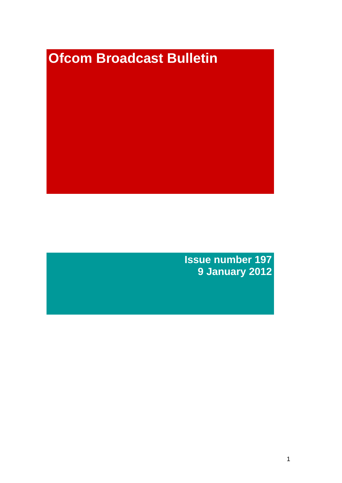# **Ofcom Broadcast Bulletin**

**Issue number 197 9 January 2012**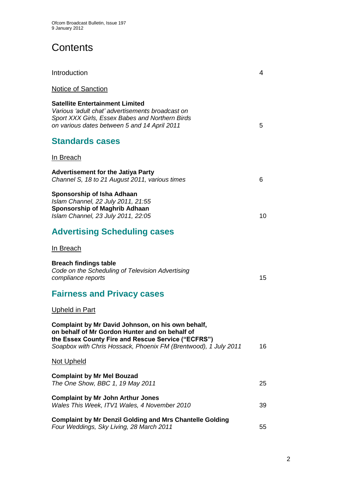# **Contents**

| Introduction                                                                                                                                                                                                                 | 4  |
|------------------------------------------------------------------------------------------------------------------------------------------------------------------------------------------------------------------------------|----|
| <b>Notice of Sanction</b>                                                                                                                                                                                                    |    |
| <b>Satellite Entertainment Limited</b><br>Various 'adult chat' advertisements broadcast on<br>Sport XXX Girls, Essex Babes and Northern Birds<br>on various dates between 5 and 14 April 2011                                | 5  |
| <b>Standards cases</b>                                                                                                                                                                                                       |    |
| <u>In Breach</u>                                                                                                                                                                                                             |    |
| <b>Advertisement for the Jatiya Party</b><br>Channel S, 18 to 21 August 2011, various times                                                                                                                                  | 6  |
| Sponsorship of Isha Adhaan<br>Islam Channel, 22 July 2011, 21:55<br><b>Sponsorship of Maghrib Adhaan</b><br>Islam Channel, 23 July 2011, 22:05                                                                               | 10 |
| <b>Advertising Scheduling cases</b>                                                                                                                                                                                          |    |
| In Breach                                                                                                                                                                                                                    |    |
| <b>Breach findings table</b><br>Code on the Scheduling of Television Advertising<br>compliance reports                                                                                                                       | 15 |
| <b>Fairness and Privacy cases</b>                                                                                                                                                                                            |    |
| <u>Upheld in Part</u>                                                                                                                                                                                                        |    |
| Complaint by Mr David Johnson, on his own behalf,<br>on behalf of Mr Gordon Hunter and on behalf of<br>the Essex County Fire and Rescue Service ("ECFRS")<br>Soapbox with Chris Hossack, Phoenix FM (Brentwood), 1 July 2011 | 16 |
| <u>Not Upheld</u>                                                                                                                                                                                                            |    |
| <b>Complaint by Mr Mel Bouzad</b><br>The One Show, BBC 1, 19 May 2011                                                                                                                                                        | 25 |
| <b>Complaint by Mr John Arthur Jones</b><br>Wales This Week, ITV1 Wales, 4 November 2010                                                                                                                                     | 39 |
| <b>Complaint by Mr Denzil Golding and Mrs Chantelle Golding</b><br>Four Weddings, Sky Living, 28 March 2011                                                                                                                  | 55 |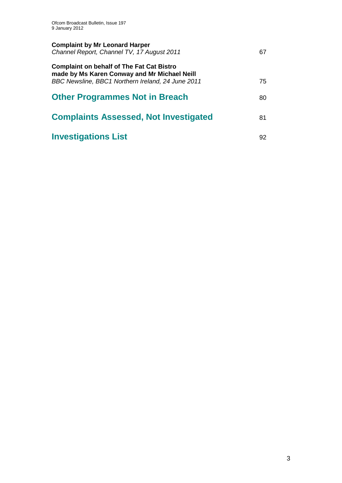| <b>Complaint by Mr Leonard Harper</b><br>Channel Report, Channel TV, 17 August 2011                                                                   | 67 |
|-------------------------------------------------------------------------------------------------------------------------------------------------------|----|
| <b>Complaint on behalf of The Fat Cat Bistro</b><br>made by Ms Karen Conway and Mr Michael Neill<br>BBC Newsline, BBC1 Northern Ireland, 24 June 2011 | 75 |
| <b>Other Programmes Not in Breach</b>                                                                                                                 | 80 |
| <b>Complaints Assessed, Not Investigated</b>                                                                                                          | 81 |
| <b>Investigations List</b>                                                                                                                            | 92 |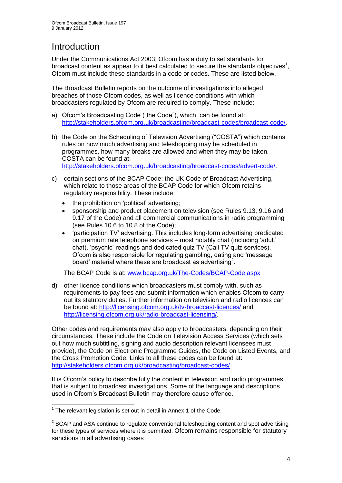# **Introduction**

Under the Communications Act 2003, Ofcom has a duty to set standards for broadcast content as appear to it best calculated to secure the standards objectives<sup>1</sup>, Ofcom must include these standards in a code or codes. These are listed below.

The Broadcast Bulletin reports on the outcome of investigations into alleged breaches of those Ofcom codes, as well as licence conditions with which broadcasters regulated by Ofcom are required to comply. These include:

- a) Ofcom"s Broadcasting Code ("the Code"), which, can be found at: [http://stakeholders.ofcom.org.uk/broadcasting/broadcast-codes/broadcast-code/.](http://stakeholders.ofcom.org.uk/broadcasting/broadcast-codes/broadcast-code/)
- b) the Code on the Scheduling of Television Advertising ("COSTA") which contains rules on how much advertising and teleshopping may be scheduled in programmes, how many breaks are allowed and when they may be taken. COSTA can be found at: [http://stakeholders.ofcom.org.uk/broadcasting/broadcast-codes/advert-code/.](http://stakeholders.ofcom.org.uk/broadcasting/broadcast-codes/advert-code/)

c) certain sections of the BCAP Code: the UK Code of Broadcast Advertising, which relate to those areas of the BCAP Code for which Ofcom retains regulatory responsibility. These include:

- the prohibition on "political" advertising;
- sponsorship and product placement on television (see Rules 9.13, 9.16 and 9.17 of the Code) and all commercial communications in radio programming (see Rules 10.6 to 10.8 of the Code);
- "participation TV" advertising. This includes long-form advertising predicated on premium rate telephone services – most notably chat (including "adult" chat), "psychic" readings and dedicated quiz TV (Call TV quiz services). Ofcom is also responsible for regulating gambling, dating and "message board' material where these are broadcast as advertising<sup>2</sup>.

The BCAP Code is at: [www.bcap.org.uk/The-Codes/BCAP-Code.aspx](http://www.bcap.org.uk/The-Codes/BCAP-Code.aspx)

d) other licence conditions which broadcasters must comply with, such as requirements to pay fees and submit information which enables Ofcom to carry out its statutory duties. Further information on television and radio licences can be found at:<http://licensing.ofcom.org.uk/tv-broadcast-licences/> and [http://licensing.ofcom.org.uk/radio-broadcast-licensing/.](http://licensing.ofcom.org.uk/radio-broadcast-licensing/)

Other codes and requirements may also apply to broadcasters, depending on their circumstances. These include the Code on Television Access Services (which sets out how much subtitling, signing and audio description relevant licensees must provide), the Code on Electronic Programme Guides, the Code on Listed Events, and the Cross Promotion Code. Links to all these codes can be found at: <http://stakeholders.ofcom.org.uk/broadcasting/broadcast-codes/>

It is Ofcom"s policy to describe fully the content in television and radio programmes that is subject to broadcast investigations. Some of the language and descriptions used in Ofcom"s Broadcast Bulletin may therefore cause offence.

1

 $1$  The relevant legislation is set out in detail in Annex 1 of the Code.

 $2$  BCAP and ASA continue to regulate conventional teleshopping content and spot advertising for these types of services where it is permitted. Ofcom remains responsible for statutory sanctions in all advertising cases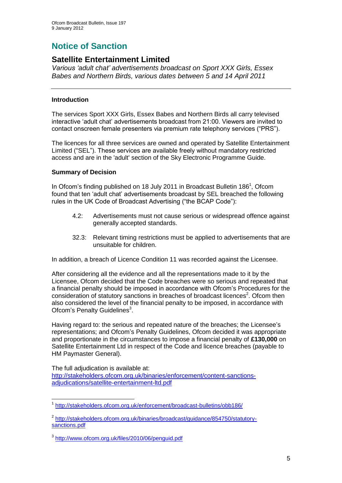# **Notice of Sanction**

## **Satellite Entertainment Limited**

*Various "adult chat" advertisements broadcast on Sport XXX Girls, Essex Babes and Northern Birds, various dates between 5 and 14 April 2011*

#### **Introduction**

The services Sport XXX Girls, Essex Babes and Northern Birds all carry televised interactive "adult chat" advertisements broadcast from 21:00. Viewers are invited to contact onscreen female presenters via premium rate telephony services ("PRS").

The licences for all three services are owned and operated by Satellite Entertainment Limited ("SEL"). These services are available freely without mandatory restricted access and are in the 'adult' section of the Sky Electronic Programme Guide.

#### **Summary of Decision**

In Ofcom's finding published on 18 July 2011 in Broadcast Bulletin 186<sup>1</sup>, Ofcom found that ten "adult chat" advertisements broadcast by SEL breached the following rules in the UK Code of Broadcast Advertising ("the BCAP Code"):

- 4.2: Advertisements must not cause serious or widespread offence against generally accepted standards.
- 32.3: Relevant timing restrictions must be applied to advertisements that are unsuitable for children.

In addition, a breach of Licence Condition 11 was recorded against the Licensee.

After considering all the evidence and all the representations made to it by the Licensee, Ofcom decided that the Code breaches were so serious and repeated that a financial penalty should be imposed in accordance with Ofcom"s Procedures for the consideration of statutory sanctions in breaches of broadcast licences<sup>2</sup>. Ofcom then also considered the level of the financial penalty to be imposed, in accordance with Ofcom's Penalty Guidelines<sup>3</sup>.

Having regard to: the serious and repeated nature of the breaches; the Licensee"s representations; and Ofcom"s Penalty Guidelines, Ofcom decided it was appropriate and proportionate in the circumstances to impose a financial penalty of **£130,000** on Satellite Entertainment Ltd in respect of the Code and licence breaches (payable to HM Paymaster General).

The full adjudication is available at:

[http://stakeholders.ofcom.org.uk/binaries/enforcement/content-sanctions](http://stakeholders.ofcom.org.uk/binaries/enforcement/content-sanctions-adjudications/satellite-entertainment-ltd.pdf)[adjudications/satellite-entertainment-ltd.pdf](http://stakeholders.ofcom.org.uk/binaries/enforcement/content-sanctions-adjudications/satellite-entertainment-ltd.pdf)

<sup>1</sup> 1 <http://stakeholders.ofcom.org.uk/enforcement/broadcast-bulletins/obb186/>

<sup>&</sup>lt;sup>2</sup> [http://stakeholders.ofcom.org.uk/binaries/broadcast/guidance/854750/statutory](http://stakeholders.ofcom.org.uk/binaries/broadcast/guidance/854750/statutory-sanctions.pdf)[sanctions.pdf](http://stakeholders.ofcom.org.uk/binaries/broadcast/guidance/854750/statutory-sanctions.pdf)

<sup>3</sup> <http://www.ofcom.org.uk/files/2010/06/penguid.pdf>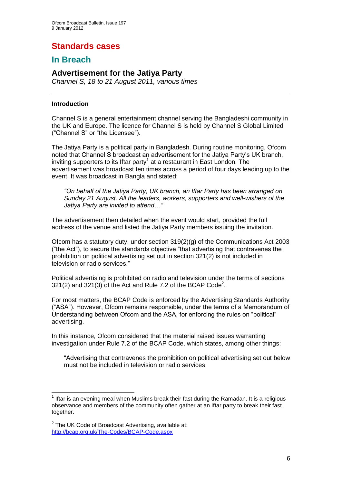# **Standards cases**

## **In Breach**

## **Advertisement for the Jatiya Party**

*Channel S, 18 to 21 August 2011, various times*

#### **Introduction**

Channel S is a general entertainment channel serving the Bangladeshi community in the UK and Europe. The licence for Channel S is held by Channel S Global Limited ("Channel S" or "the Licensee").

The Jatiya Party is a political party in Bangladesh. During routine monitoring, Ofcom noted that Channel S broadcast an advertisement for the Jatiya Party"s UK branch, inviting supporters to its Iftar party<sup>1</sup> at a restaurant in East London. The advertisement was broadcast ten times across a period of four days leading up to the event. It was broadcast in Bangla and stated:

*"On behalf of the Jatiya Party, UK branch, an Iftar Party has been arranged on Sunday 21 August. All the leaders, workers, supporters and well-wishers of the Jatiya Party are invited to attend…"*

The advertisement then detailed when the event would start, provided the full address of the venue and listed the Jatiya Party members issuing the invitation.

Ofcom has a statutory duty, under section 319(2)(g) of the Communications Act 2003 ("the Act"), to secure the standards objective "that advertising that contravenes the prohibition on political advertising set out in section 321(2) is not included in television or radio services."

Political advertising is prohibited on radio and television under the terms of sections  $321(2)$  and  $321(3)$  of the Act and Rule 7.2 of the BCAP Code<sup>2</sup>.

For most matters, the BCAP Code is enforced by the Advertising Standards Authority ("ASA"). However, Ofcom remains responsible, under the terms of a Memorandum of Understanding between Ofcom and the ASA, for enforcing the rules on "political" advertising.

In this instance, Ofcom considered that the material raised issues warranting investigation under Rule 7.2 of the BCAP Code, which states, among other things:

"Advertising that contravenes the prohibition on political advertising set out below must not be included in television or radio services;

<sup>1</sup>  $1$  Iftar is an evening meal when Muslims break their fast during the Ramadan. It is a religious observance and members of the community often gather at an Iftar party to break their fast together.

 $2$  The UK Code of Broadcast Advertising, available at: <http://bcap.org.uk/The-Codes/BCAP-Code.aspx>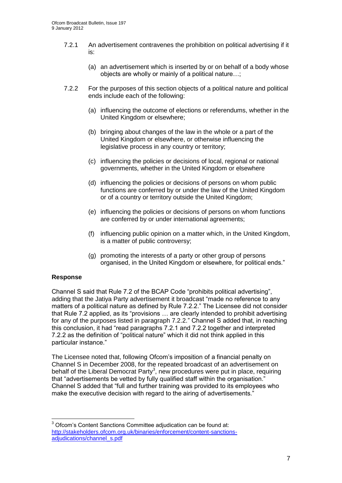- 7.2.1 An advertisement contravenes the prohibition on political advertising if it is:
	- (a) an advertisement which is inserted by or on behalf of a body whose objects are wholly or mainly of a political nature…;
- 7.2.2 For the purposes of this section objects of a political nature and political ends include each of the following:
	- (a) influencing the outcome of elections or referendums, whether in the United Kingdom or elsewhere;
	- (b) bringing about changes of the law in the whole or a part of the United Kingdom or elsewhere, or otherwise influencing the legislative process in any country or territory;
	- (c) influencing the policies or decisions of local, regional or national governments, whether in the United Kingdom or elsewhere
	- (d) influencing the policies or decisions of persons on whom public functions are conferred by or under the law of the United Kingdom or of a country or territory outside the United Kingdom;
	- (e) influencing the policies or decisions of persons on whom functions are conferred by or under international agreements;
	- (f) influencing public opinion on a matter which, in the United Kingdom, is a matter of public controversy;
	- (g) promoting the interests of a party or other group of persons organised, in the United Kingdom or elsewhere, for political ends."

#### **Response**

Channel S said that Rule 7.2 of the BCAP Code "prohibits political advertising", adding that the Jatiya Party advertisement it broadcast "made no reference to any matters of a political nature as defined by Rule 7.2.2." The Licensee did not consider that Rule 7.2 applied, as its "provisions … are clearly intended to prohibit advertising for any of the purposes listed in paragraph 7.2.2." Channel S added that, in reaching this conclusion, it had "read paragraphs 7.2.1 and 7.2.2 together and interpreted 7.2.2 as the definition of "political nature" which it did not think applied in this particular instance."

The Licensee noted that, following Ofcom"s imposition of a financial penalty on Channel S in December 2008, for the repeated broadcast of an advertisement on behalf of the Liberal Democrat Party<sup>3</sup>, new procedures were put in place, requiring that "advertisements be vetted by fully qualified staff within the organisation." Channel S added that "full and further training was provided to its employees who make the executive decision with regard to the airing of advertisements."

<sup>1</sup>  $3$  Ofcom's Content Sanctions Committee adjudication can be found at: [http://stakeholders.ofcom.org.uk/binaries/enforcement/content-sanctions](http://stakeholders.ofcom.org.uk/binaries/enforcement/content-sanctions-adjudications/channel_s.pdf)[adjudications/channel\\_s.pdf](http://stakeholders.ofcom.org.uk/binaries/enforcement/content-sanctions-adjudications/channel_s.pdf)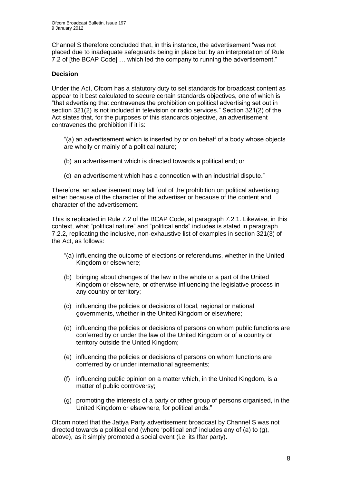Channel S therefore concluded that, in this instance, the advertisement "was not placed due to inadequate safeguards being in place but by an interpretation of Rule 7.2 of [the BCAP Code] … which led the company to running the advertisement."

#### **Decision**

Under the Act, Ofcom has a statutory duty to set standards for broadcast content as appear to it best calculated to secure certain standards objectives, one of which is "that advertising that contravenes the prohibition on political advertising set out in section 321(2) is not included in television or radio services." Section 321(2) of the Act states that, for the purposes of this standards objective, an advertisement contravenes the prohibition if it is:

"(a) an advertisement which is inserted by or on behalf of a body whose objects are wholly or mainly of a political nature;

- (b) an advertisement which is directed towards a political end; or
- (c) an advertisement which has a connection with an industrial dispute."

Therefore, an advertisement may fall foul of the prohibition on political advertising either because of the character of the advertiser or because of the content and character of the advertisement.

This is replicated in Rule 7.2 of the BCAP Code, at paragraph 7.2.1. Likewise, in this context, what "political nature" and "political ends" includes is stated in paragraph 7.2.2, replicating the inclusive, non-exhaustive list of examples in section 321(3) of the Act, as follows:

- "(a) influencing the outcome of elections or referendums, whether in the United Kingdom or elsewhere;
- (b) bringing about changes of the law in the whole or a part of the United Kingdom or elsewhere, or otherwise influencing the legislative process in any country or territory;
- (c) influencing the policies or decisions of local, regional or national governments, whether in the United Kingdom or elsewhere;
- (d) influencing the policies or decisions of persons on whom public functions are conferred by or under the law of the United Kingdom or of a country or territory outside the United Kingdom;
- (e) influencing the policies or decisions of persons on whom functions are conferred by or under international agreements;
- (f) influencing public opinion on a matter which, in the United Kingdom, is a matter of public controversy;
- (g) promoting the interests of a party or other group of persons organised, in the United Kingdom or elsewhere, for political ends."

Ofcom noted that the Jatiya Party advertisement broadcast by Channel S was not directed towards a political end (where "political end" includes any of (a) to (g), above), as it simply promoted a social event (i.e. its Iftar party).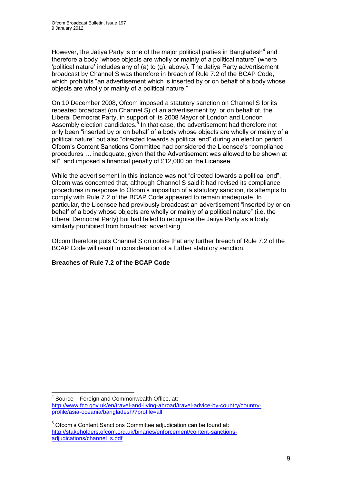However, the Jatiya Party is one of the major political parties in Bangladesh $4$  and therefore a body "whose objects are wholly or mainly of a political nature" (where "political nature" includes any of (a) to (g), above). The Jatiya Party advertisement broadcast by Channel S was therefore in breach of Rule 7.2 of the BCAP Code, which prohibits "an advertisement which is inserted by or on behalf of a body whose objects are wholly or mainly of a political nature."

On 10 December 2008, Ofcom imposed a statutory sanction on Channel S for its repeated broadcast (on Channel S) of an advertisement by, or on behalf of, the Liberal Democrat Party, in support of its 2008 Mayor of London and London Assembly election candidates.<sup>5</sup> In that case, the advertisement had therefore not only been "inserted by or on behalf of a body whose objects are wholly or mainly of a political nature" but also "directed towards a political end" during an election period. Ofcom"s Content Sanctions Committee had considered the Licensee"s "compliance procedures … inadequate, given that the Advertisement was allowed to be shown at all", and imposed a financial penalty of £12,000 on the Licensee.

While the advertisement in this instance was not "directed towards a political end", Ofcom was concerned that, although Channel S said it had revised its compliance procedures in response to Ofcom"s imposition of a statutory sanction, its attempts to comply with Rule 7.2 of the BCAP Code appeared to remain inadequate. In particular, the Licensee had previously broadcast an advertisement "inserted by or on behalf of a body whose objects are wholly or mainly of a political nature" (i.e. the Liberal Democrat Party) but had failed to recognise the Jatiya Party as a body similarly prohibited from broadcast advertising.

Ofcom therefore puts Channel S on notice that any further breach of Rule 7.2 of the BCAP Code will result in consideration of a further statutory sanction.

#### **Breaches of Rule 7.2 of the BCAP Code**

1

<sup>&</sup>lt;sup>4</sup> Source – Foreign and Commonwealth Office, at: [http://www.fco.gov.uk/en/travel-and-living-abroad/travel-advice-by-country/country](http://www.fco.gov.uk/en/travel-and-living-abroad/travel-advice-by-country/country-profile/asia-oceania/bangladesh/?profile=all)[profile/asia-oceania/bangladesh/?profile=all](http://www.fco.gov.uk/en/travel-and-living-abroad/travel-advice-by-country/country-profile/asia-oceania/bangladesh/?profile=all)

 $5$  Ofcom's Content Sanctions Committee adjudication can be found at: [http://stakeholders.ofcom.org.uk/binaries/enforcement/content-sanctions](http://stakeholders.ofcom.org.uk/binaries/enforcement/content-sanctions-adjudications/channel_s.pdf)[adjudications/channel\\_s.pdf](http://stakeholders.ofcom.org.uk/binaries/enforcement/content-sanctions-adjudications/channel_s.pdf)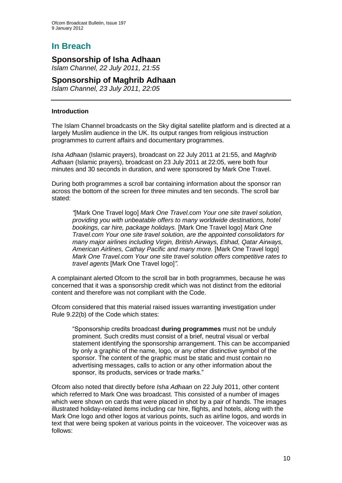# **In Breach**

## **Sponsorship of Isha Adhaan**

*Islam Channel, 22 July 2011, 21:55*

## **Sponsorship of Maghrib Adhaan**

*Islam Channel, 23 July 2011, 22:05*

#### **Introduction**

The Islam Channel broadcasts on the Sky digital satellite platform and is directed at a largely Muslim audience in the UK. Its output ranges from religious instruction programmes to current affairs and documentary programmes.

*Isha Adhaan* (Islamic prayers), broadcast on 22 July 2011 at 21:55, and *Maghrib Adhaan* (Islamic prayers), broadcast on 23 July 2011 at 22:05, were both four minutes and 30 seconds in duration, and were sponsored by Mark One Travel.

During both programmes a scroll bar containing information about the sponsor ran across the bottom of the screen for three minutes and ten seconds. The scroll bar stated:

*"*[Mark One Travel logo] *Mark One Travel.com Your one site travel solution, providing you with unbeatable offers to many worldwide destinations, hotel bookings, car hire, package holidays.* [Mark One Travel logo] *Mark One Travel.com Your one site travel solution, are the appointed consolidators for many major airlines including Virgin, British Airways, Etihad, Qatar Airways, American Airlines, Cathay Pacific and many more.* [Mark One Travel logo] *Mark One Travel.com Your one site travel solution offers competitive rates to travel agents* [Mark One Travel logo]*"*.

A complainant alerted Ofcom to the scroll bar in both programmes, because he was concerned that it was a sponsorship credit which was not distinct from the editorial content and therefore was not compliant with the Code.

Ofcom considered that this material raised issues warranting investigation under Rule 9.22(b) of the Code which states:

"Sponsorship credits broadcast **during programmes** must not be unduly prominent. Such credits must consist of a brief, neutral visual or verbal statement identifying the sponsorship arrangement. This can be accompanied by only a graphic of the name, logo, or any other distinctive symbol of the sponsor. The content of the graphic must be static and must contain no advertising messages, calls to action or any other information about the sponsor, its products, services or trade marks."

Ofcom also noted that directly before *Isha Adhaan* on 22 July 2011, other content which referred to Mark One was broadcast. This consisted of a number of images which were shown on cards that were placed in shot by a pair of hands. The images illustrated holiday-related items including car hire, flights, and hotels, along with the Mark One logo and other logos at various points, such as airline logos, and words in text that were being spoken at various points in the voiceover. The voiceover was as follows: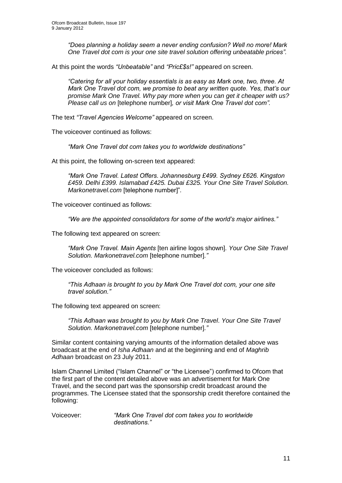*"Does planning a holiday seem a never ending confusion? Well no more! Mark One Travel dot com is your one site travel solution offering unbeatable prices".* 

At this point the words *"Unbeatable"* and *"Pric£\$s!"* appeared on screen.

*"Catering for all your holiday essentials is as easy as Mark one, two, three. At Mark One Travel dot com, we promise to beat any written quote. Yes, that"s our promise Mark One Travel. Why pay more when you can get it cheaper with us? Please call us on* [telephone number]*, or visit Mark One Travel dot com".*

The text *"Travel Agencies Welcome"* appeared on screen.

The voiceover continued as follows:

*"Mark One Travel dot com takes you to worldwide destinations"* 

At this point, the following on-screen text appeared:

*"Mark One Travel. Latest Offers. Johannesburg £499. Sydney £626. Kingston £459. Delhi £399. Islamabad £425. Dubai £325. Your One Site Travel Solution. Markonetravel.com* [telephone number]"*.*

The voiceover continued as follows:

*"We are the appointed consolidators for some of the world"s major airlines."* 

The following text appeared on screen:

*"Mark One Travel. Main Agents* [ten airline logos shown]*. Your One Site Travel Solution. Markonetravel.com* [telephone number]*."*

The voiceover concluded as follows:

*"This Adhaan is brought to you by Mark One Travel dot com, your one site travel solution."*

The following text appeared on screen:

*"This Adhaan was brought to you by Mark One Travel*. *Your One Site Travel Solution. Markonetravel.com* [telephone number]*."*

Similar content containing varying amounts of the information detailed above was broadcast at the end of *Isha Adhaan* and at the beginning and end of *Maghrib Adhaan* broadcast on 23 July 2011.

Islam Channel Limited ("Islam Channel" or "the Licensee") confirmed to Ofcom that the first part of the content detailed above was an advertisement for Mark One Travel, and the second part was the sponsorship credit broadcast around the programmes. The Licensee stated that the sponsorship credit therefore contained the following:

Voiceover: *"Mark One Travel dot com takes you to worldwide destinations."*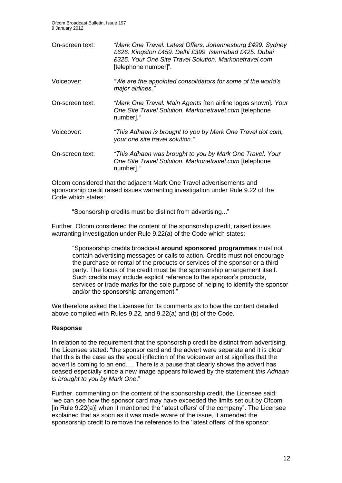Ofcom Broadcast Bulletin, Issue 197 9 January 2012

| On-screen text: | "Mark One Travel. Latest Offers. Johannesburg £499. Sydney<br>£626. Kingston £459. Delhi £399. Islamabad £425. Dubai<br>£325. Your One Site Travel Solution, Markonetravel.com<br>[telephone number]". |
|-----------------|--------------------------------------------------------------------------------------------------------------------------------------------------------------------------------------------------------|
| Voiceover:      | "We are the appointed consolidators for some of the world's<br>major airlines."                                                                                                                        |
| On-screen text: | "Mark One Travel. Main Agents [ten airline logos shown]. Your<br>One Site Travel Solution. Markonetravel.com [telephone<br>number]."                                                                   |
| Voiceover:      | "This Adhaan is brought to you by Mark One Travel dot com,<br>your one site travel solution."                                                                                                          |
| On-screen text: | "This Adhaan was brought to you by Mark One Travel. Your<br>One Site Travel Solution. Markonetravel.com [telephone<br>number]."                                                                        |

Ofcom considered that the adjacent Mark One Travel advertisements and sponsorship credit raised issues warranting investigation under Rule 9.22 of the Code which states:

"Sponsorship credits must be distinct from advertising..."

Further, Ofcom considered the content of the sponsorship credit, raised issues warranting investigation under Rule 9.22(a) of the Code which states:

"Sponsorship credits broadcast **around sponsored programmes** must not contain advertising messages or calls to action. Credits must not encourage the purchase or rental of the products or services of the sponsor or a third party. The focus of the credit must be the sponsorship arrangement itself. Such credits may include explicit reference to the sponsor's products, services or trade marks for the sole purpose of helping to identify the sponsor and/or the sponsorship arrangement."

We therefore asked the Licensee for its comments as to how the content detailed above complied with Rules 9.22, and 9.22(a) and (b) of the Code.

#### **Response**

In relation to the requirement that the sponsorship credit be distinct from advertising, the Licensee stated: "the sponsor card and the advert were separate and it is clear that this is the case as the vocal inflection of the voiceover artist signifies that the advert is coming to an end…. There is a pause that clearly shows the advert has ceased especially since a new image appears followed by the statement *this Adhaan is brought to you by Mark One*."

Further, commenting on the content of the sponsorship credit, the Licensee said: "we can see how the sponsor card may have exceeded the limits set out by Ofcom [in Rule 9.22(a)] when it mentioned the "latest offers" of the company". The Licensee explained that as soon as it was made aware of the issue, it amended the sponsorship credit to remove the reference to the "latest offers" of the sponsor.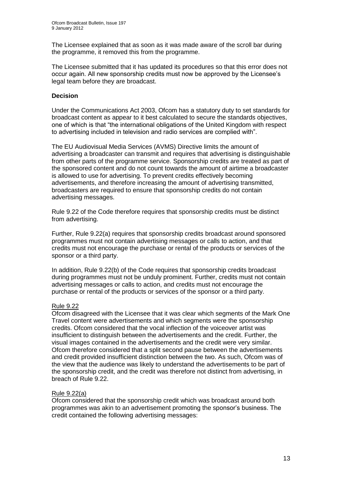The Licensee explained that as soon as it was made aware of the scroll bar during the programme, it removed this from the programme.

The Licensee submitted that it has updated its procedures so that this error does not occur again. All new sponsorship credits must now be approved by the Licensee"s legal team before they are broadcast.

#### **Decision**

Under the Communications Act 2003, Ofcom has a statutory duty to set standards for broadcast content as appear to it best calculated to secure the standards objectives, one of which is that "the international obligations of the United Kingdom with respect to advertising included in television and radio services are complied with".

The EU Audiovisual Media Services (AVMS) Directive limits the amount of advertising a broadcaster can transmit and requires that advertising is distinguishable from other parts of the programme service. Sponsorship credits are treated as part of the sponsored content and do not count towards the amount of airtime a broadcaster is allowed to use for advertising. To prevent credits effectively becoming advertisements, and therefore increasing the amount of advertising transmitted, broadcasters are required to ensure that sponsorship credits do not contain advertising messages.

Rule 9.22 of the Code therefore requires that sponsorship credits must be distinct from advertising.

Further, Rule 9.22(a) requires that sponsorship credits broadcast around sponsored programmes must not contain advertising messages or calls to action, and that credits must not encourage the purchase or rental of the products or services of the sponsor or a third party.

In addition, Rule 9.22(b) of the Code requires that sponsorship credits broadcast during programmes must not be unduly prominent. Further, credits must not contain advertising messages or calls to action, and credits must not encourage the purchase or rental of the products or services of the sponsor or a third party.

#### Rule 9.22

Ofcom disagreed with the Licensee that it was clear which segments of the Mark One Travel content were advertisements and which segments were the sponsorship credits. Ofcom considered that the vocal inflection of the voiceover artist was insufficient to distinguish between the advertisements and the credit. Further, the visual images contained in the advertisements and the credit were very similar. Ofcom therefore considered that a split second pause between the advertisements and credit provided insufficient distinction between the two. As such, Ofcom was of the view that the audience was likely to understand the advertisements to be part of the sponsorship credit, and the credit was therefore not distinct from advertising, in breach of Rule 9.22.

#### Rule 9.22(a)

Ofcom considered that the sponsorship credit which was broadcast around both programmes was akin to an advertisement promoting the sponsor"s business. The credit contained the following advertising messages: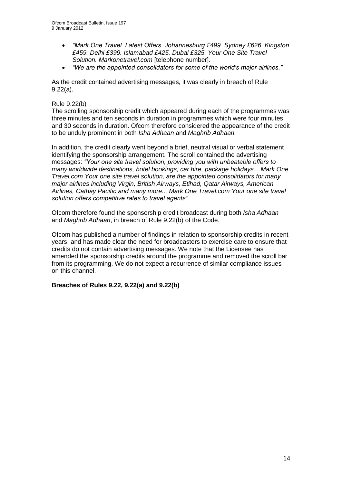- *"Mark One Travel. Latest Offers. Johannesburg £499. Sydney £626. Kingston £459. Delhi £399. Islamabad £425. Dubai £325. Your One Site Travel Solution. Markonetravel.com* [telephone number]*.*
- *"We are the appointed consolidators for some of the world"s major airlines."*

As the credit contained advertising messages, it was clearly in breach of Rule 9.22(a).

#### Rule 9.22(b)

The scrolling sponsorship credit which appeared during each of the programmes was three minutes and ten seconds in duration in programmes which were four minutes and 30 seconds in duration. Ofcom therefore considered the appearance of the credit to be unduly prominent in both *Isha Adhaan* and *Maghrib Adhaan.*

In addition, the credit clearly went beyond a brief, neutral visual or verbal statement identifying the sponsorship arrangement. The scroll contained the advertising messages: *"Your one site travel solution, providing you with unbeatable offers to many worldwide destinations, hotel bookings, car hire, package holidays... Mark One Travel.com Your one site travel solution, are the appointed consolidators for many major airlines including Virgin, British Airways, Etihad, Qatar Airways, American Airlines, Cathay Pacific and many more... Mark One Travel.com Your one site travel solution offers competitive rates to travel agents"*

Ofcom therefore found the sponsorship credit broadcast during both *Isha Adhaan* and *Maghrib Adhaan*, in breach of Rule 9.22(b) of the Code.

Ofcom has published a number of findings in relation to sponsorship credits in recent years, and has made clear the need for broadcasters to exercise care to ensure that credits do not contain advertising messages. We note that the Licensee has amended the sponsorship credits around the programme and removed the scroll bar from its programming. We do not expect a recurrence of similar compliance issues on this channel.

#### **Breaches of Rules 9.22, 9.22(a) and 9.22(b)**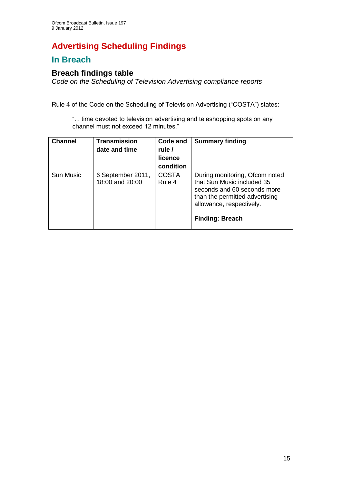# **Advertising Scheduling Findings**

# **In Breach**

## **Breach findings table**

*Code on the Scheduling of Television Advertising compliance reports*

Rule 4 of the Code on the Scheduling of Television Advertising ("COSTA") states:

"... time devoted to television advertising and teleshopping spots on any channel must not exceed 12 minutes."

| <b>Channel</b>   | <b>Transmission</b><br>date and time | Code and<br>rule /<br>licence<br>condition | <b>Summary finding</b>                                                                                                                                                              |
|------------------|--------------------------------------|--------------------------------------------|-------------------------------------------------------------------------------------------------------------------------------------------------------------------------------------|
| <b>Sun Music</b> | 6 September 2011,<br>18:00 and 20:00 | <b>COSTA</b><br>Rule 4                     | During monitoring, Ofcom noted<br>that Sun Music included 35<br>seconds and 60 seconds more<br>than the permitted advertising<br>allowance, respectively.<br><b>Finding: Breach</b> |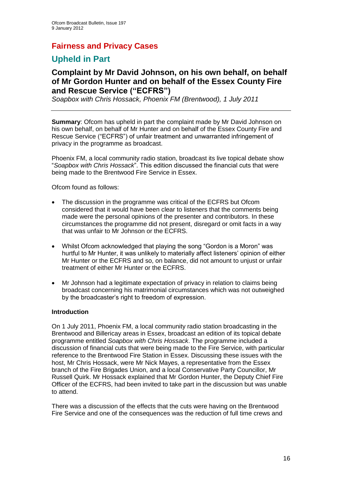## **Fairness and Privacy Cases**

# **Upheld in Part**

## **Complaint by Mr David Johnson, on his own behalf, on behalf of Mr Gordon Hunter and on behalf of the Essex County Fire and Rescue Service ("ECFRS")**

*Soapbox with Chris Hossack, Phoenix FM (Brentwood), 1 July 2011*

**Summary**: Ofcom has upheld in part the complaint made by Mr David Johnson on his own behalf, on behalf of Mr Hunter and on behalf of the Essex County Fire and Rescue Service ("ECFRS") of unfair treatment and unwarranted infringement of privacy in the programme as broadcast.

Phoenix FM, a local community radio station, broadcast its live topical debate show "*Soapbox with Chris Hossack*". This edition discussed the financial cuts that were being made to the Brentwood Fire Service in Essex.

Ofcom found as follows:

- The discussion in the programme was critical of the ECFRS but Ofcom considered that it would have been clear to listeners that the comments being made were the personal opinions of the presenter and contributors. In these circumstances the programme did not present, disregard or omit facts in a way that was unfair to Mr Johnson or the ECFRS.
- Whilst Ofcom acknowledged that playing the song "Gordon is a Moron" was hurtful to Mr Hunter, it was unlikely to materially affect listeners' opinion of either Mr Hunter or the ECFRS and so, on balance, did not amount to unjust or unfair treatment of either Mr Hunter or the ECFRS.
- Mr Johnson had a legitimate expectation of privacy in relation to claims being broadcast concerning his matrimonial circumstances which was not outweighed by the broadcaster"s right to freedom of expression.

#### **Introduction**

On 1 July 2011, Phoenix FM, a local community radio station broadcasting in the Brentwood and Billericay areas in Essex, broadcast an edition of its topical debate programme entitled *Soapbox with Chris Hossack*. The programme included a discussion of financial cuts that were being made to the Fire Service, with particular reference to the Brentwood Fire Station in Essex. Discussing these issues with the host, Mr Chris Hossack, were Mr Nick Mayes, a representative from the Essex branch of the Fire Brigades Union, and a local Conservative Party Councillor, Mr Russell Quirk. Mr Hossack explained that Mr Gordon Hunter, the Deputy Chief Fire Officer of the ECFRS, had been invited to take part in the discussion but was unable to attend.

There was a discussion of the effects that the cuts were having on the Brentwood Fire Service and one of the consequences was the reduction of full time crews and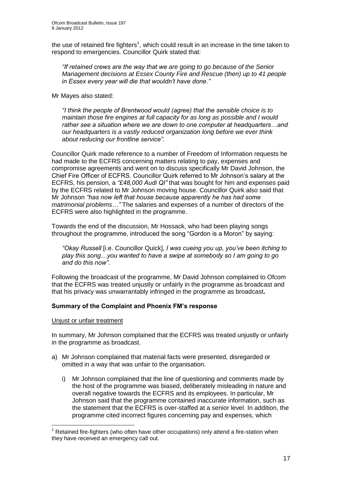the use of retained fire fighters<sup>1</sup>, which could result in an increase in the time taken to respond to emergencies. Councillor Quirk stated that:

*"If retained crews are the way that we are going to go because of the Senior Management decisions at Essex County Fire and Rescue (then) up to 41 people in Essex every year will die that wouldn"t have done*.*"*

Mr Mayes also stated:

*"I think the people of Brentwood would (agree) that the sensible choice is to maintain those fire engines at full capacity for as long as possible and I would rather see a situation where we are down to one computer at headquarters…and our headquarters is a vastly reduced organization long before we ever think about reducing our frontline service"*.

Councillor Quirk made reference to a number of Freedom of Information requests he had made to the ECFRS concerning matters relating to pay, expenses and compromise agreements and went on to discuss specifically Mr David Johnson, the Chief Fire Officer of ECFRS. Councillor Quirk referred to Mr Johnson"s salary at the ECFRS, his pension, a *"£48,000 Audi QI"* that was bought for him and expenses paid by the ECFRS related to Mr Johnson moving house. Councillor Quirk also said that Mr Johnson *"has now left that house because apparently he has had some matrimonial problems*…*"* The salaries and expenses of a number of directors of the ECFRS were also highlighted in the programme.

Towards the end of the discussion, Mr Hossack, who had been playing songs throughout the programme, introduced the song "Gordon is a Moron" by saying:

*"Okay Russell* [i.e. Councillor Quick]*, I was cueing you up, you"ve been itching to play this song…you wanted to have a swipe at somebody so I am going to go and do this now"*.

Following the broadcast of the programme, Mr David Johnson complained to Ofcom that the ECFRS was treated unjustly or unfairly in the programme as broadcast and that his privacy was unwarrantably infringed in the programme as broadcast**.**

#### **Summary of the Complaint and Phoenix FM's response**

#### Unjust or unfair treatment

1

In summary, Mr Johnson complained that the ECFRS was treated unjustly or unfairly in the programme as broadcast.

- a) Mr Johnson complained that material facts were presented, disregarded or omitted in a way that was unfair to the organisation.
	- i) Mr Johnson complained that the line of questioning and comments made by the host of the programme was biased, deliberately misleading in nature and overall negative towards the ECFRS and its employees. In particular, Mr Johnson said that the programme contained inaccurate information, such as the statement that the ECFRS is over-staffed at a senior level. In addition, the programme cited incorrect figures concerning pay and expenses, which

 $<sup>1</sup>$  Retained fire-fighters (who often have other occupations) only attend a fire-station when</sup> they have received an emergency call out.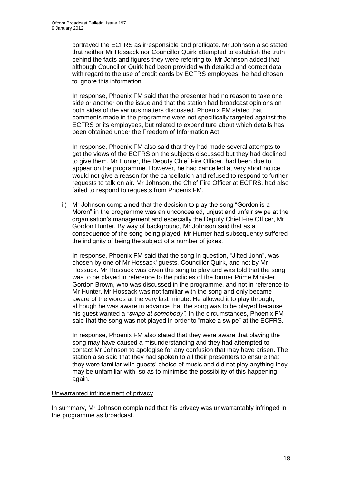portrayed the ECFRS as irresponsible and profligate. Mr Johnson also stated that neither Mr Hossack nor Councillor Quirk attempted to establish the truth behind the facts and figures they were referring to. Mr Johnson added that although Councillor Quirk had been provided with detailed and correct data with regard to the use of credit cards by ECFRS employees, he had chosen to ignore this information.

In response, Phoenix FM said that the presenter had no reason to take one side or another on the issue and that the station had broadcast opinions on both sides of the various matters discussed. Phoenix FM stated that comments made in the programme were not specifically targeted against the ECFRS or its employees, but related to expenditure about which details has been obtained under the Freedom of Information Act.

In response, Phoenix FM also said that they had made several attempts to get the views of the ECFRS on the subjects discussed but they had declined to give them. Mr Hunter, the Deputy Chief Fire Officer, had been due to appear on the programme. However, he had cancelled at very short notice, would not give a reason for the cancellation and refused to respond to further requests to talk on air. Mr Johnson, the Chief Fire Officer at ECFRS, had also failed to respond to requests from Phoenix FM.

ii) Mr Johnson complained that the decision to play the song "Gordon is a Moron" in the programme was an unconcealed, unjust and unfair swipe at the organisation"s management and especially the Deputy Chief Fire Officer, Mr Gordon Hunter. By way of background, Mr Johnson said that as a consequence of the song being played, Mr Hunter had subsequently suffered the indignity of being the subject of a number of jokes.

In response, Phoenix FM said that the song in question, "Jilted John", was chosen by one of Mr Hossack' guests, Councillor Quirk, and not by Mr Hossack. Mr Hossack was given the song to play and was told that the song was to be played in reference to the policies of the former Prime Minister, Gordon Brown, who was discussed in the programme, and not in reference to Mr Hunter. Mr Hossack was not familiar with the song and only became aware of the words at the very last minute. He allowed it to play through, although he was aware in advance that the song was to be played because his guest wanted a *"swipe at somebody"*. In the circumstances, Phoenix FM said that the song was not played in order to "make a swipe" at the ECFRS.

In response, Phoenix FM also stated that they were aware that playing the song may have caused a misunderstanding and they had attempted to contact Mr Johnson to apologise for any confusion that may have arisen. The station also said that they had spoken to all their presenters to ensure that they were familiar with guests" choice of music and did not play anything they may be unfamiliar with, so as to minimise the possibility of this happening again.

#### Unwarranted infringement of privacy

In summary, Mr Johnson complained that his privacy was unwarrantably infringed in the programme as broadcast.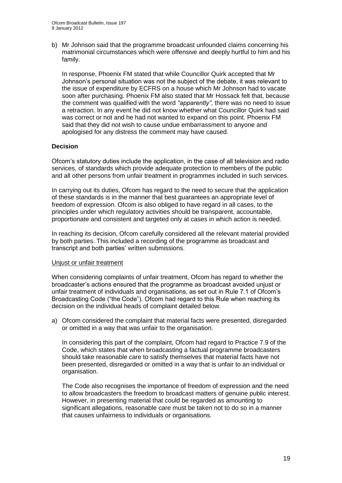b) Mr Johnson said that the programme broadcast unfounded claims concerning his matrimonial circumstances which were offensive and deeply hurtful to him and his family.

In response, Phoenix FM stated that while Councillor Quirk accepted that Mr Johnson"s personal situation was not the subject of the debate, it was relevant to the issue of expenditure by ECFRS on a house which Mr Johnson had to vacate soon after purchasing. Phoenix FM also stated that Mr Hossack felt that, because the comment was qualified with the word *"apparently"*, there was no need to issue a retraction. In any event he did not know whether what Councillor Quirk had said was correct or not and he had not wanted to expand on this point. Phoenix FM said that they did not wish to cause undue embarrassment to anyone and apologised for any distress the comment may have caused.

#### **Decision**

Ofcom"s statutory duties include the application, in the case of all television and radio services, of standards which provide adequate protection to members of the public and all other persons from unfair treatment in programmes included in such services.

In carrying out its duties, Ofcom has regard to the need to secure that the application of these standards is in the manner that best guarantees an appropriate level of freedom of expression. Ofcom is also obliged to have regard in all cases, to the principles under which regulatory activities should be transparent, accountable, proportionate and consistent and targeted only at cases in which action is needed.

In reaching its decision, Ofcom carefully considered all the relevant material provided by both parties. This included a recording of the programme as broadcast and transcript and both parties" written submissions.

#### Unjust or unfair treatment

When considering complaints of unfair treatment, Ofcom has regard to whether the broadcaster"s actions ensured that the programme as broadcast avoided unjust or unfair treatment of individuals and organisations, as set out in Rule 7.1 of Ofcom"s Broadcasting Code ("the Code"). Ofcom had regard to this Rule when reaching its decision on the individual heads of complaint detailed below.

a) Ofcom considered the complaint that material facts were presented, disregarded or omitted in a way that was unfair to the organisation.

In considering this part of the complaint, Ofcom had regard to Practice 7.9 of the Code, which states that when broadcasting a factual programme broadcasters should take reasonable care to satisfy themselves that material facts have not been presented, disregarded or omitted in a way that is unfair to an individual or organisation.

The Code also recognises the importance of freedom of expression and the need to allow broadcasters the freedom to broadcast matters of genuine public interest. However, in presenting material that could be regarded as amounting to significant allegations, reasonable care must be taken not to do so in a manner that causes unfairness to individuals or organisations.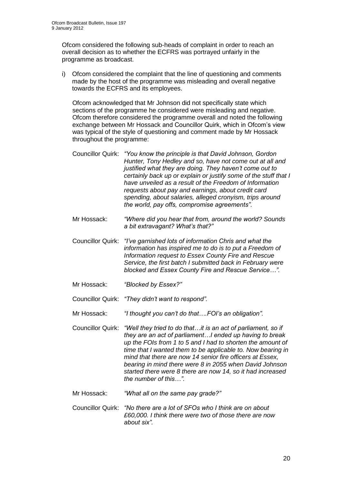Ofcom considered the following sub-heads of complaint in order to reach an overall decision as to whether the ECFRS was portrayed unfairly in the programme as broadcast.

i) Ofcom considered the complaint that the line of questioning and comments made by the host of the programme was misleading and overall negative towards the ECFRS and its employees.

Ofcom acknowledged that Mr Johnson did not specifically state which sections of the programme he considered were misleading and negative. Ofcom therefore considered the programme overall and noted the following exchange between Mr Hossack and Councillor Quirk, which in Ofcom"s view was typical of the style of questioning and comment made by Mr Hossack throughout the programme:

- Councillor Quirk: *"You know the principle is that David Johnson, Gordon Hunter, Tony Hedley and so, have not come out at all and justified what they are doing. They haven"t come out to certainly back up or explain or justify some of the stuff that I have unveiled as a result of the Freedom of Information requests about pay and earnings, about credit card spending, about salaries, alleged cronyism, trips around the world, pay offs, compromise agreements"*.
- Mr Hossack: *"Where did you hear that from, around the world? Sounds a bit extravagant? What"s that?"*
- Councillor Quirk: *"I"ve garnished lots of information Chris and what the information has inspired me to do is to put a Freedom of Information request to Essex County Fire and Rescue Service, the first batch I submitted back in February were blocked and Essex County Fire and Rescue Service…".*
- Mr Hossack: *"Blocked by Essex?"*
- Councillor Quirk: *"They didn"t want to respond".*
- Mr Hossack: *"I thought you can"t do that….FOI"s an obligation".*
- Councillor Quirk: *"Well they tried to do that…it is an act of parliament, so if they are an act of parliament…I ended up having to break up the FOIs from 1 to 5 and I had to shorten the amount of time that I wanted them to be applicable to. Now bearing in mind that there are now 14 senior fire officers at Essex, bearing in mind there were 8 in 2055 when David Johnson started there were 8 there are now 14, so it had increased the number of this…".*
- Mr Hossack: *"What all on the same pay grade?"*
- Councillor Quirk: *"No there are a lot of SFOs who I think are on about £60,000. I think there were two of those there are now about six".*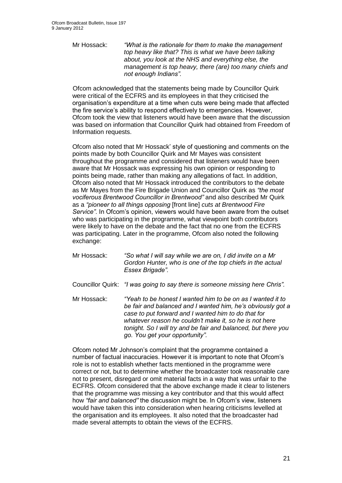Mr Hossack: *"What is the rationale for them to make the management top heavy like that? This is what we have been talking about, you look at the NHS and everything else, the management is top heavy, there (are) too many chiefs and not enough Indians".*

Ofcom acknowledged that the statements being made by Councillor Quirk were critical of the ECFRS and its employees in that they criticised the organisation"s expenditure at a time when cuts were being made that affected the fire service's ability to respond effectively to emergencies. However, Ofcom took the view that listeners would have been aware that the discussion was based on information that Councillor Quirk had obtained from Freedom of Information requests.

Ofcom also noted that Mr Hossack" style of questioning and comments on the points made by both Councillor Quirk and Mr Mayes was consistent throughout the programme and considered that listeners would have been aware that Mr Hossack was expressing his own opinion or responding to points being made, rather than making any allegations of fact. In addition, Ofcom also noted that Mr Hossack introduced the contributors to the debate as Mr Mayes from the Fire Brigade Union and Councillor Quirk as *"the most vociferous Brentwood Councillor in Brentwood"* and also described Mr Quirk as a *"pioneer to all things opposing* [front line] *cuts at Brentwood Fire Service"*. In Ofcom"s opinion, viewers would have been aware from the outset who was participating in the programme, what viewpoint both contributors were likely to have on the debate and the fact that no one from the ECFRS was participating. Later in the programme, Ofcom also noted the following exchange:

- Mr Hossack: *"So what I will say while we are on, I did invite on a Mr Gordon Hunter, who is one of the top chiefs in the actual Essex Brigade".*
- Councillor Quirk: *"I was going to say there is someone missing here Chris".*
- Mr Hossack: *"Yeah to be honest I wanted him to be on as I wanted it to be fair and balanced and I wanted him, he"s obviously got a case to put forward and I wanted him to do that for whatever reason he couldn"t make it, so he is not here tonight. So I will try and be fair and balanced, but there you go. You get your opportunity".*

Ofcom noted Mr Johnson"s complaint that the programme contained a number of factual inaccuracies. However it is important to note that Ofcom"s role is not to establish whether facts mentioned in the programme were correct or not, but to determine whether the broadcaster took reasonable care not to present, disregard or omit material facts in a way that was unfair to the ECFRS. Ofcom considered that the above exchange made it clear to listeners that the programme was missing a key contributor and that this would affect how *"fair and balanced"* the discussion might be. In Ofcom"s view, listeners would have taken this into consideration when hearing criticisms levelled at the organisation and its employees. It also noted that the broadcaster had made several attempts to obtain the views of the ECFRS.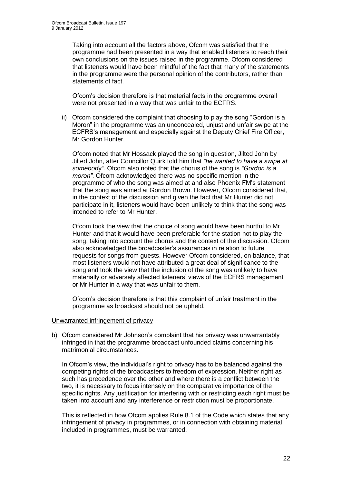Taking into account all the factors above, Ofcom was satisfied that the programme had been presented in a way that enabled listeners to reach their own conclusions on the issues raised in the programme. Ofcom considered that listeners would have been mindful of the fact that many of the statements in the programme were the personal opinion of the contributors, rather than statements of fact.

Ofcom"s decision therefore is that material facts in the programme overall were not presented in a way that was unfair to the ECFRS.

ii) Ofcom considered the complaint that choosing to play the song "Gordon is a Moron" in the programme was an unconcealed, unjust and unfair swipe at the ECFRS"s management and especially against the Deputy Chief Fire Officer, Mr Gordon Hunter.

Ofcom noted that Mr Hossack played the song in question, Jilted John by Jilted John, after Councillor Quirk told him that *"he wanted to have a swipe at somebod*y*"*. Ofcom also noted that the chorus of the song is *"Gordon is a moron"*. Ofcom acknowledged there was no specific mention in the programme of who the song was aimed at and also Phoenix FM"s statement that the song was aimed at Gordon Brown. However, Ofcom considered that, in the context of the discussion and given the fact that Mr Hunter did not participate in it, listeners would have been unlikely to think that the song was intended to refer to Mr Hunter.

Ofcom took the view that the choice of song would have been hurtful to Mr Hunter and that it would have been preferable for the station not to play the song, taking into account the chorus and the context of the discussion. Ofcom also acknowledged the broadcaster"s assurances in relation to future requests for songs from guests. However Ofcom considered, on balance, that most listeners would not have attributed a great deal of significance to the song and took the view that the inclusion of the song was unlikely to have materially or adversely affected listeners' views of the ECFRS management or Mr Hunter in a way that was unfair to them.

Ofcom"s decision therefore is that this complaint of unfair treatment in the programme as broadcast should not be upheld.

#### Unwarranted infringement of privacy

b) Ofcom considered Mr Johnson's complaint that his privacy was unwarrantably infringed in that the programme broadcast unfounded claims concerning his matrimonial circumstances.

In Ofcom's view, the individual's right to privacy has to be balanced against the competing rights of the broadcasters to freedom of expression. Neither right as such has precedence over the other and where there is a conflict between the two, it is necessary to focus intensely on the comparative importance of the specific rights. Any justification for interfering with or restricting each right must be taken into account and any interference or restriction must be proportionate.

This is reflected in how Ofcom applies Rule 8.1 of the Code which states that any infringement of privacy in programmes, or in connection with obtaining material included in programmes, must be warranted.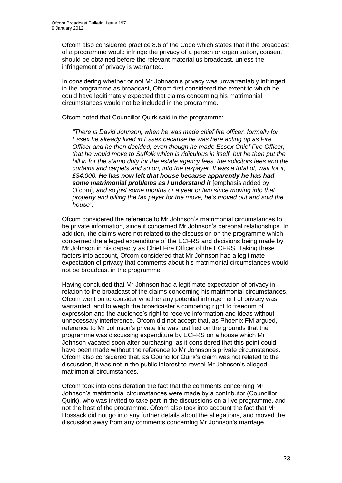Ofcom also considered practice 8.6 of the Code which states that if the broadcast of a programme would infringe the privacy of a person or organisation, consent should be obtained before the relevant material us broadcast, unless the infringement of privacy is warranted.

In considering whether or not Mr Johnson"s privacy was unwarrantably infringed in the programme as broadcast, Ofcom first considered the extent to which he could have legitimately expected that claims concerning his matrimonial circumstances would not be included in the programme.

Ofcom noted that Councillor Quirk said in the programme:

*"There is David Johnson, when he was made chief fire officer, formally for Essex he already lived in Essex because he was here acting up as Fire Officer and he then decided, even though he made Essex Chief Fire Officer, that he would move to Suffolk which is ridiculous in itself, but he then put the bill in for the stamp duty for the estate agency fees, the solicitors fees and the curtains and carpets and so on, into the taxpayer. It was a total of, wait for it, £34,000. He has now left that house because apparently he has had some matrimonial problems as I understand it* [emphasis added by Ofcom]*, and so just some months or a year or two since moving into that property and billing the tax payer for the move, he"s moved out and sold the house"*.

Ofcom considered the reference to Mr Johnson"s matrimonial circumstances to be private information, since it concerned Mr Johnson"s personal relationships. In addition, the claims were not related to the discussion on the programme which concerned the alleged expenditure of the ECFRS and decisions being made by Mr Johnson in his capacity as Chief Fire Officer of the ECFRS. Taking these factors into account, Ofcom considered that Mr Johnson had a legitimate expectation of privacy that comments about his matrimonial circumstances would not be broadcast in the programme.

Having concluded that Mr Johnson had a legitimate expectation of privacy in relation to the broadcast of the claims concerning his matrimonial circumstances, Ofcom went on to consider whether any potential infringement of privacy was warranted, and to weigh the broadcaster"s competing right to freedom of expression and the audience"s right to receive information and ideas without unnecessary interference. Ofcom did not accept that, as Phoenix FM argued, reference to Mr Johnson"s private life was justified on the grounds that the programme was discussing expenditure by ECFRS on a house which Mr Johnson vacated soon after purchasing, as it considered that this point could have been made without the reference to Mr Johnson"s private circumstances. Ofcom also considered that, as Councillor Quirk"s claim was not related to the discussion, it was not in the public interest to reveal Mr Johnson"s alleged matrimonial circumstances.

Ofcom took into consideration the fact that the comments concerning Mr Johnson"s matrimonial circumstances were made by a contributor (Councillor Quirk), who was invited to take part in the discussions on a live programme, and not the host of the programme. Ofcom also took into account the fact that Mr Hossack did not go into any further details about the allegations, and moved the discussion away from any comments concerning Mr Johnson"s marriage.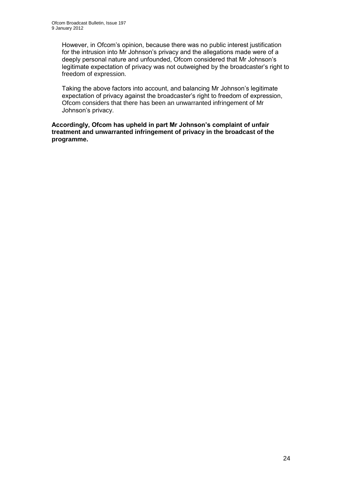However, in Ofcom"s opinion, because there was no public interest justification for the intrusion into Mr Johnson's privacy and the allegations made were of a deeply personal nature and unfounded, Ofcom considered that Mr Johnson"s legitimate expectation of privacy was not outweighed by the broadcaster's right to freedom of expression.

Taking the above factors into account, and balancing Mr Johnson"s legitimate expectation of privacy against the broadcaster's right to freedom of expression, Ofcom considers that there has been an unwarranted infringement of Mr Johnson's privacy.

**Accordingly, Ofcom has upheld in part Mr Johnson's complaint of unfair treatment and unwarranted infringement of privacy in the broadcast of the programme.**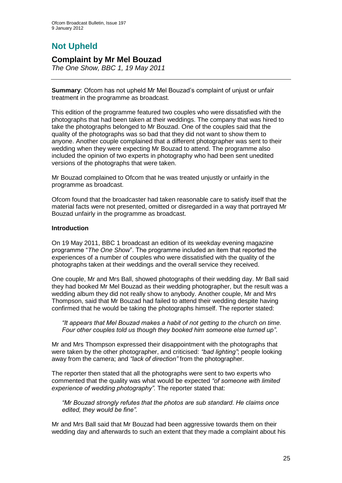# **Not Upheld**

## **Complaint by Mr Mel Bouzad**

*The One Show, BBC 1, 19 May 2011*

**Summary**: Ofcom has not upheld Mr Mel Bouzad"s complaint of unjust or unfair treatment in the programme as broadcast.

This edition of the programme featured two couples who were dissatisfied with the photographs that had been taken at their weddings. The company that was hired to take the photographs belonged to Mr Bouzad. One of the couples said that the quality of the photographs was so bad that they did not want to show them to anyone. Another couple complained that a different photographer was sent to their wedding when they were expecting Mr Bouzad to attend. The programme also included the opinion of two experts in photography who had been sent unedited versions of the photographs that were taken.

Mr Bouzad complained to Ofcom that he was treated unjustly or unfairly in the programme as broadcast.

Ofcom found that the broadcaster had taken reasonable care to satisfy itself that the material facts were not presented, omitted or disregarded in a way that portrayed Mr Bouzad unfairly in the programme as broadcast.

#### **Introduction**

On 19 May 2011, BBC 1 broadcast an edition of its weekday evening magazine programme "*The One Show*". The programme included an item that reported the experiences of a number of couples who were dissatisfied with the quality of the photographs taken at their weddings and the overall service they received.

One couple, Mr and Mrs Ball, showed photographs of their wedding day. Mr Ball said they had booked Mr Mel Bouzad as their wedding photographer, but the result was a wedding album they did not really show to anybody. Another couple, Mr and Mrs Thompson, said that Mr Bouzad had failed to attend their wedding despite having confirmed that he would be taking the photographs himself. The reporter stated:

*"It appears that Mel Bouzad makes a habit of not getting to the church on time. Four other couples told us though they booked him someone else turned up"*.

Mr and Mrs Thompson expressed their disappointment with the photographs that were taken by the other photographer, and criticised: *"bad lighting"*; people looking away from the camera; and *"lack of direction"* from the photographer*.* 

The reporter then stated that all the photographs were sent to two experts who commented that the quality was what would be expected *"of someone with limited experience of wedding photography".* The reporter stated that:

*"Mr Bouzad strongly refutes that the photos are sub standard. He claims once edited, they would be fine".* 

Mr and Mrs Ball said that Mr Bouzad had been aggressive towards them on their wedding day and afterwards to such an extent that they made a complaint about his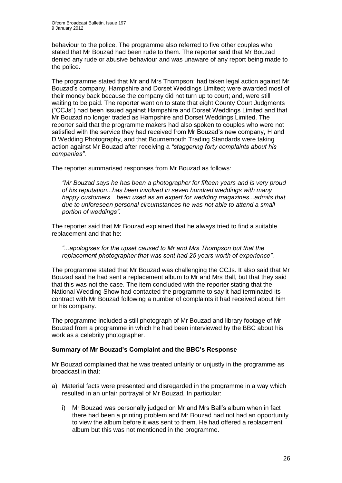behaviour to the police. The programme also referred to five other couples who stated that Mr Bouzad had been rude to them. The reporter said that Mr Bouzad denied any rude or abusive behaviour and was unaware of any report being made to the police.

The programme stated that Mr and Mrs Thompson: had taken legal action against Mr Bouzad"s company, Hampshire and Dorset Weddings Limited; were awarded most of their money back because the company did not turn up to court; and, were still waiting to be paid. The reporter went on to state that eight County Court Judgments ("CCJs") had been issued against Hampshire and Dorset Weddings Limited and that Mr Bouzad no longer traded as Hampshire and Dorset Weddings Limited. The reporter said that the programme makers had also spoken to couples who were not satisfied with the service they had received from Mr Bouzad"s new company, H and D Wedding Photography, and that Bournemouth Trading Standards were taking action against Mr Bouzad after receiving a *"staggering forty complaints about his companies"*.

The reporter summarised responses from Mr Bouzad as follows:

*"Mr Bouzad says he has been a photographer for fifteen years and is very proud of his reputation...has been involved in seven hundred weddings with many happy customers…been used as an expert for wedding magazines*...*admits that due to unforeseen personal circumstances he was not able to attend a small portion of weddings"*.

The reporter said that Mr Bouzad explained that he always tried to find a suitable replacement and that he:

*"...apologises for the upset caused to Mr and Mrs Thompson but that the replacement photographer that was sent had 25 years worth of experience"*.

The programme stated that Mr Bouzad was challenging the CCJs. It also said that Mr Bouzad said he had sent a replacement album to Mr and Mrs Ball, but that they said that this was not the case. The item concluded with the reporter stating that the National Wedding Show had contacted the programme to say it had terminated its contract with Mr Bouzad following a number of complaints it had received about him or his company.

The programme included a still photograph of Mr Bouzad and library footage of Mr Bouzad from a programme in which he had been interviewed by the BBC about his work as a celebrity photographer.

#### **Summary of Mr Bouzad's Complaint and the BBC's Response**

Mr Bouzad complained that he was treated unfairly or unjustly in the programme as broadcast in that:

- a) Material facts were presented and disregarded in the programme in a way which resulted in an unfair portrayal of Mr Bouzad. In particular:
	- i) Mr Bouzad was personally judged on Mr and Mrs Ball"s album when in fact there had been a printing problem and Mr Bouzad had not had an opportunity to view the album before it was sent to them. He had offered a replacement album but this was not mentioned in the programme.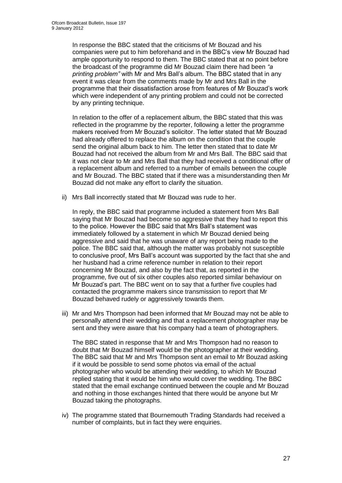In response the BBC stated that the criticisms of Mr Bouzad and his companies were put to him beforehand and in the BBC"s view Mr Bouzad had ample opportunity to respond to them. The BBC stated that at no point before the broadcast of the programme did Mr Bouzad claim there had been *"a printing problem"* with Mr and Mrs Ball"s album. The BBC stated that in any event it was clear from the comments made by Mr and Mrs Ball in the programme that their dissatisfaction arose from features of Mr Bouzad"s work which were independent of any printing problem and could not be corrected by any printing technique.

In relation to the offer of a replacement album, the BBC stated that this was reflected in the programme by the reporter, following a letter the programme makers received from Mr Bouzad"s solicitor. The letter stated that Mr Bouzad had already offered to replace the album on the condition that the couple send the original album back to him. The letter then stated that to date Mr Bouzad had not received the album from Mr and Mrs Ball. The BBC said that it was not clear to Mr and Mrs Ball that they had received a conditional offer of a replacement album and referred to a number of emails between the couple and Mr Bouzad. The BBC stated that if there was a misunderstanding then Mr Bouzad did not make any effort to clarify the situation.

ii) Mrs Ball incorrectly stated that Mr Bouzad was rude to her.

In reply, the BBC said that programme included a statement from Mrs Ball saying that Mr Bouzad had become so aggressive that they had to report this to the police. However the BBC said that Mrs Ball"s statement was immediately followed by a statement in which Mr Bouzad denied being aggressive and said that he was unaware of any report being made to the police. The BBC said that, although the matter was probably not susceptible to conclusive proof, Mrs Ball"s account was supported by the fact that she and her husband had a crime reference number in relation to their report concerning Mr Bouzad, and also by the fact that, as reported in the programme, five out of six other couples also reported similar behaviour on Mr Bouzad"s part. The BBC went on to say that a further five couples had contacted the programme makers since transmission to report that Mr Bouzad behaved rudely or aggressively towards them.

iii) Mr and Mrs Thompson had been informed that Mr Bouzad may not be able to personally attend their wedding and that a replacement photographer may be sent and they were aware that his company had a team of photographers.

The BBC stated in response that Mr and Mrs Thompson had no reason to doubt that Mr Bouzad himself would be the photographer at their wedding. The BBC said that Mr and Mrs Thompson sent an email to Mr Bouzad asking if it would be possible to send some photos via email of the actual photographer who would be attending their wedding, to which Mr Bouzad replied stating that it would be him who would cover the wedding. The BBC stated that the email exchange continued between the couple and Mr Bouzad and nothing in those exchanges hinted that there would be anyone but Mr Bouzad taking the photographs.

iv) The programme stated that Bournemouth Trading Standards had received a number of complaints, but in fact they were enquiries.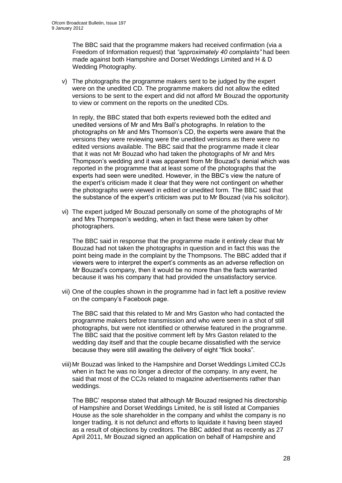The BBC said that the programme makers had received confirmation (via a Freedom of Information request) that *"approximately 40 complaints"* had been made against both Hampshire and Dorset Weddings Limited and H & D Wedding Photography.

v) The photographs the programme makers sent to be judged by the expert were on the unedited CD. The programme makers did not allow the edited versions to be sent to the expert and did not afford Mr Bouzad the opportunity to view or comment on the reports on the unedited CDs.

In reply, the BBC stated that both experts reviewed both the edited and unedited versions of Mr and Mrs Ball"s photographs. In relation to the photographs on Mr and Mrs Thomson"s CD, the experts were aware that the versions they were reviewing were the unedited versions as there were no edited versions available. The BBC said that the programme made it clear that it was not Mr Bouzad who had taken the photographs of Mr and Mrs Thompson"s wedding and it was apparent from Mr Bouzad"s denial which was reported in the programme that at least some of the photographs that the experts had seen were unedited. However, in the BBC"s view the nature of the expert"s criticism made it clear that they were not contingent on whether the photographs were viewed in edited or unedited form. The BBC said that the substance of the expert"s criticism was put to Mr Bouzad (via his solicitor).

vi) The expert judged Mr Bouzad personally on some of the photographs of Mr and Mrs Thompson"s wedding, when in fact these were taken by other photographers.

The BBC said in response that the programme made it entirely clear that Mr Bouzad had not taken the photographs in question and in fact this was the point being made in the complaint by the Thompsons. The BBC added that if viewers were to interpret the expert"s comments as an adverse reflection on Mr Bouzad"s company, then it would be no more than the facts warranted because it was his company that had provided the unsatisfactory service.

vii) One of the couples shown in the programme had in fact left a positive review on the company"s Facebook page.

The BBC said that this related to Mr and Mrs Gaston who had contacted the programme makers before transmission and who were seen in a shot of still photographs, but were not identified or otherwise featured in the programme. The BBC said that the positive comment left by Mrs Gaston related to the wedding day itself and that the couple became dissatisfied with the service because they were still awaiting the delivery of eight "flick books".

viii)Mr Bouzad was linked to the Hampshire and Dorset Weddings Limited CCJs when in fact he was no longer a director of the company. In any event, he said that most of the CCJs related to magazine advertisements rather than weddings.

The BBC" response stated that although Mr Bouzad resigned his directorship of Hampshire and Dorset Weddings Limited, he is still listed at Companies House as the sole shareholder in the company and whilst the company is no longer trading, it is not defunct and efforts to liquidate it having been stayed as a result of objections by creditors. The BBC added that as recently as 27 April 2011, Mr Bouzad signed an application on behalf of Hampshire and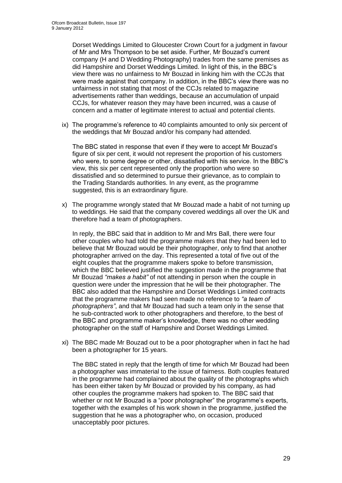Dorset Weddings Limited to Gloucester Crown Court for a judgment in favour of Mr and Mrs Thompson to be set aside. Further, Mr Bouzad"s current company (H and D Wedding Photography) trades from the same premises as did Hampshire and Dorset Weddings Limited. In light of this, in the BBC"s view there was no unfairness to Mr Bouzad in linking him with the CCJs that were made against that company. In addition, in the BBC"s view there was no unfairness in not stating that most of the CCJs related to magazine advertisements rather than weddings, because an accumulation of unpaid CCJs, for whatever reason they may have been incurred, was a cause of concern and a matter of legitimate interest to actual and potential clients.

ix) The programme's reference to 40 complaints amounted to only six percent of the weddings that Mr Bouzad and/or his company had attended.

The BBC stated in response that even if they were to accept Mr Bouzad"s figure of six per cent, it would not represent the proportion of his customers who were, to some degree or other, dissatisfied with his service. In the BBC"s view, this six per cent represented only the proportion who were so dissatisfied and so determined to pursue their grievance, as to complain to the Trading Standards authorities. In any event, as the programme suggested, this is an extraordinary figure.

x) The programme wrongly stated that Mr Bouzad made a habit of not turning up to weddings. He said that the company covered weddings all over the UK and therefore had a team of photographers.

In reply, the BBC said that in addition to Mr and Mrs Ball, there were four other couples who had told the programme makers that they had been led to believe that Mr Bouzad would be their photographer, only to find that another photographer arrived on the day. This represented a total of five out of the eight couples that the programme makers spoke to before transmission, which the BBC believed justified the suggestion made in the programme that Mr Bouzad *"makes a habit"* of not attending in person when the couple in question were under the impression that he will be their photographer. The BBC also added that the Hampshire and Dorset Weddings Limited contracts that the programme makers had seen made no reference to *"a team of photographers"*, and that Mr Bouzad had such a team only in the sense that he sub-contracted work to other photographers and therefore, to the best of the BBC and programme maker"s knowledge, there was no other wedding photographer on the staff of Hampshire and Dorset Weddings Limited.

xi) The BBC made Mr Bouzad out to be a poor photographer when in fact he had been a photographer for 15 years.

The BBC stated in reply that the length of time for which Mr Bouzad had been a photographer was immaterial to the issue of fairness. Both couples featured in the programme had complained about the quality of the photographs which has been either taken by Mr Bouzad or provided by his company, as had other couples the programme makers had spoken to. The BBC said that whether or not Mr Bouzad is a "poor photographer" the programme's experts, together with the examples of his work shown in the programme, justified the suggestion that he was a photographer who, on occasion, produced unacceptably poor pictures.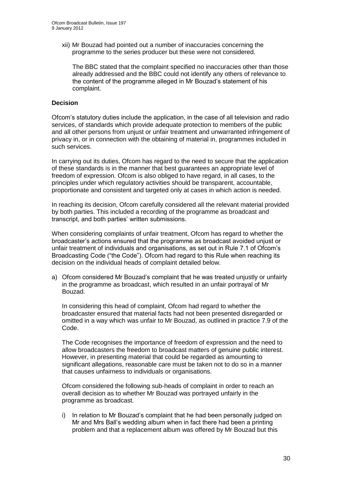xii) Mr Bouzad had pointed out a number of inaccuracies concerning the programme to the series producer but these were not considered.

The BBC stated that the complaint specified no inaccuracies other than those already addressed and the BBC could not identify any others of relevance to the content of the programme alleged in Mr Bouzad"s statement of his complaint.

#### **Decision**

Ofcom"s statutory duties include the application, in the case of all television and radio services, of standards which provide adequate protection to members of the public and all other persons from unjust or unfair treatment and unwarranted infringement of privacy in, or in connection with the obtaining of material in, programmes included in such services.

In carrying out its duties, Ofcom has regard to the need to secure that the application of these standards is in the manner that best guarantees an appropriate level of freedom of expression. Ofcom is also obliged to have regard, in all cases, to the principles under which regulatory activities should be transparent, accountable, proportionate and consistent and targeted only at cases in which action is needed.

In reaching its decision, Ofcom carefully considered all the relevant material provided by both parties. This included a recording of the programme as broadcast and transcript, and both parties' written submissions.

When considering complaints of unfair treatment, Ofcom has regard to whether the broadcaster"s actions ensured that the programme as broadcast avoided unjust or unfair treatment of individuals and organisations, as set out in Rule 7.1 of Ofcom"s Broadcasting Code ("the Code"). Ofcom had regard to this Rule when reaching its decision on the individual heads of complaint detailed below.

a) Ofcom considered Mr Bouzad"s complaint that he was treated unjustly or unfairly in the programme as broadcast, which resulted in an unfair portrayal of Mr Bouzad.

In considering this head of complaint, Ofcom had regard to whether the broadcaster ensured that material facts had not been presented disregarded or omitted in a way which was unfair to Mr Bouzad, as outlined in practice 7.9 of the Code.

The Code recognises the importance of freedom of expression and the need to allow broadcasters the freedom to broadcast matters of genuine public interest. However, in presenting material that could be regarded as amounting to significant allegations, reasonable care must be taken not to do so in a manner that causes unfairness to individuals or organisations.

Ofcom considered the following sub-heads of complaint in order to reach an overall decision as to whether Mr Bouzad was portrayed unfairly in the programme as broadcast.

i) In relation to Mr Bouzad"s complaint that he had been personally judged on Mr and Mrs Ball"s wedding album when in fact there had been a printing problem and that a replacement album was offered by Mr Bouzad but this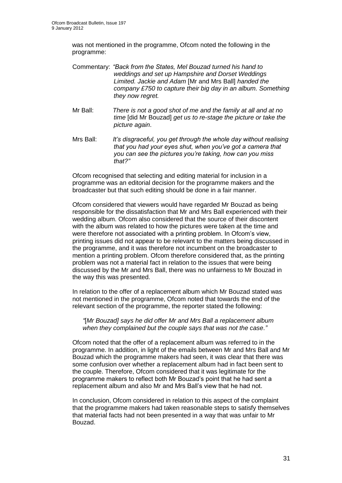was not mentioned in the programme, Ofcom noted the following in the programme:

- Commentary: *"Back from the States, Mel Bouzad turned his hand to weddings and set up Hampshire and Dorset Weddings Limited. Jackie and Adam* [Mr and Mrs Ball] *handed the company £750 to capture their big day in an album. Something they now regret.*
- Mr Ball: *There is not a good shot of me and the family at all and at no time* [did Mr Bouzad] *get us to re-stage the picture or take the picture again*.
- Mrs Ball: *It"s disgraceful, you get through the whole day without realising that you had your eyes shut, when you"ve got a camera that you can see the pictures you"re taking, how can you miss that?"*

Ofcom recognised that selecting and editing material for inclusion in a programme was an editorial decision for the programme makers and the broadcaster but that such editing should be done in a fair manner.

Ofcom considered that viewers would have regarded Mr Bouzad as being responsible for the dissatisfaction that Mr and Mrs Ball experienced with their wedding album. Ofcom also considered that the source of their discontent with the album was related to how the pictures were taken at the time and were therefore not associated with a printing problem. In Ofcom's view, printing issues did not appear to be relevant to the matters being discussed in the programme, and it was therefore not incumbent on the broadcaster to mention a printing problem. Ofcom therefore considered that, as the printing problem was not a material fact in relation to the issues that were being discussed by the Mr and Mrs Ball, there was no unfairness to Mr Bouzad in the way this was presented.

In relation to the offer of a replacement album which Mr Bouzad stated was not mentioned in the programme, Ofcom noted that towards the end of the relevant section of the programme, the reporter stated the following:

*"*[*Mr Bouzad] says he did offer Mr and Mrs Ball a replacement album when they complained but the couple says that was not the case*.*"*

Ofcom noted that the offer of a replacement album was referred to in the programme. In addition, in light of the emails between Mr and Mrs Ball and Mr Bouzad which the programme makers had seen, it was clear that there was some confusion over whether a replacement album had in fact been sent to the couple. Therefore, Ofcom considered that it was legitimate for the programme makers to reflect both Mr Bouzad"s point that he had sent a replacement album and also Mr and Mrs Ball"s view that he had not.

In conclusion, Ofcom considered in relation to this aspect of the complaint that the programme makers had taken reasonable steps to satisfy themselves that material facts had not been presented in a way that was unfair to Mr Bouzad.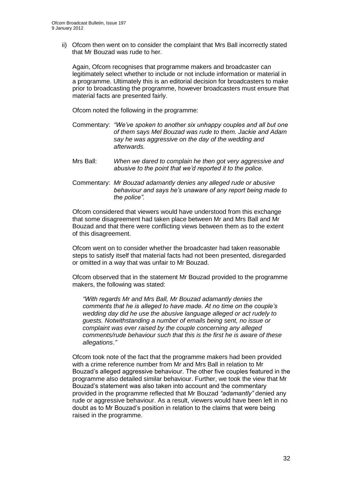ii) Ofcom then went on to consider the complaint that Mrs Ball incorrectly stated that Mr Bouzad was rude to her.

Again, Ofcom recognises that programme makers and broadcaster can legitimately select whether to include or not include information or material in a programme. Ultimately this is an editorial decision for broadcasters to make prior to broadcasting the programme, however broadcasters must ensure that material facts are presented fairly.

Ofcom noted the following in the programme:

- Commentary: *"We"ve spoken to another six unhappy couples and all but one of them says Mel Bouzad was rude to them. Jackie and Adam say he was aggressive on the day of the wedding and afterwards.*
- Mrs Ball: *When we dared to complain he then got very aggressive and abusive to the point that we"d reported it to the police.*
- Commentary: *Mr Bouzad adamantly denies any alleged rude or abusive behaviour and says he"s unaware of any report being made to the police".*

Ofcom considered that viewers would have understood from this exchange that some disagreement had taken place between Mr and Mrs Ball and Mr Bouzad and that there were conflicting views between them as to the extent of this disagreement.

Ofcom went on to consider whether the broadcaster had taken reasonable steps to satisfy itself that material facts had not been presented, disregarded or omitted in a way that was unfair to Mr Bouzad.

Ofcom observed that in the statement Mr Bouzad provided to the programme makers, the following was stated:

*"With regards Mr and Mrs Ball, Mr Bouzad adamantly denies the comments that he is alleged to have made. At no time on the couple"s wedding day did he use the abusive language alleged or act rudely to guests. Notwithstanding a number of emails being sent, no issue or complaint was ever raised by the couple concerning any alleged comments/rude behaviour such that this is the first he is aware of these allegations*.*"*

Ofcom took note of the fact that the programme makers had been provided with a crime reference number from Mr and Mrs Ball in relation to Mr Bouzad"s alleged aggressive behaviour. The other five couples featured in the programme also detailed similar behaviour. Further, we took the view that Mr Bouzad"s statement was also taken into account and the commentary provided in the programme reflected that Mr Bouzad *"adamantly"* denied any rude or aggressive behaviour. As a result, viewers would have been left in no doubt as to Mr Bouzad"s position in relation to the claims that were being raised in the programme.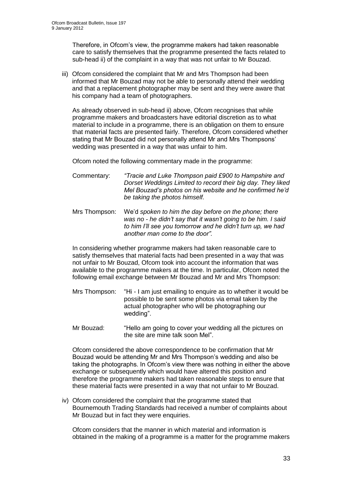Therefore, in Ofcom"s view, the programme makers had taken reasonable care to satisfy themselves that the programme presented the facts related to sub-head ii) of the complaint in a way that was not unfair to Mr Bouzad.

iii) Ofcom considered the complaint that Mr and Mrs Thompson had been informed that Mr Bouzad may not be able to personally attend their wedding and that a replacement photographer may be sent and they were aware that his company had a team of photographers.

As already observed in sub-head ii) above, Ofcom recognises that while programme makers and broadcasters have editorial discretion as to what material to include in a programme, there is an obligation on them to ensure that material facts are presented fairly. Therefore, Ofcom considered whether stating that Mr Bouzad did not personally attend Mr and Mrs Thompsons" wedding was presented in a way that was unfair to him.

Ofcom noted the following commentary made in the programme:

- Commentary: *"Tracie and Luke Thompson paid £900 to Hampshire and Dorset Weddings Limited to record their big day. They liked Mel Bouzad"s photos on his website and he confirmed he"d be taking the photos himself.*
- Mrs Thompson: We"d *spoken to him the day before on the phone; there was no - he didn"t say that it wasn"t going to be him. I said to him I"ll see you tomorrow and he didn"t turn up, we had another man come to the door".*

In considering whether programme makers had taken reasonable care to satisfy themselves that material facts had been presented in a way that was not unfair to Mr Bouzad, Ofcom took into account the information that was available to the programme makers at the time. In particular, Ofcom noted the following email exchange between Mr Bouzad and Mr and Mrs Thompson:

- Mrs Thompson: "Hi I am just emailing to enquire as to whether it would be possible to be sent some photos via email taken by the actual photographer who will be photographing our wedding".
- Mr Bouzad: "Hello am going to cover your wedding all the pictures on the site are mine talk soon Mel".

Ofcom considered the above correspondence to be confirmation that Mr Bouzad would be attending Mr and Mrs Thompson"s wedding and also be taking the photographs. In Ofcom"s view there was nothing in either the above exchange or subsequently which would have altered this position and therefore the programme makers had taken reasonable steps to ensure that these material facts were presented in a way that not unfair to Mr Bouzad.

iv) Ofcom considered the complaint that the programme stated that Bournemouth Trading Standards had received a number of complaints about Mr Bouzad but in fact they were enquiries.

Ofcom considers that the manner in which material and information is obtained in the making of a programme is a matter for the programme makers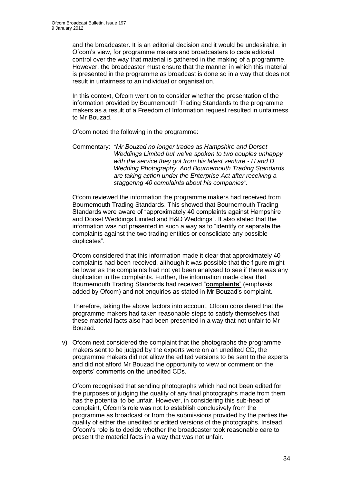and the broadcaster. It is an editorial decision and it would be undesirable, in Ofcom"s view, for programme makers and broadcasters to cede editorial control over the way that material is gathered in the making of a programme. However, the broadcaster must ensure that the manner in which this material is presented in the programme as broadcast is done so in a way that does not result in unfairness to an individual or organisation.

In this context, Ofcom went on to consider whether the presentation of the information provided by Bournemouth Trading Standards to the programme makers as a result of a Freedom of Information request resulted in unfairness to Mr Bouzad.

Ofcom noted the following in the programme:

Commentary: *"Mr Bouzad no longer trades as Hampshire and Dorset Weddings Limited but we"ve spoken to two couples unhappy with the service they got from his latest venture - H and D Wedding Photography. And Bournemouth Trading Standards are taking action under the Enterprise Act after receiving a staggering 40 complaints about his companies".*

Ofcom reviewed the information the programme makers had received from Bournemouth Trading Standards. This showed that Bournemouth Trading Standards were aware of "approximately 40 complaints against Hampshire and Dorset Weddings Limited and H&D Weddings". It also stated that the information was not presented in such a way as to "identify or separate the complaints against the two trading entities or consolidate any possible duplicates".

Ofcom considered that this information made it clear that approximately 40 complaints had been received, although it was possible that the figure might be lower as the complaints had not yet been analysed to see if there was any duplication in the complaints. Further, the information made clear that Bournemouth Trading Standards had received "**complaints**" (emphasis added by Ofcom) and not enquiries as stated in Mr Bouzad"s complaint.

Therefore, taking the above factors into account, Ofcom considered that the programme makers had taken reasonable steps to satisfy themselves that these material facts also had been presented in a way that not unfair to Mr Bouzad.

v) Ofcom next considered the complaint that the photographs the programme makers sent to be judged by the experts were on an unedited CD, the programme makers did not allow the edited versions to be sent to the experts and did not afford Mr Bouzad the opportunity to view or comment on the experts' comments on the unedited CDs.

Ofcom recognised that sending photographs which had not been edited for the purposes of judging the quality of any final photographs made from them has the potential to be unfair. However, in considering this sub-head of complaint, Ofcom"s role was not to establish conclusively from the programme as broadcast or from the submissions provided by the parties the quality of either the unedited or edited versions of the photographs. Instead, Ofcom"s role is to decide whether the broadcaster took reasonable care to present the material facts in a way that was not unfair.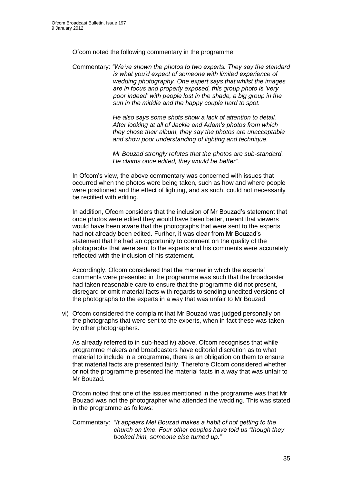Ofcom noted the following commentary in the programme:

Commentary: *"We"ve shown the photos to two experts. They say the standard is what you"d expect of someone with limited experience of wedding photography. One expert says that whilst the images are in focus and properly exposed, this group photo is "very poor indeed" with people lost in the shade, a big group in the sun in the middle and the happy couple hard to spot.* 

> *He also says some shots show a lack of attention to detail. After looking at all of Jackie and Adam"s photos from which they chose their album, they say the photos are unacceptable and show poor understanding of lighting and technique.*

*Mr Bouzad strongly refutes that the photos are sub-standard. He claims once edited, they would be better".*

In Ofcom"s view, the above commentary was concerned with issues that occurred when the photos were being taken, such as how and where people were positioned and the effect of lighting, and as such, could not necessarily be rectified with editing.

In addition, Ofcom considers that the inclusion of Mr Bouzad"s statement that once photos were edited they would have been better, meant that viewers would have been aware that the photographs that were sent to the experts had not already been edited. Further, it was clear from Mr Bouzad"s statement that he had an opportunity to comment on the quality of the photographs that were sent to the experts and his comments were accurately reflected with the inclusion of his statement.

Accordingly, Ofcom considered that the manner in which the experts' comments were presented in the programme was such that the broadcaster had taken reasonable care to ensure that the programme did not present, disregard or omit material facts with regards to sending unedited versions of the photographs to the experts in a way that was unfair to Mr Bouzad.

vi) Ofcom considered the complaint that Mr Bouzad was judged personally on the photographs that were sent to the experts, when in fact these was taken by other photographers.

As already referred to in sub-head iv) above, Ofcom recognises that while programme makers and broadcasters have editorial discretion as to what material to include in a programme, there is an obligation on them to ensure that material facts are presented fairly. Therefore Ofcom considered whether or not the programme presented the material facts in a way that was unfair to Mr Bouzad.

Ofcom noted that one of the issues mentioned in the programme was that Mr Bouzad was not the photographer who attended the wedding. This was stated in the programme as follows:

Commentary: *"It appears Mel Bouzad makes a habit of not getting to the church on time. Four other couples have told us "though they booked him, someone else turned up*.*"*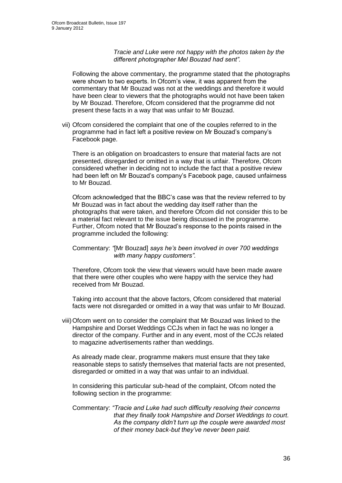*Tracie and Luke were not happy with the photos taken by the different photographer Mel Bouzad had sent".*

Following the above commentary, the programme stated that the photographs were shown to two experts. In Ofcom"s view, it was apparent from the commentary that Mr Bouzad was not at the weddings and therefore it would have been clear to viewers that the photographs would not have been taken by Mr Bouzad. Therefore, Ofcom considered that the programme did not present these facts in a way that was unfair to Mr Bouzad.

vii) Ofcom considered the complaint that one of the couples referred to in the programme had in fact left a positive review on Mr Bouzad"s company"s Facebook page.

There is an obligation on broadcasters to ensure that material facts are not presented, disregarded or omitted in a way that is unfair. Therefore, Ofcom considered whether in deciding not to include the fact that a positive review had been left on Mr Bouzad"s company"s Facebook page, caused unfairness to Mr Bouzad.

Ofcom acknowledged that the BBC"s case was that the review referred to by Mr Bouzad was in fact about the wedding day itself rather than the photographs that were taken, and therefore Ofcom did not consider this to be a material fact relevant to the issue being discussed in the programme. Further, Ofcom noted that Mr Bouzad"s response to the points raised in the programme included the following:

Commentary: *"*[Mr Bouzad] *says he"s been involved in over 700 weddings with many happy customers".*

Therefore, Ofcom took the view that viewers would have been made aware that there were other couples who were happy with the service they had received from Mr Bouzad.

Taking into account that the above factors, Ofcom considered that material facts were not disregarded or omitted in a way that was unfair to Mr Bouzad.

viii)Ofcom went on to consider the complaint that Mr Bouzad was linked to the Hampshire and Dorset Weddings CCJs when in fact he was no longer a director of the company. Further and in any event, most of the CCJs related to magazine advertisements rather than weddings.

As already made clear, programme makers must ensure that they take reasonable steps to satisfy themselves that material facts are not presented, disregarded or omitted in a way that was unfair to an individual.

In considering this particular sub-head of the complaint, Ofcom noted the following section in the programme:

Commentary: *"Tracie and Luke had such difficulty resolving their concerns that they finally took Hampshire and Dorset Weddings to court. As the company didn"t turn up the couple were awarded most of their money back-but they"ve never been paid.*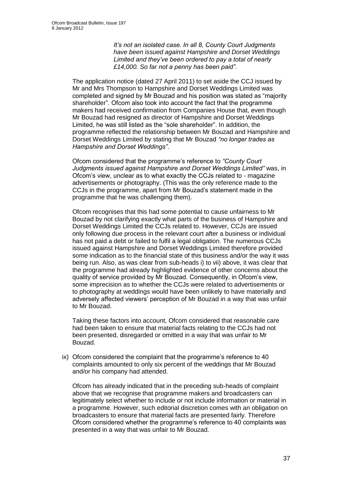*It"s not an isolated case. In all 8, County Court Judgments have been issued against Hampshire and Dorset Weddings Limited and they"ve been ordered to pay a total of nearly £14,000. So far not a penny has been paid"*.

The application notice (dated 27 April 2011) to set aside the CCJ issued by Mr and Mrs Thompson to Hampshire and Dorset Weddings Limited was completed and signed by Mr Bouzad and his position was stated as "majority shareholder". Ofcom also took into account the fact that the programme makers had received confirmation from Companies House that, even though Mr Bouzad had resigned as director of Hampshire and Dorset Weddings Limited, he was still listed as the "sole shareholder". In addition, the programme reflected the relationship between Mr Bouzad and Hampshire and Dorset Weddings Limited by stating that Mr Bouzad *"no longer trades as Hampshire and Dorset Weddings"*.

Ofcom considered that the programme"s reference to *"County Court Judgments issued against Hampshire and Dorset Weddings Limited"* was, in Ofcom"s view, unclear as to what exactly the CCJs related to - magazine advertisements or photography. (This was the only reference made to the CCJs in the programme, apart from Mr Bouzad"s statement made in the programme that he was challenging them).

Ofcom recognises that this had some potential to cause unfairness to Mr Bouzad by not clarifying exactly what parts of the business of Hampshire and Dorset Weddings Limited the CCJs related to. However, CCJs are issued only following due process in the relevant court after a business or individual has not paid a debt or failed to fulfil a legal obligation. The numerous CCJs issued against Hampshire and Dorset Weddings Limited therefore provided some indication as to the financial state of this business and/or the way it was being run. Also, as was clear from sub-heads i) to vii) above, it was clear that the programme had already highlighted evidence of other concerns about the quality of service provided by Mr Bouzad. Consequently, in Ofcom"s view, some imprecision as to whether the CCJs were related to advertisements or to photography at weddings would have been unlikely to have materially and adversely affected viewers" perception of Mr Bouzad in a way that was unfair to Mr Bouzad.

Taking these factors into account, Ofcom considered that reasonable care had been taken to ensure that material facts relating to the CCJs had not been presented, disregarded or omitted in a way that was unfair to Mr Bouzad.

ix) Ofcom considered the complaint that the programme's reference to 40 complaints amounted to only six percent of the weddings that Mr Bouzad and/or his company had attended.

Ofcom has already indicated that in the preceding sub-heads of complaint above that we recognise that programme makers and broadcasters can legitimately select whether to include or not include information or material in a programme. However, such editorial discretion comes with an obligation on broadcasters to ensure that material facts are presented fairly. Therefore Ofcom considered whether the programme's reference to 40 complaints was presented in a way that was unfair to Mr Bouzad.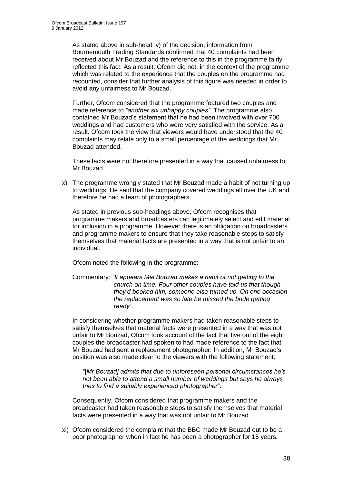As stated above in sub-head iv) of the decision, information from Bournemouth Trading Standards confirmed that 40 complaints had been received about Mr Bouzad and the reference to this in the programme fairly reflected this fact. As a result, Ofcom did not, in the context of the programme which was related to the experience that the couples on the programme had recounted, consider that further analysis of this figure was needed in order to avoid any unfairness to Mr Bouzad.

Further, Ofcom considered that the programme featured two couples and made reference to *"another six unhappy couples"*. The programme also contained Mr Bouzad"s statement that he had been involved with over 700 weddings and had customers who were very satisfied with the service. As a result, Ofcom took the view that viewers would have understood that the 40 complaints may relate only to a small percentage of the weddings that Mr Bouzad attended.

These facts were not therefore presented in a way that caused unfairness to Mr Bouzad.

x) The programme wrongly stated that Mr Bouzad made a habit of not turning up to weddings. He said that the company covered weddings all over the UK and therefore he had a team of photographers.

As stated in previous sub-headings above, Ofcom recognises that programme makers and broadcasters can legitimately select and edit material for inclusion in a programme. However there is an obligation on broadcasters and programme makers to ensure that they take reasonable steps to satisfy themselves that material facts are presented in a way that is not unfair to an individual.

Ofcom noted the following in the programme:

Commentary: *"It appears Mel Bouzad makes a habit of not getting to the church on time. Four other couples have told us that though they"d booked him, someone else turned up. On one occasion the replacement was so late he missed the bride getting ready".*

In considering whether programme makers had taken reasonable steps to satisfy themselves that material facts were presented in a way that was not unfair to Mr Bouzad, Ofcom took account of the fact that five out of the eight couples the broadcaster had spoken to had made reference to the fact that Mr Bouzad had sent a replacement photographer. In addition, Mr Bouzad"s position was also made clear to the viewers with the following statement:

*"*[*Mr Bouzad] admits that due to unforeseen personal circumstances he"s not been able to attend a small number of weddings but says he always tries to find a suitably experienced photographer"*.

Consequently, Ofcom considered that programme makers and the broadcaster had taken reasonable steps to satisfy themselves that material facts were presented in a way that was not unfair to Mr Bouzad.

xi) Ofcom considered the complaint that the BBC made Mr Bouzad out to be a poor photographer when in fact he has been a photographer for 15 years.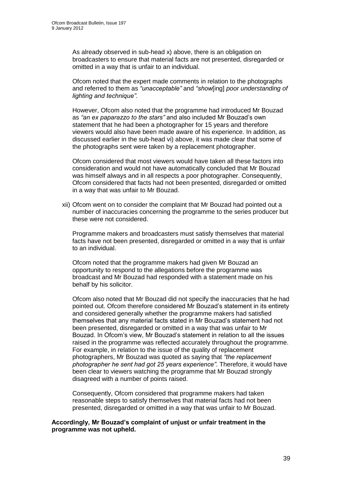As already observed in sub-head x) above, there is an obligation on broadcasters to ensure that material facts are not presented, disregarded or omitted in a way that is unfair to an individual.

Ofcom noted that the expert made comments in relation to the photographs and referred to them as *"unacceptable"* and *"show*[ing] *poor understanding of lighting and technique"*.

However, Ofcom also noted that the programme had introduced Mr Bouzad as *"an ex paparazzo to the stars"* and also included Mr Bouzad"s own statement that he had been a photographer for 15 years and therefore viewers would also have been made aware of his experience. In addition, as discussed earlier in the sub-head vi) above, it was made clear that some of the photographs sent were taken by a replacement photographer.

Ofcom considered that most viewers would have taken all these factors into consideration and would not have automatically concluded that Mr Bouzad was himself always and in all respects a poor photographer. Consequently, Ofcom considered that facts had not been presented, disregarded or omitted in a way that was unfair to Mr Bouzad.

xii) Ofcom went on to consider the complaint that Mr Bouzad had pointed out a number of inaccuracies concerning the programme to the series producer but these were not considered.

Programme makers and broadcasters must satisfy themselves that material facts have not been presented, disregarded or omitted in a way that is unfair to an individual.

Ofcom noted that the programme makers had given Mr Bouzad an opportunity to respond to the allegations before the programme was broadcast and Mr Bouzad had responded with a statement made on his behalf by his solicitor.

Ofcom also noted that Mr Bouzad did not specify the inaccuracies that he had pointed out. Ofcom therefore considered Mr Bouzad"s statement in its entirety and considered generally whether the programme makers had satisfied themselves that any material facts stated in Mr Bouzad"s statement had not been presented, disregarded or omitted in a way that was unfair to Mr Bouzad. In Ofcom"s view, Mr Bouzad"s statement in relation to all the issues raised in the programme was reflected accurately throughout the programme. For example, in relation to the issue of the quality of replacement photographers, Mr Bouzad was quoted as saying that *"the replacement photographer he sent had got 25 years experience"*. Therefore, it would have been clear to viewers watching the programme that Mr Bouzad strongly disagreed with a number of points raised.

Consequently, Ofcom considered that programme makers had taken reasonable steps to satisfy themselves that material facts had not been presented, disregarded or omitted in a way that was unfair to Mr Bouzad.

#### **Accordingly, Mr Bouzad's complaint of unjust or unfair treatment in the programme was not upheld.**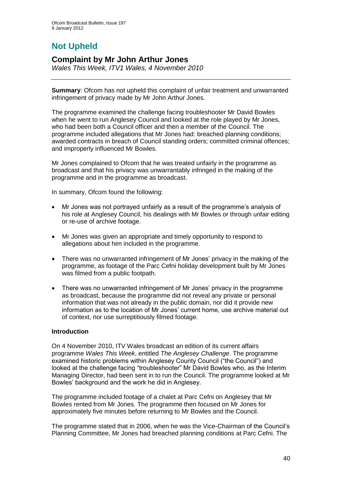# **Not Upheld**

### **Complaint by Mr John Arthur Jones**

*Wales This Week, ITV1 Wales, 4 November 2010*

**Summary**: Ofcom has not upheld this complaint of unfair treatment and unwarranted infringement of privacy made by Mr John Arthur Jones.

The programme examined the challenge facing troubleshooter Mr David Bowles when he went to run Anglesey Council and looked at the role played by Mr Jones, who had been both a Council officer and then a member of the Council. The programme included allegations that Mr Jones had: breached planning conditions; awarded contracts in breach of Council standing orders; committed criminal offences; and improperly influenced Mr Bowles.

Mr Jones complained to Ofcom that he was treated unfairly in the programme as broadcast and that his privacy was unwarrantably infringed in the making of the programme and in the programme as broadcast.

In summary, Ofcom found the following:

- Mr Jones was not portrayed unfairly as a result of the programme"s analysis of his role at Anglesey Council, his dealings with Mr Bowles or through unfair editing or re-use of archive footage.
- Mr Jones was given an appropriate and timely opportunity to respond to allegations about him included in the programme.
- There was no unwarranted infringement of Mr Jones' privacy in the making of the programme, as footage of the Parc Cefni holiday development built by Mr Jones was filmed from a public footpath.
- There was no unwarranted infringement of Mr Jones' privacy in the programme as broadcast, because the programme did not reveal any private or personal information that was not already in the public domain, nor did it provide new information as to the location of Mr Jones" current home, use archive material out of context, nor use surreptitiously filmed footage.

### **Introduction**

On 4 November 2010, ITV Wales broadcast an edition of its current affairs programme *Wales This Week*, entitled *The Anglesey Challenge*. The programme examined historic problems within Anglesey County Council ("the Council") and looked at the challenge facing "troubleshooter" Mr David Bowles who, as the Interim Managing Director, had been sent in to run the Council. The programme looked at Mr Bowles" background and the work he did in Anglesey.

The programme included footage of a chalet at Parc Cefni on Anglesey that Mr Bowles rented from Mr Jones. The programme then focused on Mr Jones for approximately five minutes before returning to Mr Bowles and the Council.

The programme stated that in 2006, when he was the Vice-Chairman of the Council"s Planning Committee, Mr Jones had breached planning conditions at Parc Cefni. The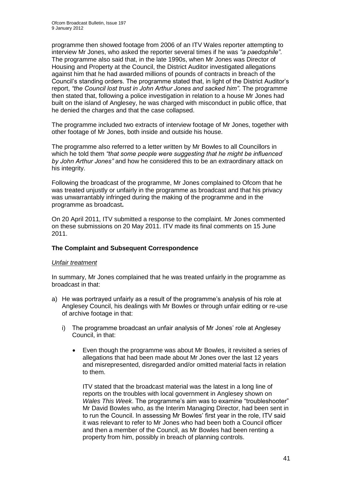programme then showed footage from 2006 of an ITV Wales reporter attempting to interview Mr Jones, who asked the reporter several times if he was *"a paedophile"*. The programme also said that, in the late 1990s, when Mr Jones was Director of Housing and Property at the Council, the District Auditor investigated allegations against him that he had awarded millions of pounds of contracts in breach of the Council"s standing orders. The programme stated that, in light of the District Auditor"s report, *"the Council lost trust in John Arthur Jones and sacked him"*. The programme then stated that, following a police investigation in relation to a house Mr Jones had built on the island of Anglesey, he was charged with misconduct in public office, that he denied the charges and that the case collapsed.

The programme included two extracts of interview footage of Mr Jones, together with other footage of Mr Jones, both inside and outside his house.

The programme also referred to a letter written by Mr Bowles to all Councillors in which he told them *"that some people were suggesting that he might be influenced by John Arthur Jones"* and how he considered this to be an extraordinary attack on his integrity.

Following the broadcast of the programme, Mr Jones complained to Ofcom that he was treated unjustly or unfairly in the programme as broadcast and that his privacy was unwarrantably infringed during the making of the programme and in the programme as broadcast**.**

On 20 April 2011, ITV submitted a response to the complaint. Mr Jones commented on these submissions on 20 May 2011. ITV made its final comments on 15 June 2011.

### **The Complaint and Subsequent Correspondence**

#### *Unfair treatment*

In summary, Mr Jones complained that he was treated unfairly in the programme as broadcast in that:

- a) He was portrayed unfairly as a result of the programme's analysis of his role at Anglesey Council, his dealings with Mr Bowles or through unfair editing or re-use of archive footage in that:
	- i) The programme broadcast an unfair analysis of Mr Jones" role at Anglesey Council, in that:
		- Even though the programme was about Mr Bowles, it revisited a series of allegations that had been made about Mr Jones over the last 12 years and misrepresented, disregarded and/or omitted material facts in relation to them.

ITV stated that the broadcast material was the latest in a long line of reports on the troubles with local government in Anglesey shown on *Wales This Week*. The programme"s aim was to examine "troubleshooter" Mr David Bowles who, as the Interim Managing Director, had been sent in to run the Council. In assessing Mr Bowles" first year in the role, ITV said it was relevant to refer to Mr Jones who had been both a Council officer and then a member of the Council, as Mr Bowles had been renting a property from him, possibly in breach of planning controls.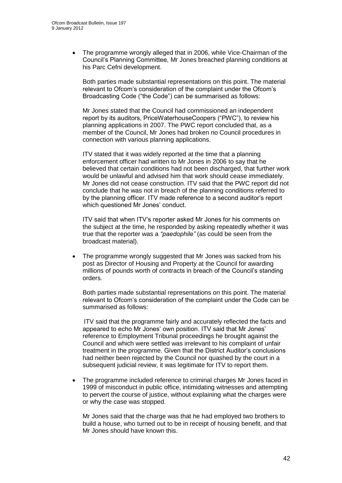The programme wrongly alleged that in 2006, while Vice-Chairman of the Council"s Planning Committee, Mr Jones breached planning conditions at his Parc Cefni development.

Both parties made substantial representations on this point. The material relevant to Ofcom"s consideration of the complaint under the Ofcom"s Broadcasting Code ("the Code") can be summarised as follows:

Mr Jones stated that the Council had commissioned an independent report by its auditors, PriceWaterhouseCoopers ("PWC"), to review his planning applications in 2007. The PWC report concluded that, as a member of the Council, Mr Jones had broken no Council procedures in connection with various planning applications.

ITV stated that it was widely reported at the time that a planning enforcement officer had written to Mr Jones in 2006 to say that he believed that certain conditions had not been discharged, that further work would be unlawful and advised him that work should cease immediately. Mr Jones did not cease construction. ITV said that the PWC report did not conclude that he was not in breach of the planning conditions referred to by the planning officer. ITV made reference to a second auditor"s report which questioned Mr Jones' conduct.

ITV said that when ITV"s reporter asked Mr Jones for his comments on the subject at the time, he responded by asking repeatedly whether it was true that the reporter was a *"paedophile"* (as could be seen from the broadcast material).

 The programme wrongly suggested that Mr Jones was sacked from his post as Director of Housing and Property at the Council for awarding millions of pounds worth of contracts in breach of the Council"s standing orders.

Both parties made substantial representations on this point. The material relevant to Ofcom"s consideration of the complaint under the Code can be summarised as follows:

ITV said that the programme fairly and accurately reflected the facts and appeared to echo Mr Jones' own position. ITV said that Mr Jones' reference to Employment Tribunal proceedings he brought against the Council and which were settled was irrelevant to his complaint of unfair treatment in the programme. Given that the District Auditor"s conclusions had neither been rejected by the Council nor quashed by the court in a subsequent judicial review, it was legitimate for ITV to report them.

 The programme included reference to criminal charges Mr Jones faced in 1999 of misconduct in public office, intimidating witnesses and attempting to pervert the course of justice, without explaining what the charges were or why the case was stopped.

Mr Jones said that the charge was that he had employed two brothers to build a house, who turned out to be in receipt of housing benefit, and that Mr Jones should have known this.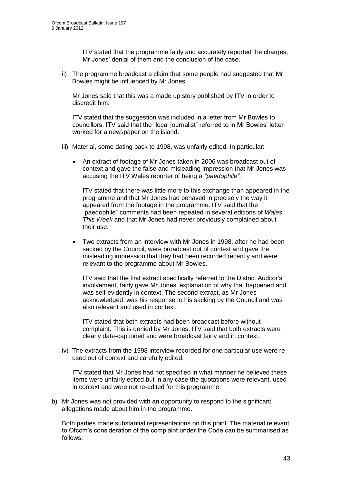ITV stated that the programme fairly and accurately reported the charges, Mr Jones' denial of them and the conclusion of the case.

ii) The programme broadcast a claim that some people had suggested that Mr Bowles might be influenced by Mr Jones.

Mr Jones said that this was a made up story published by ITV in order to discredit him.

ITV stated that the suggestion was included in a letter from Mr Bowles to councillors. ITV said that the "local journalist" referred to in Mr Bowles" letter worked for a newspaper on the island.

- iii) Material, some dating back to 1998, was unfairly edited. In particular:
	- An extract of footage of Mr Jones taken in 2006 was broadcast out of context and gave the false and misleading impression that Mr Jones was accusing the ITV Wales reporter of being a *"paedophile"*.

ITV stated that there was little more to this exchange than appeared in the programme and that Mr Jones had behaved in precisely the way it appeared from the footage in the programme. ITV said that the "paedophile" comments had been repeated in several editions of *Wales This Week* and that Mr Jones had never previously complained about their use.

 Two extracts from an interview with Mr Jones in 1998, after he had been sacked by the Council, were broadcast out of context and gave the misleading impression that they had been recorded recently and were relevant to the programme about Mr Bowles.

ITV said that the first extract specifically referred to the District Auditor"s involvement, fairly gave Mr Jones' explanation of why that happened and was self-evidently in context. The second extract, as Mr Jones acknowledged, was his response to his sacking by the Council and was also relevant and used in context.

ITV stated that both extracts had been broadcast before without complaint. This is denied by Mr Jones. ITV said that both extracts were clearly date-captioned and were broadcast fairly and in context.

iv) The extracts from the 1998 interview recorded for one particular use were reused out of context and carefully edited.

ITV stated that Mr Jones had not specified in what manner he believed these items were unfairly edited but in any case the quotations were relevant, used in context and were not re-edited for this programme.

b) Mr Jones was not provided with an opportunity to respond to the significant allegations made about him in the programme.

Both parties made substantial representations on this point. The material relevant to Ofcom"s consideration of the complaint under the Code can be summarised as follows: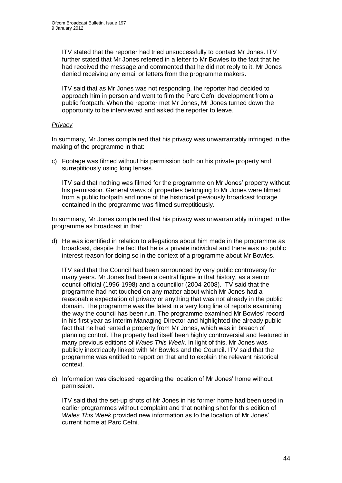ITV stated that the reporter had tried unsuccessfully to contact Mr Jones. ITV further stated that Mr Jones referred in a letter to Mr Bowles to the fact that he had received the message and commented that he did not reply to it. Mr Jones denied receiving any email or letters from the programme makers.

ITV said that as Mr Jones was not responding, the reporter had decided to approach him in person and went to film the Parc Cefni development from a public footpath. When the reporter met Mr Jones, Mr Jones turned down the opportunity to be interviewed and asked the reporter to leave.

### *Privacy*

In summary, Mr Jones complained that his privacy was unwarrantably infringed in the making of the programme in that:

c) Footage was filmed without his permission both on his private property and surreptitiously using long lenses.

ITV said that nothing was filmed for the programme on Mr Jones" property without his permission. General views of properties belonging to Mr Jones were filmed from a public footpath and none of the historical previously broadcast footage contained in the programme was filmed surreptitiously.

In summary, Mr Jones complained that his privacy was unwarrantably infringed in the programme as broadcast in that:

d) He was identified in relation to allegations about him made in the programme as broadcast, despite the fact that he is a private individual and there was no public interest reason for doing so in the context of a programme about Mr Bowles.

ITV said that the Council had been surrounded by very public controversy for many years. Mr Jones had been a central figure in that history, as a senior council official (1996-1998) and a councillor (2004-2008). ITV said that the programme had not touched on any matter about which Mr Jones had a reasonable expectation of privacy or anything that was not already in the public domain. The programme was the latest in a very long line of reports examining the way the council has been run. The programme examined Mr Bowles" record in his first year as Interim Managing Director and highlighted the already public fact that he had rented a property from Mr Jones, which was in breach of planning control. The property had itself been highly controversial and featured in many previous editions of *Wales This Week*. In light of this, Mr Jones was publicly inextricably linked with Mr Bowles and the Council. ITV said that the programme was entitled to report on that and to explain the relevant historical context.

e) Information was disclosed regarding the location of Mr Jones" home without permission.

ITV said that the set-up shots of Mr Jones in his former home had been used in earlier programmes without complaint and that nothing shot for this edition of *Wales This Week* provided new information as to the location of Mr Jones" current home at Parc Cefni.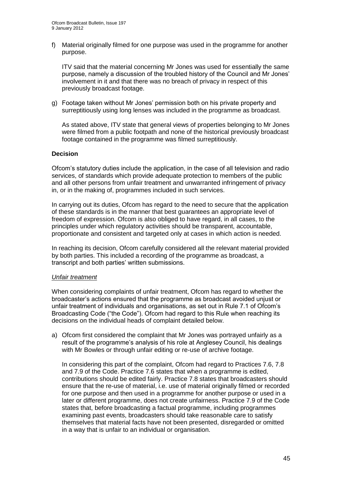f) Material originally filmed for one purpose was used in the programme for another purpose.

ITV said that the material concerning Mr Jones was used for essentially the same purpose, namely a discussion of the troubled history of the Council and Mr Jones" involvement in it and that there was no breach of privacy in respect of this previously broadcast footage.

g) Footage taken without Mr Jones" permission both on his private property and surreptitiously using long lenses was included in the programme as broadcast.

As stated above, ITV state that general views of properties belonging to Mr Jones were filmed from a public footpath and none of the historical previously broadcast footage contained in the programme was filmed surreptitiously.

### **Decision**

Ofcom"s statutory duties include the application, in the case of all television and radio services, of standards which provide adequate protection to members of the public and all other persons from unfair treatment and unwarranted infringement of privacy in, or in the making of, programmes included in such services.

In carrying out its duties, Ofcom has regard to the need to secure that the application of these standards is in the manner that best guarantees an appropriate level of freedom of expression. Ofcom is also obliged to have regard, in all cases, to the principles under which regulatory activities should be transparent, accountable, proportionate and consistent and targeted only at cases in which action is needed.

In reaching its decision, Ofcom carefully considered all the relevant material provided by both parties. This included a recording of the programme as broadcast, a transcript and both parties" written submissions.

#### *Unfair treatment*

When considering complaints of unfair treatment, Ofcom has regard to whether the broadcaster"s actions ensured that the programme as broadcast avoided unjust or unfair treatment of individuals and organisations, as set out in Rule 7.1 of Ofcom"s Broadcasting Code ("the Code"). Ofcom had regard to this Rule when reaching its decisions on the individual heads of complaint detailed below.

a) Ofcom first considered the complaint that Mr Jones was portrayed unfairly as a result of the programme"s analysis of his role at Anglesey Council, his dealings with Mr Bowles or through unfair editing or re-use of archive footage.

In considering this part of the complaint, Ofcom had regard to Practices 7.6, 7.8 and 7.9 of the Code. Practice 7.6 states that when a programme is edited, contributions should be edited fairly. Practice 7.8 states that broadcasters should ensure that the re-use of material, i.e. use of material originally filmed or recorded for one purpose and then used in a programme for another purpose or used in a later or different programme, does not create unfairness. Practice 7.9 of the Code states that, before broadcasting a factual programme, including programmes examining past events, broadcasters should take reasonable care to satisfy themselves that material facts have not been presented, disregarded or omitted in a way that is unfair to an individual or organisation.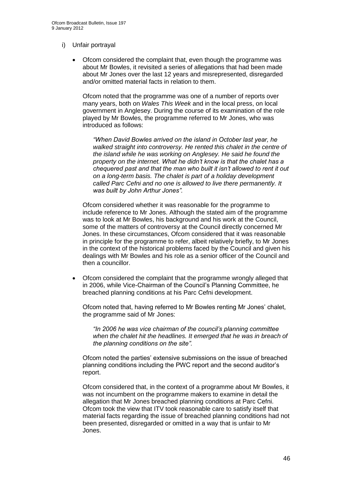### i) Unfair portrayal

 Ofcom considered the complaint that, even though the programme was about Mr Bowles, it revisited a series of allegations that had been made about Mr Jones over the last 12 years and misrepresented, disregarded and/or omitted material facts in relation to them.

Ofcom noted that the programme was one of a number of reports over many years, both on *Wales This Week* and in the local press, on local government in Anglesey. During the course of its examination of the role played by Mr Bowles, the programme referred to Mr Jones, who was introduced as follows:

*"When David Bowles arrived on the island in October last year, he walked straight into controversy. He rented this chalet in the centre of the island while he was working on Anglesey. He said he found the property on the internet. What he didn"t know is that the chalet has a chequered past and that the man who built it isn"t allowed to rent it out on a long-term basis. The chalet is part of a holiday development called Parc Cefni and no one is allowed to live there permanently. It was built by John Arthur Jones".* 

Ofcom considered whether it was reasonable for the programme to include reference to Mr Jones. Although the stated aim of the programme was to look at Mr Bowles, his background and his work at the Council, some of the matters of controversy at the Council directly concerned Mr Jones. In these circumstances, Ofcom considered that it was reasonable in principle for the programme to refer, albeit relatively briefly, to Mr Jones in the context of the historical problems faced by the Council and given his dealings with Mr Bowles and his role as a senior officer of the Council and then a councillor.

 Ofcom considered the complaint that the programme wrongly alleged that in 2006, while Vice-Chairman of the Council"s Planning Committee, he breached planning conditions at his Parc Cefni development.

Ofcom noted that, having referred to Mr Bowles renting Mr Jones" chalet, the programme said of Mr Jones:

*"In 2006 he was vice chairman of the council"s planning committee when the chalet hit the headlines. It emerged that he was in breach of the planning conditions on the site".*

Ofcom noted the parties" extensive submissions on the issue of breached planning conditions including the PWC report and the second auditor"s report.

Ofcom considered that, in the context of a programme about Mr Bowles, it was not incumbent on the programme makers to examine in detail the allegation that Mr Jones breached planning conditions at Parc Cefni. Ofcom took the view that ITV took reasonable care to satisfy itself that material facts regarding the issue of breached planning conditions had not been presented, disregarded or omitted in a way that is unfair to Mr Jones.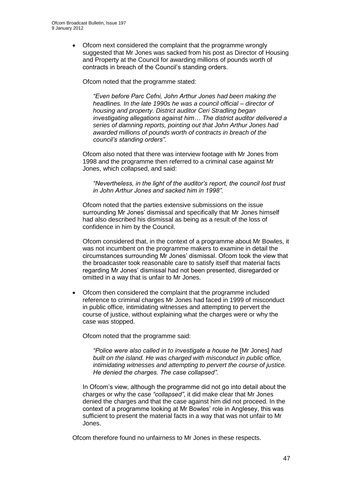• Ofcom next considered the complaint that the programme wrongly suggested that Mr Jones was sacked from his post as Director of Housing and Property at the Council for awarding millions of pounds worth of contracts in breach of the Council's standing orders.

Ofcom noted that the programme stated:

*"Even before Parc Cefni, John Arthur Jones had been making the headlines. In the late 1990s he was a council official – director of housing and property. District auditor Ceri Stradling began investigating allegations against him… The district auditor delivered a series of damning reports, pointing out that John Arthur Jones had awarded millions of pounds worth of contracts in breach of the council"s standing orders".*

Ofcom also noted that there was interview footage with Mr Jones from 1998 and the programme then referred to a criminal case against Mr Jones, which collapsed, and said:

*"Nevertheless, in the light of the auditor"s report, the council lost trust in John Arthur Jones and sacked him in 1998".*

Ofcom noted that the parties extensive submissions on the issue surrounding Mr Jones' dismissal and specifically that Mr Jones himself had also described his dismissal as being as a result of the loss of confidence in him by the Council.

Ofcom considered that, in the context of a programme about Mr Bowles, it was not incumbent on the programme makers to examine in detail the circumstances surrounding Mr Jones" dismissal. Ofcom took the view that the broadcaster took reasonable care to satisfy itself that material facts regarding Mr Jones" dismissal had not been presented, disregarded or omitted in a way that is unfair to Mr Jones.

 Ofcom then considered the complaint that the programme included reference to criminal charges Mr Jones had faced in 1999 of misconduct in public office, intimidating witnesses and attempting to pervert the course of justice, without explaining what the charges were or why the case was stopped.

Ofcom noted that the programme said:

*"Police were also called in to investigate a house he* [Mr Jones] *had built on the island. He was charged with misconduct in public office, intimidating witnesses and attempting to pervert the course of justice. He denied the charges. The case collapsed".*

In Ofcom"s view, although the programme did not go into detail about the charges or why the case *"collapsed"*, it did make clear that Mr Jones denied the charges and that the case against him did not proceed. In the context of a programme looking at Mr Bowles" role in Anglesey, this was sufficient to present the material facts in a way that was not unfair to Mr Jones.

Ofcom therefore found no unfairness to Mr Jones in these respects.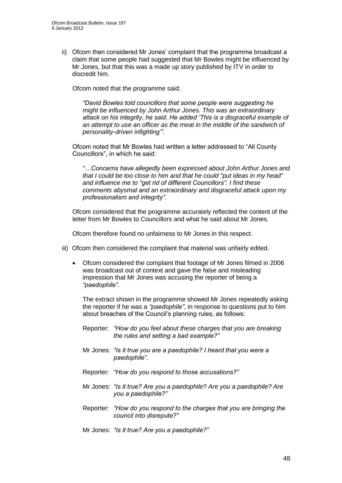ii) Ofcom then considered Mr Jones' complaint that the programme broadcast a claim that some people had suggested that Mr Bowles might be influenced by Mr Jones, but that this was a made up story published by ITV in order to discredit him.

Ofcom noted that the programme said:

*"David Bowles told councillors that some people were suggesting he might be influenced by John Arthur Jones. This was an extraordinary attack on his integrity, he said. He added "This is a disgraceful example of an attempt to use an officer as the meat in the middle of the sandwich of personality-driven infighting"".*

Ofcom noted that Mr Bowles had written a letter addressed to "All County Councillors", in which he said:

*"…Concerns have allegedly been expressed about John Arthur Jones and that I could be too close to him and that he could "put ideas in my head" and influence me to "get rid of different Councillors". I find these comments abysmal and an extraordinary and disgraceful attack upon my professionalism and integrity".*

Ofcom considered that the programme accurately reflected the content of the letter from Mr Bowles to Councillors and what he said about Mr Jones.

Ofcom therefore found no unfairness to Mr Jones in this respect.

- iii) Ofcom then considered the complaint that material was unfairly edited.
	- Ofcom considered the complaint that footage of Mr Jones filmed in 2006 was broadcast out of context and gave the false and misleading impression that Mr Jones was accusing the reporter of being a *"paedophile"*.

The extract shown in the programme showed Mr Jones repeatedly asking the reporter if he was a *"paedophile"*, in response to questions put to him about breaches of the Council"s planning rules, as follows:

- Reporter: *"How do you feel about these charges that you are breaking the rules and setting a bad example?"*
- Mr Jones: *"Is it true you are a paedophile? I heard that you were a paedophile".*
- Reporter: *"How do you respond to those accusations?"*
- Mr Jones: *"Is it true? Are you a paedophile? Are you a paedophile? Are you a paedophile?"*
- Reporter: *"How do you respond to the charges that you are bringing the council into disrepute?"*

Mr Jones: *"Is it true? Are you a paedophile?"*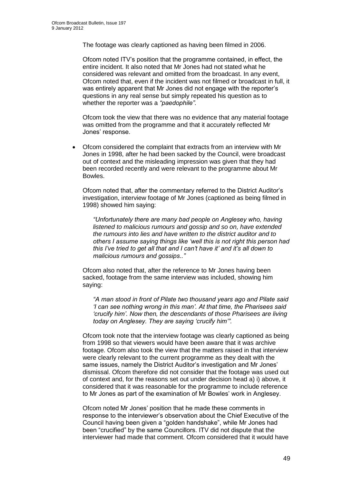The footage was clearly captioned as having been filmed in 2006.

Ofcom noted ITV"s position that the programme contained, in effect, the entire incident. It also noted that Mr Jones had not stated what he considered was relevant and omitted from the broadcast. In any event, Ofcom noted that, even if the incident was not filmed or broadcast in full, it was entirely apparent that Mr Jones did not engage with the reporter"s questions in any real sense but simply repeated his question as to whether the reporter was a *"paedophile"*.

Ofcom took the view that there was no evidence that any material footage was omitted from the programme and that it accurately reflected Mr Jones" response.

 Ofcom considered the complaint that extracts from an interview with Mr Jones in 1998, after he had been sacked by the Council, were broadcast out of context and the misleading impression was given that they had been recorded recently and were relevant to the programme about Mr Bowles.

Ofcom noted that, after the commentary referred to the District Auditor"s investigation, interview footage of Mr Jones (captioned as being filmed in 1998) showed him saying:

*"Unfortunately there are many bad people on Anglesey who, having listened to malicious rumours and gossip and so on, have extended the rumours into lies and have written to the district auditor and to others I assume saying things like "well this is not right this person had this I"ve tried to get all that and I can"t have it" and it"s all down to malicious rumours and gossips.."*

Ofcom also noted that, after the reference to Mr Jones having been sacked, footage from the same interview was included, showing him saying:

*"A man stood in front of Pilate two thousand years ago and Pilate said "I can see nothing wrong in this man". At that time, the Pharisees said "crucify him". Now then, the descendants of those Pharisees are living today on Anglesey. They are saying "crucify him"".*

Ofcom took note that the interview footage was clearly captioned as being from 1998 so that viewers would have been aware that it was archive footage. Ofcom also took the view that the matters raised in that interview were clearly relevant to the current programme as they dealt with the same issues, namely the District Auditor's investigation and Mr Jones' dismissal. Ofcom therefore did not consider that the footage was used out of context and, for the reasons set out under decision head a) i) above, it considered that it was reasonable for the programme to include reference to Mr Jones as part of the examination of Mr Bowles" work in Anglesey.

Ofcom noted Mr Jones" position that he made these comments in response to the interviewer"s observation about the Chief Executive of the Council having been given a "golden handshake", while Mr Jones had been "crucified" by the same Councillors. ITV did not dispute that the interviewer had made that comment. Ofcom considered that it would have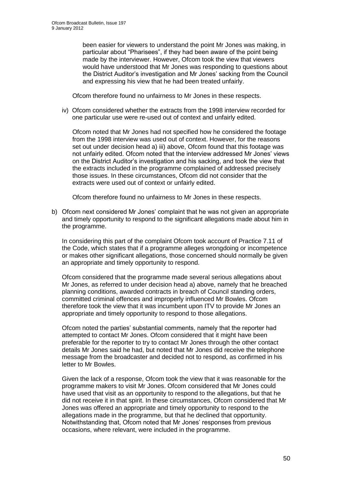been easier for viewers to understand the point Mr Jones was making, in particular about "Pharisees", if they had been aware of the point being made by the interviewer. However, Ofcom took the view that viewers would have understood that Mr Jones was responding to questions about the District Auditor"s investigation and Mr Jones" sacking from the Council and expressing his view that he had been treated unfairly.

Ofcom therefore found no unfairness to Mr Jones in these respects.

iv) Ofcom considered whether the extracts from the 1998 interview recorded for one particular use were re-used out of context and unfairly edited.

Ofcom noted that Mr Jones had not specified how he considered the footage from the 1998 interview was used out of context. However, for the reasons set out under decision head a) iii) above, Ofcom found that this footage was not unfairly edited. Ofcom noted that the interview addressed Mr Jones" views on the District Auditor"s investigation and his sacking, and took the view that the extracts included in the programme complained of addressed precisely those issues. In these circumstances, Ofcom did not consider that the extracts were used out of context or unfairly edited.

Ofcom therefore found no unfairness to Mr Jones in these respects.

b) Ofcom next considered Mr Jones" complaint that he was not given an appropriate and timely opportunity to respond to the significant allegations made about him in the programme.

In considering this part of the complaint Ofcom took account of Practice 7.11 of the Code, which states that if a programme alleges wrongdoing or incompetence or makes other significant allegations, those concerned should normally be given an appropriate and timely opportunity to respond.

Ofcom considered that the programme made several serious allegations about Mr Jones, as referred to under decision head a) above, namely that he breached planning conditions, awarded contracts in breach of Council standing orders, committed criminal offences and improperly influenced Mr Bowles. Ofcom therefore took the view that it was incumbent upon ITV to provide Mr Jones an appropriate and timely opportunity to respond to those allegations.

Ofcom noted the parties" substantial comments, namely that the reporter had attempted to contact Mr Jones. Ofcom considered that it might have been preferable for the reporter to try to contact Mr Jones through the other contact details Mr Jones said he had, but noted that Mr Jones did receive the telephone message from the broadcaster and decided not to respond, as confirmed in his letter to Mr Bowles.

Given the lack of a response, Ofcom took the view that it was reasonable for the programme makers to visit Mr Jones. Ofcom considered that Mr Jones could have used that visit as an opportunity to respond to the allegations, but that he did not receive it in that spirit. In these circumstances, Ofcom considered that Mr Jones was offered an appropriate and timely opportunity to respond to the allegations made in the programme, but that he declined that opportunity. Notwithstanding that, Ofcom noted that Mr Jones" responses from previous occasions, where relevant, were included in the programme.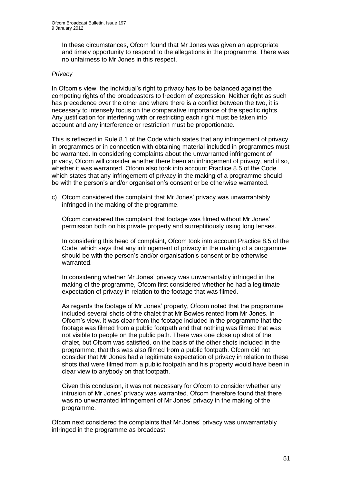In these circumstances, Ofcom found that Mr Jones was given an appropriate and timely opportunity to respond to the allegations in the programme. There was no unfairness to Mr Jones in this respect.

### *Privacy*

In Ofcom"s view, the individual"s right to privacy has to be balanced against the competing rights of the broadcasters to freedom of expression. Neither right as such has precedence over the other and where there is a conflict between the two, it is necessary to intensely focus on the comparative importance of the specific rights. Any justification for interfering with or restricting each right must be taken into account and any interference or restriction must be proportionate.

This is reflected in Rule 8.1 of the Code which states that any infringement of privacy in programmes or in connection with obtaining material included in programmes must be warranted. In considering complaints about the unwarranted infringement of privacy, Ofcom will consider whether there been an infringement of privacy, and if so, whether it was warranted. Ofcom also took into account Practice 8.5 of the Code which states that any infringement of privacy in the making of a programme should be with the person's and/or organisation's consent or be otherwise warranted.

c) Ofcom considered the complaint that Mr Jones" privacy was unwarrantably infringed in the making of the programme.

Ofcom considered the complaint that footage was filmed without Mr Jones" permission both on his private property and surreptitiously using long lenses.

In considering this head of complaint, Ofcom took into account Practice 8.5 of the Code, which says that any infringement of privacy in the making of a programme should be with the person's and/or organisation's consent or be otherwise warranted.

In considering whether Mr Jones' privacy was unwarrantably infringed in the making of the programme, Ofcom first considered whether he had a legitimate expectation of privacy in relation to the footage that was filmed.

As regards the footage of Mr Jones" property, Ofcom noted that the programme included several shots of the chalet that Mr Bowles rented from Mr Jones. In Ofcom"s view, it was clear from the footage included in the programme that the footage was filmed from a public footpath and that nothing was filmed that was not visible to people on the public path. There was one close up shot of the chalet, but Ofcom was satisfied, on the basis of the other shots included in the programme, that this was also filmed from a public footpath. Ofcom did not consider that Mr Jones had a legitimate expectation of privacy in relation to these shots that were filmed from a public footpath and his property would have been in clear view to anybody on that footpath.

Given this conclusion, it was not necessary for Ofcom to consider whether any intrusion of Mr Jones" privacy was warranted. Ofcom therefore found that there was no unwarranted infringement of Mr Jones' privacy in the making of the programme.

Ofcom next considered the complaints that Mr Jones" privacy was unwarrantably infringed in the programme as broadcast.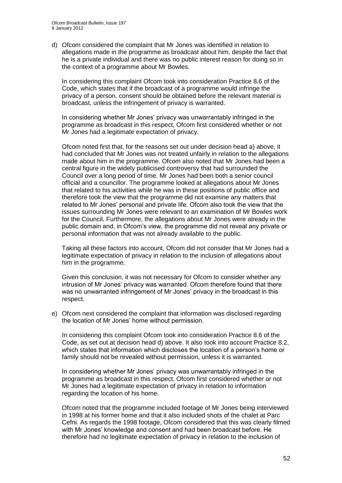d) Ofcom considered the complaint that Mr Jones was identified in relation to allegations made in the programme as broadcast about him, despite the fact that he is a private individual and there was no public interest reason for doing so in the context of a programme about Mr Bowles.

In considering this complaint Ofcom took into consideration Practice 8.6 of the Code, which states that if the broadcast of a programme would infringe the privacy of a person, consent should be obtained before the relevant material is broadcast, unless the infringement of privacy is warranted.

In considering whether Mr Jones" privacy was unwarrantably infringed in the programme as broadcast in this respect, Ofcom first considered whether or not Mr Jones had a legitimate expectation of privacy.

Ofcom noted first that, for the reasons set out under decision head a) above, it had concluded that Mr Jones was not treated unfairly in relation to the allegations made about him in the programme. Ofcom also noted that Mr Jones had been a central figure in the widely publicised controversy that had surrounded the Council over a long period of time. Mr Jones had been both a senior council official and a councillor. The programme looked at allegations about Mr Jones that related to his activities while he was in these positions of public office and therefore took the view that the programme did not examine any matters that related to Mr Jones" personal and private life. Ofcom also took the view that the issues surrounding Mr Jones were relevant to an examination of Mr Bowles work for the Council. Furthermore, the allegations about Mr Jones were already in the public domain and, in Ofcom"s view, the programme did not reveal any private or personal information that was not already available to the public.

Taking all these factors into account, Ofcom did not consider that Mr Jones had a legitimate expectation of privacy in relation to the inclusion of allegations about him in the programme.

Given this conclusion, it was not necessary for Ofcom to consider whether any intrusion of Mr Jones' privacy was warranted. Ofcom therefore found that there was no unwarranted infringement of Mr Jones' privacy in the broadcast in this respect.

e) Ofcom next considered the complaint that information was disclosed regarding the location of Mr Jones' home without permission.

In considering this complaint Ofcom took into consideration Practice 8.6 of the Code, as set out at decision head d) above. It also took into account Practice 8.2, which states that information which discloses the location of a person's home or family should not be revealed without permission, unless it is warranted.

In considering whether Mr Jones" privacy was unwarrantably infringed in the programme as broadcast in this respect, Ofcom first considered whether or not Mr Jones had a legitimate expectation of privacy in relation to information regarding the location of his home.

Ofcom noted that the programme included footage of Mr Jones being interviewed in 1998 at his former home and that it also included shots of the chalet at Parc Cefni. As regards the 1998 footage, Ofcom considered that this was clearly filmed with Mr Jones' knowledge and consent and had been broadcast before. He therefore had no legitimate expectation of privacy in relation to the inclusion of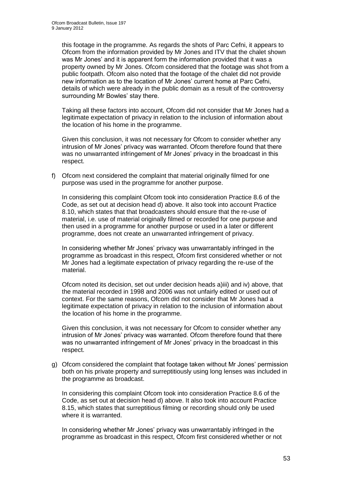this footage in the programme. As regards the shots of Parc Cefni, it appears to Ofcom from the information provided by Mr Jones and ITV that the chalet shown was Mr Jones' and it is apparent form the information provided that it was a property owned by Mr Jones. Ofcom considered that the footage was shot from a public footpath. Ofcom also noted that the footage of the chalet did not provide new information as to the location of Mr Jones" current home at Parc Cefni, details of which were already in the public domain as a result of the controversy surrounding Mr Bowles' stay there.

Taking all these factors into account, Ofcom did not consider that Mr Jones had a legitimate expectation of privacy in relation to the inclusion of information about the location of his home in the programme.

Given this conclusion, it was not necessary for Ofcom to consider whether any intrusion of Mr Jones" privacy was warranted. Ofcom therefore found that there was no unwarranted infringement of Mr Jones' privacy in the broadcast in this respect.

f) Ofcom next considered the complaint that material originally filmed for one purpose was used in the programme for another purpose.

In considering this complaint Ofcom took into consideration Practice 8.6 of the Code, as set out at decision head d) above. It also took into account Practice 8.10, which states that that broadcasters should ensure that the re-use of material, i.e. use of material originally filmed or recorded for one purpose and then used in a programme for another purpose or used in a later or different programme, does not create an unwarranted infringement of privacy.

In considering whether Mr Jones" privacy was unwarrantably infringed in the programme as broadcast in this respect, Ofcom first considered whether or not Mr Jones had a legitimate expectation of privacy regarding the re-use of the material.

Ofcom noted its decision, set out under decision heads a)iii) and iv) above, that the material recorded in 1998 and 2006 was not unfairly edited or used out of context. For the same reasons, Ofcom did not consider that Mr Jones had a legitimate expectation of privacy in relation to the inclusion of information about the location of his home in the programme.

Given this conclusion, it was not necessary for Ofcom to consider whether any intrusion of Mr Jones' privacy was warranted. Ofcom therefore found that there was no unwarranted infringement of Mr Jones' privacy in the broadcast in this respect.

g) Ofcom considered the complaint that footage taken without Mr Jones" permission both on his private property and surreptitiously using long lenses was included in the programme as broadcast.

In considering this complaint Ofcom took into consideration Practice 8.6 of the Code, as set out at decision head d) above. It also took into account Practice 8.15, which states that surreptitious filming or recording should only be used where it is warranted.

In considering whether Mr Jones" privacy was unwarrantably infringed in the programme as broadcast in this respect, Ofcom first considered whether or not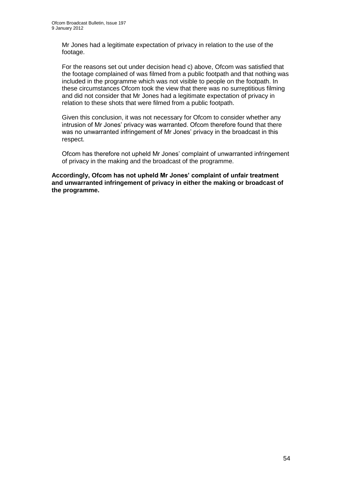Mr Jones had a legitimate expectation of privacy in relation to the use of the footage.

For the reasons set out under decision head c) above, Ofcom was satisfied that the footage complained of was filmed from a public footpath and that nothing was included in the programme which was not visible to people on the footpath. In these circumstances Ofcom took the view that there was no surreptitious filming and did not consider that Mr Jones had a legitimate expectation of privacy in relation to these shots that were filmed from a public footpath.

Given this conclusion, it was not necessary for Ofcom to consider whether any intrusion of Mr Jones" privacy was warranted. Ofcom therefore found that there was no unwarranted infringement of Mr Jones' privacy in the broadcast in this respect.

Ofcom has therefore not upheld Mr Jones" complaint of unwarranted infringement of privacy in the making and the broadcast of the programme.

**Accordingly, Ofcom has not upheld Mr Jones' complaint of unfair treatment and unwarranted infringement of privacy in either the making or broadcast of the programme.**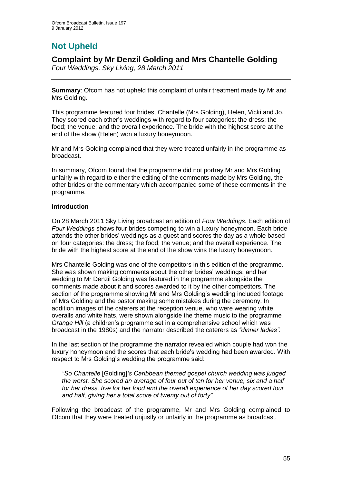# **Not Upheld**

### **Complaint by Mr Denzil Golding and Mrs Chantelle Golding**

*Four Weddings, Sky Living, 28 March 2011*

**Summary**: Ofcom has not upheld this complaint of unfair treatment made by Mr and Mrs Golding.

This programme featured four brides, Chantelle (Mrs Golding), Helen, Vicki and Jo. They scored each other"s weddings with regard to four categories: the dress; the food; the venue; and the overall experience. The bride with the highest score at the end of the show (Helen) won a luxury honeymoon.

Mr and Mrs Golding complained that they were treated unfairly in the programme as broadcast.

In summary, Ofcom found that the programme did not portray Mr and Mrs Golding unfairly with regard to either the editing of the comments made by Mrs Golding, the other brides or the commentary which accompanied some of these comments in the programme.

### **Introduction**

On 28 March 2011 Sky Living broadcast an edition of *Four Weddings*. Each edition of *Four Weddings* shows four brides competing to win a luxury honeymoon. Each bride attends the other brides" weddings as a guest and scores the day as a whole based on four categories: the dress; the food; the venue; and the overall experience. The bride with the highest score at the end of the show wins the luxury honeymoon.

Mrs Chantelle Golding was one of the competitors in this edition of the programme. She was shown making comments about the other brides" weddings; and her wedding to Mr Denzil Golding was featured in the programme alongside the comments made about it and scores awarded to it by the other competitors. The section of the programme showing Mr and Mrs Golding"s wedding included footage of Mrs Golding and the pastor making some mistakes during the ceremony. In addition images of the caterers at the reception venue, who were wearing white overalls and white hats, were shown alongside the theme music to the programme *Grange Hill* (a children's programme set in a comprehensive school which was broadcast in the 1980s) and the narrator described the caterers as *"dinner ladies"*.

In the last section of the programme the narrator revealed which couple had won the luxury honeymoon and the scores that each bride"s wedding had been awarded. With respect to Mrs Golding's wedding the programme said:

*"So Chantelle* [Golding]*"s Caribbean themed gospel church wedding was judged the worst. She scored an average of four out of ten for her venue, six and a half for her dress, five for her food and the overall experience of her day scored four and half, giving her a total score of twenty out of forty".* 

Following the broadcast of the programme, Mr and Mrs Golding complained to Ofcom that they were treated unjustly or unfairly in the programme as broadcast.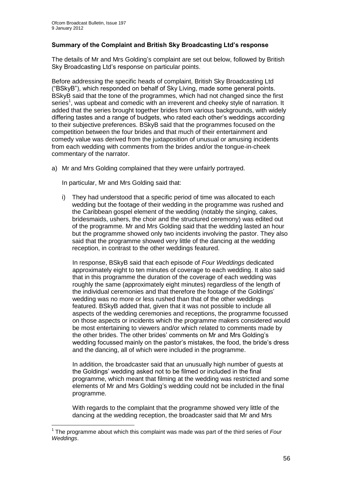1

### **Summary of the Complaint and British Sky Broadcasting Ltd's response**

The details of Mr and Mrs Golding"s complaint are set out below, followed by British Sky Broadcasting Ltd"s response on particular points.

Before addressing the specific heads of complaint, British Sky Broadcasting Ltd ("BSkyB"), which responded on behalf of Sky Living, made some general points. BSkyB said that the tone of the programmes, which had not changed since the first series<sup>1</sup>, was upbeat and comedic with an irreverent and cheeky style of narration. It added that the series brought together brides from various backgrounds, with widely differing tastes and a range of budgets, who rated each other"s weddings according to their subjective preferences. BSkyB said that the programmes focused on the competition between the four brides and that much of their entertainment and comedy value was derived from the juxtaposition of unusual or amusing incidents from each wedding with comments from the brides and/or the tongue-in-cheek commentary of the narrator.

a) Mr and Mrs Golding complained that they were unfairly portrayed.

In particular, Mr and Mrs Golding said that:

i) They had understood that a specific period of time was allocated to each wedding but the footage of their wedding in the programme was rushed and the Caribbean gospel element of the wedding (notably the singing, cakes, bridesmaids, ushers, the choir and the structured ceremony) was edited out of the programme. Mr and Mrs Golding said that the wedding lasted an hour but the programme showed only two incidents involving the pastor. They also said that the programme showed very little of the dancing at the wedding reception, in contrast to the other weddings featured.

In response, BSkyB said that each episode of *Four Weddings* dedicated approximately eight to ten minutes of coverage to each wedding. It also said that in this programme the duration of the coverage of each wedding was roughly the same (approximately eight minutes) regardless of the length of the individual ceremonies and that therefore the footage of the Goldings" wedding was no more or less rushed than that of the other weddings featured. BSkyB added that, given that it was not possible to include all aspects of the wedding ceremonies and receptions, the programme focussed on those aspects or incidents which the programme makers considered would be most entertaining to viewers and/or which related to comments made by the other brides. The other brides" comments on Mr and Mrs Golding"s wedding focussed mainly on the pastor"s mistakes, the food, the bride"s dress and the dancing, all of which were included in the programme.

In addition, the broadcaster said that an unusually high number of guests at the Goldings" wedding asked not to be filmed or included in the final programme, which meant that filming at the wedding was restricted and some elements of Mr and Mrs Golding"s wedding could not be included in the final programme.

With regards to the complaint that the programme showed very little of the dancing at the wedding reception, the broadcaster said that Mr and Mrs

<sup>1</sup> The programme about which this complaint was made was part of the third series of *Four Weddings*.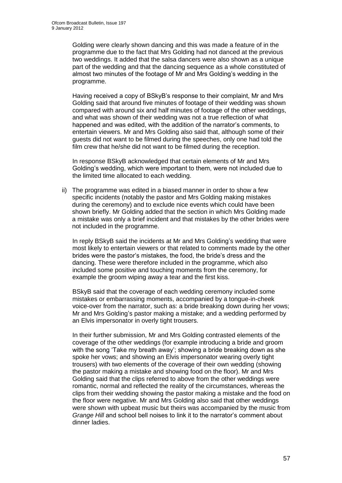Golding were clearly shown dancing and this was made a feature of in the programme due to the fact that Mrs Golding had not danced at the previous two weddings. It added that the salsa dancers were also shown as a unique part of the wedding and that the dancing sequence as a whole constituted of almost two minutes of the footage of Mr and Mrs Golding"s wedding in the programme.

Having received a copy of BSkyB"s response to their complaint, Mr and Mrs Golding said that around five minutes of footage of their wedding was shown compared with around six and half minutes of footage of the other weddings, and what was shown of their wedding was not a true reflection of what happened and was edited, with the addition of the narrator"s comments, to entertain viewers. Mr and Mrs Golding also said that, although some of their guests did not want to be filmed during the speeches, only one had told the film crew that he/she did not want to be filmed during the reception.

In response BSkyB acknowledged that certain elements of Mr and Mrs Golding"s wedding, which were important to them, were not included due to the limited time allocated to each wedding.

ii) The programme was edited in a biased manner in order to show a few specific incidents (notably the pastor and Mrs Golding making mistakes during the ceremony) and to exclude nice events which could have been shown briefly. Mr Golding added that the section in which Mrs Golding made a mistake was only a brief incident and that mistakes by the other brides were not included in the programme.

In reply BSkyB said the incidents at Mr and Mrs Golding"s wedding that were most likely to entertain viewers or that related to comments made by the other brides were the pastor"s mistakes, the food, the bride"s dress and the dancing. These were therefore included in the programme, which also included some positive and touching moments from the ceremony, for example the groom wiping away a tear and the first kiss.

BSkyB said that the coverage of each wedding ceremony included some mistakes or embarrassing moments, accompanied by a tongue-in-cheek voice-over from the narrator, such as: a bride breaking down during her vows; Mr and Mrs Golding"s pastor making a mistake; and a wedding performed by an Elvis impersonator in overly tight trousers.

In their further submission, Mr and Mrs Golding contrasted elements of the coverage of the other weddings (for example introducing a bride and groom with the song 'Take my breath away'; showing a bride breaking down as she spoke her vows; and showing an Elvis impersonator wearing overly tight trousers) with two elements of the coverage of their own wedding (showing the pastor making a mistake and showing food on the floor). Mr and Mrs Golding said that the clips referred to above from the other weddings were romantic, normal and reflected the reality of the circumstances, whereas the clips from their wedding showing the pastor making a mistake and the food on the floor were negative. Mr and Mrs Golding also said that other weddings were shown with upbeat music but theirs was accompanied by the music from *Grange Hill* and school bell noises to link it to the narrator"s comment about dinner ladies.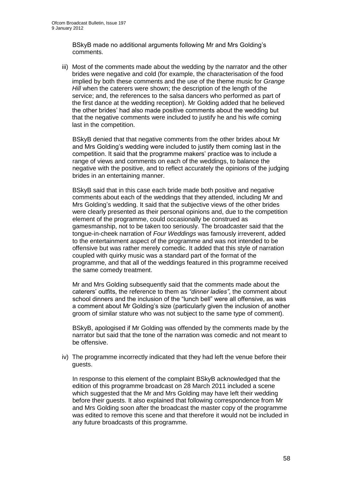BSkyB made no additional arguments following Mr and Mrs Golding"s comments.

iii) Most of the comments made about the wedding by the narrator and the other brides were negative and cold (for example, the characterisation of the food implied by both these comments and the use of the theme music for *Grange Hill* when the caterers were shown; the description of the length of the service; and, the references to the salsa dancers who performed as part of the first dance at the wedding reception). Mr Golding added that he believed the other brides" had also made positive comments about the wedding but that the negative comments were included to justify he and his wife coming last in the competition.

BSkyB denied that that negative comments from the other brides about Mr and Mrs Golding"s wedding were included to justify them coming last in the competition. It said that the programme makers" practice was to include a range of views and comments on each of the weddings, to balance the negative with the positive, and to reflect accurately the opinions of the judging brides in an entertaining manner.

BSkyB said that in this case each bride made both positive and negative comments about each of the weddings that they attended, including Mr and Mrs Golding"s wedding. It said that the subjective views of the other brides were clearly presented as their personal opinions and, due to the competition element of the programme, could occasionally be construed as gamesmanship, not to be taken too seriously. The broadcaster said that the tongue-in-cheek narration of *Four Weddings* was famously irreverent, added to the entertainment aspect of the programme and was not intended to be offensive but was rather merely comedic. It added that this style of narration coupled with quirky music was a standard part of the format of the programme, and that all of the weddings featured in this programme received the same comedy treatment.

Mr and Mrs Golding subsequently said that the comments made about the caterers" outfits, the reference to them as *"dinner ladies"*, the comment about school dinners and the inclusion of the "lunch bell" were all offensive, as was a comment about Mr Golding's size (particularly given the inclusion of another groom of similar stature who was not subject to the same type of comment).

BSkyB, apologised if Mr Golding was offended by the comments made by the narrator but said that the tone of the narration was comedic and not meant to be offensive.

iv) The programme incorrectly indicated that they had left the venue before their guests.

In response to this element of the complaint BSkyB acknowledged that the edition of this programme broadcast on 28 March 2011 included a scene which suggested that the Mr and Mrs Golding may have left their wedding before their guests. It also explained that following correspondence from Mr and Mrs Golding soon after the broadcast the master copy of the programme was edited to remove this scene and that therefore it would not be included in any future broadcasts of this programme.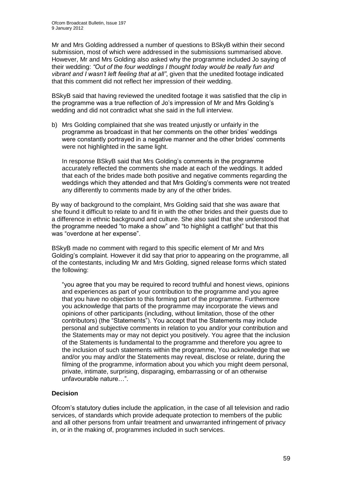Mr and Mrs Golding addressed a number of questions to BSkyB within their second submission, most of which were addressed in the submissions summarised above. However, Mr and Mrs Golding also asked why the programme included Jo saying of their wedding: *"Out of the four weddings I thought today would be really fun and vibrant and I wasn"t left feeling that at all"*, given that the unedited footage indicated that this comment did not reflect her impression of their wedding.

BSkyB said that having reviewed the unedited footage it was satisfied that the clip in the programme was a true reflection of Jo"s impression of Mr and Mrs Golding"s wedding and did not contradict what she said in the full interview.

b) Mrs Golding complained that she was treated unjustly or unfairly in the programme as broadcast in that her comments on the other brides" weddings were constantly portrayed in a negative manner and the other brides" comments were not highlighted in the same light.

In response BSkyB said that Mrs Golding"s comments in the programme accurately reflected the comments she made at each of the weddings. It added that each of the brides made both positive and negative comments regarding the weddings which they attended and that Mrs Golding"s comments were not treated any differently to comments made by any of the other brides.

By way of background to the complaint, Mrs Golding said that she was aware that she found it difficult to relate to and fit in with the other brides and their guests due to a difference in ethnic background and culture. She also said that she understood that the programme needed "to make a show" and "to highlight a catfight" but that this was "overdone at her expense".

BSkyB made no comment with regard to this specific element of Mr and Mrs Golding"s complaint. However it did say that prior to appearing on the programme, all of the contestants, including Mr and Mrs Golding, signed release forms which stated the following:

"you agree that you may be required to record truthful and honest views, opinions and experiences as part of your contribution to the programme and you agree that you have no objection to this forming part of the programme. Furthermore you acknowledge that parts of the programme may incorporate the views and opinions of other participants (including, without limitation, those of the other contributors) (the "Statements"). You accept that the Statements may include personal and subjective comments in relation to you and/or your contribution and the Statements may or may not depict you positively. You agree that the inclusion of the Statements is fundamental to the programme and therefore you agree to the inclusion of such statements within the programme, You acknowledge that we and/or you may and/or the Statements may reveal, disclose or relate, during the filming of the programme, information about you which you might deem personal, private, intimate, surprising, disparaging, embarrassing or of an otherwise unfavourable nature…".

### **Decision**

Ofcom"s statutory duties include the application, in the case of all television and radio services, of standards which provide adequate protection to members of the public and all other persons from unfair treatment and unwarranted infringement of privacy in, or in the making of, programmes included in such services.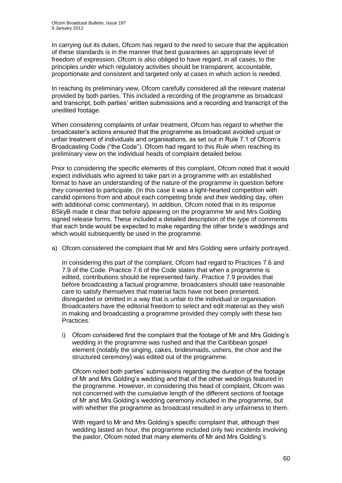In carrying out its duties, Ofcom has regard to the need to secure that the application of these standards is in the manner that best guarantees an appropriate level of freedom of expression. Ofcom is also obliged to have regard, in all cases, to the principles under which regulatory activities should be transparent, accountable, proportionate and consistent and targeted only at cases in which action is needed.

In reaching its preliminary view, Ofcom carefully considered all the relevant material provided by both parties. This included a recording of the programme as broadcast and transcript, both parties" written submissions and a recording and transcript of the unedited footage.

When considering complaints of unfair treatment, Ofcom has regard to whether the broadcaster"s actions ensured that the programme as broadcast avoided unjust or unfair treatment of individuals and organisations, as set out in Rule 7.1 of Ofcom"s Broadcasting Code ("the Code"). Ofcom had regard to this Rule when reaching its preliminary view on the individual heads of complaint detailed below.

Prior to considering the specific elements of this complaint, Ofcom noted that it would expect individuals who agreed to take part in a programme with an established format to have an understanding of the nature of the programme in question before they consented to participate. (In this case it was a light-hearted competition with candid opinions from and about each competing bride and their wedding day, often with additional comic commentary). In addition, Ofcom noted that in its response BSkyB made it clear that before appearing on the programme Mr and Mrs Golding signed release forms. These included a detailed description of the type of comments that each bride would be expected to make regarding the other bride"s weddings and which would subsequently be used in the programme.

a) Ofcom considered the complaint that Mr and Mrs Golding were unfairly portrayed.

In considering this part of the complaint, Ofcom had regard to Practices 7.6 and 7.9 of the Code. Practice 7.6 of the Code states that when a programme is edited, contributions should be represented fairly. Practice 7.9 provides that before broadcasting a factual programme, broadcasters should take reasonable care to satisfy themselves that material facts have not been presented, disregarded or omitted in a way that is unfair to the individual or organisation. Broadcasters have the editorial freedom to select and edit material as they wish in making and broadcasting a programme provided they comply with these two Practices.

i) Ofcom considered first the complaint that the footage of Mr and Mrs Golding"s wedding in the programme was rushed and that the Caribbean gospel element (notably the singing, cakes, bridesmaids, ushers, the choir and the structured ceremony) was edited out of the programme.

Ofcom noted both parties" submissions regarding the duration of the footage of Mr and Mrs Golding"s wedding and that of the other weddings featured in the programme. However, in considering this head of complaint, Ofcom was not concerned with the cumulative length of the different sections of footage of Mr and Mrs Golding"s wedding ceremony included in the programme, but with whether the programme as broadcast resulted in any unfairness to them.

With regard to Mr and Mrs Golding's specific complaint that, although their wedding lasted an hour, the programme included only two incidents involving the pastor, Ofcom noted that many elements of Mr and Mrs Golding"s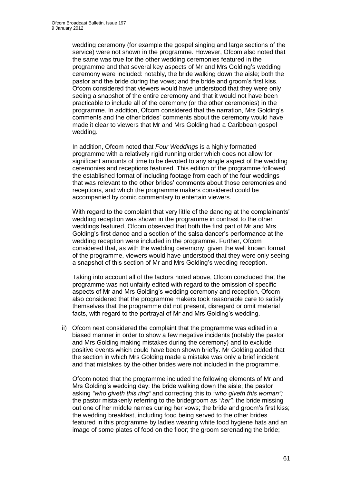wedding ceremony (for example the gospel singing and large sections of the service) were not shown in the programme. However, Ofcom also noted that the same was true for the other wedding ceremonies featured in the programme and that several key aspects of Mr and Mrs Golding"s wedding ceremony were included: notably, the bride walking down the aisle; both the pastor and the bride during the vows; and the bride and groom"s first kiss. Ofcom considered that viewers would have understood that they were only seeing a snapshot of the entire ceremony and that it would not have been practicable to include all of the ceremony (or the other ceremonies) in the programme. In addition, Ofcom considered that the narration, Mrs Golding"s comments and the other brides" comments about the ceremony would have made it clear to viewers that Mr and Mrs Golding had a Caribbean gospel wedding.

In addition, Ofcom noted that *Four Weddings* is a highly formatted programme with a relatively rigid running order which does not allow for significant amounts of time to be devoted to any single aspect of the wedding ceremonies and receptions featured. This edition of the programme followed the established format of including footage from each of the four weddings that was relevant to the other brides" comments about those ceremonies and receptions, and which the programme makers considered could be accompanied by comic commentary to entertain viewers.

With regard to the complaint that very little of the dancing at the complainants' wedding reception was shown in the programme in contrast to the other weddings featured, Ofcom observed that both the first part of Mr and Mrs Golding"s first dance and a section of the salsa dancer"s performance at the wedding reception were included in the programme. Further, Ofcom considered that, as with the wedding ceremony, given the well known format of the programme, viewers would have understood that they were only seeing a snapshot of this section of Mr and Mrs Golding"s wedding reception.

Taking into account all of the factors noted above, Ofcom concluded that the programme was not unfairly edited with regard to the omission of specific aspects of Mr and Mrs Golding"s wedding ceremony and reception. Ofcom also considered that the programme makers took reasonable care to satisfy themselves that the programme did not present, disregard or omit material facts, with regard to the portrayal of Mr and Mrs Golding's wedding.

ii) Ofcom next considered the complaint that the programme was edited in a biased manner in order to show a few negative incidents (notably the pastor and Mrs Golding making mistakes during the ceremony) and to exclude positive events which could have been shown briefly. Mr Golding added that the section in which Mrs Golding made a mistake was only a brief incident and that mistakes by the other brides were not included in the programme.

Ofcom noted that the programme included the following elements of Mr and Mrs Golding"s wedding day: the bride walking down the aisle; the pastor asking *"who giveth this ring"* and correcting this to *"who giveth this woman";*  the pastor mistakenly referring to the bridegroom as *"her"*; the bride missing out one of her middle names during her vows; the bride and groom"s first kiss; the wedding breakfast, including food being served to the other brides featured in this programme by ladies wearing white food hygiene hats and an image of some plates of food on the floor; the groom serenading the bride;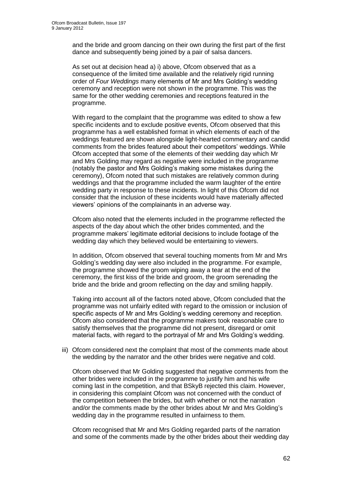and the bride and groom dancing on their own during the first part of the first dance and subsequently being joined by a pair of salsa dancers.

As set out at decision head a) i) above, Ofcom observed that as a consequence of the limited time available and the relatively rigid running order of *Four Weddings* many elements of Mr and Mrs Golding"s wedding ceremony and reception were not shown in the programme. This was the same for the other wedding ceremonies and receptions featured in the programme.

With regard to the complaint that the programme was edited to show a few specific incidents and to exclude positive events, Ofcom observed that this programme has a well established format in which elements of each of the weddings featured are shown alongside light-hearted commentary and candid comments from the brides featured about their competitors" weddings. While Ofcom accepted that some of the elements of their wedding day which Mr and Mrs Golding may regard as negative were included in the programme (notably the pastor and Mrs Golding"s making some mistakes during the ceremony), Ofcom noted that such mistakes are relatively common during weddings and that the programme included the warm laughter of the entire wedding party in response to these incidents. In light of this Ofcom did not consider that the inclusion of these incidents would have materially affected viewers" opinions of the complainants in an adverse way.

Ofcom also noted that the elements included in the programme reflected the aspects of the day about which the other brides commented, and the programme makers" legitimate editorial decisions to include footage of the wedding day which they believed would be entertaining to viewers.

In addition, Ofcom observed that several touching moments from Mr and Mrs Golding"s wedding day were also included in the programme. For example, the programme showed the groom wiping away a tear at the end of the ceremony, the first kiss of the bride and groom, the groom serenading the bride and the bride and groom reflecting on the day and smiling happily.

Taking into account all of the factors noted above, Ofcom concluded that the programme was not unfairly edited with regard to the omission or inclusion of specific aspects of Mr and Mrs Golding"s wedding ceremony and reception. Ofcom also considered that the programme makers took reasonable care to satisfy themselves that the programme did not present, disregard or omit material facts, with regard to the portrayal of Mr and Mrs Golding"s wedding.

iii) Ofcom considered next the complaint that most of the comments made about the wedding by the narrator and the other brides were negative and cold.

Ofcom observed that Mr Golding suggested that negative comments from the other brides were included in the programme to justify him and his wife coming last in the competition, and that BSkyB rejected this claim. However, in considering this complaint Ofcom was not concerned with the conduct of the competition between the brides, but with whether or not the narration and/or the comments made by the other brides about Mr and Mrs Golding"s wedding day in the programme resulted in unfairness to them.

Ofcom recognised that Mr and Mrs Golding regarded parts of the narration and some of the comments made by the other brides about their wedding day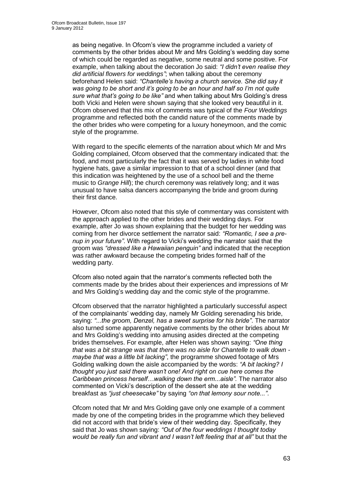as being negative. In Ofcom"s view the programme included a variety of comments by the other brides about Mr and Mrs Golding"s wedding day some of which could be regarded as negative, some neutral and some positive. For example, when talking about the decoration Jo said: *"I didn"t even realise they did artificial flowers for weddings"*; when talking about the ceremony beforehand Helen said: *"Chantelle"s having a church service. She did say it was going to be short and it"s going to be an hour and half so I"m not quite sure what that"s going to be like"* and when talking about Mrs Golding"s dress both Vicki and Helen were shown saying that she looked very beautiful in it. Ofcom observed that this mix of comments was typical of the *Four Weddings* programme and reflected both the candid nature of the comments made by the other brides who were competing for a luxury honeymoon, and the comic style of the programme.

With regard to the specific elements of the narration about which Mr and Mrs Golding complained, Ofcom observed that the commentary indicated that: the food, and most particularly the fact that it was served by ladies in white food hygiene hats, gave a similar impression to that of a school dinner (and that this indication was heightened by the use of a school bell and the theme music to *Grange Hill*); the church ceremony was relatively long; and it was unusual to have salsa dancers accompanying the bride and groom during their first dance.

However, Ofcom also noted that this style of commentary was consistent with the approach applied to the other brides and their wedding days. For example, after Jo was shown explaining that the budget for her wedding was coming from her divorce settlement the narrator said: *"Romantic, I see a prenup in your future"*. With regard to Vicki"s wedding the narrator said that the groom was *"dressed like a Hawaiian penguin"* and indicated that the reception was rather awkward because the competing brides formed half of the wedding party.

Ofcom also noted again that the narrator"s comments reflected both the comments made by the brides about their experiences and impressions of Mr and Mrs Golding"s wedding day and the comic style of the programme.

Ofcom observed that the narrator highlighted a particularly successful aspect of the complainants" wedding day, namely Mr Golding serenading his bride, saying: *"...the groom, Denzel, has a sweet surprise for his bride"*. The narrator also turned some apparently negative comments by the other brides about Mr and Mrs Golding"s wedding into amusing asides directed at the competing brides themselves. For example, after Helen was shown saying: *"One thing that was a bit strange was that there was no aisle for Chantelle to walk down maybe that was a little bit lacking"*, the programme showed footage of Mrs Golding walking down the aisle accompanied by the words: *"A bit lacking? I thought you just said there wasn"t one! And right on cue here comes the Caribbean princess herself…walking down the erm...aisle".* The narrator also commented on Vicki"s description of the dessert she ate at the wedding breakfast as *"just cheesecake"* by saying *"on that lemony sour note..."*.

Ofcom noted that Mr and Mrs Golding gave only one example of a comment made by one of the competing brides in the programme which they believed did not accord with that bride"s view of their wedding day. Specifically, they said that Jo was shown saying: *"Out of the four weddings I thought today would be really fun and vibrant and I wasn"t left feeling that at all"* but that the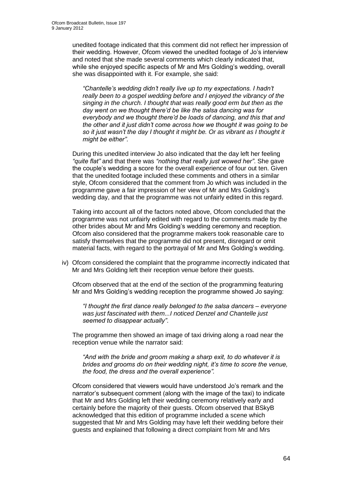unedited footage indicated that this comment did not reflect her impression of their wedding. However, Ofcom viewed the unedited footage of Jo"s interview and noted that she made several comments which clearly indicated that, while she enjoyed specific aspects of Mr and Mrs Golding"s wedding, overall she was disappointed with it. For example, she said:

*"Chantelle"s wedding didn"t really live up to my expectations. I hadn"t really been to a gospel wedding before and I enjoyed the vibrancy of the singing in the church. I thought that was really good erm but then as the day went on we thought there"d be like the salsa dancing was for everybody and we thought there"d be loads of dancing, and this that and the other and it just didn"t come across how we thought it was going to be so it just wasn"t the day I thought it might be. Or as vibrant as I thought it might be either"*.

During this unedited interview Jo also indicated that the day left her feeling *"quite flat"* and that there was *"nothing that really just wowed her"*. She gave the couple"s wedding a score for the overall experience of four out ten. Given that the unedited footage included these comments and others in a similar style, Ofcom considered that the comment from Jo which was included in the programme gave a fair impression of her view of Mr and Mrs Golding"s wedding day, and that the programme was not unfairly edited in this regard.

Taking into account all of the factors noted above, Ofcom concluded that the programme was not unfairly edited with regard to the comments made by the other brides about Mr and Mrs Golding"s wedding ceremony and reception. Ofcom also considered that the programme makers took reasonable care to satisfy themselves that the programme did not present, disregard or omit material facts, with regard to the portrayal of Mr and Mrs Golding"s wedding.

iv) Ofcom considered the complaint that the programme incorrectly indicated that Mr and Mrs Golding left their reception venue before their guests.

Ofcom observed that at the end of the section of the programming featuring Mr and Mrs Golding"s wedding reception the programme showed Jo saying:

*"I thought the first dance really belonged to the salsa dancers – everyone was just fascinated with them...I noticed Denzel and Chantelle just seemed to disappear actually"*.

The programme then showed an image of taxi driving along a road near the reception venue while the narrator said:

*"And with the bride and groom making a sharp exit, to do whatever it is brides and grooms do on their wedding night, it"s time to score the venue, the food, the dress and the overall experience".* 

Ofcom considered that viewers would have understood Jo"s remark and the narrator"s subsequent comment (along with the image of the taxi) to indicate that Mr and Mrs Golding left their wedding ceremony relatively early and certainly before the majority of their guests. Ofcom observed that BSkyB acknowledged that this edition of programme included a scene which suggested that Mr and Mrs Golding may have left their wedding before their guests and explained that following a direct complaint from Mr and Mrs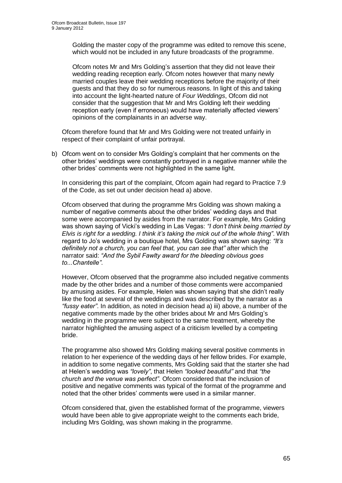Golding the master copy of the programme was edited to remove this scene, which would not be included in any future broadcasts of the programme.

Ofcom notes Mr and Mrs Golding"s assertion that they did not leave their wedding reading reception early. Ofcom notes however that many newly married couples leave their wedding receptions before the majority of their guests and that they do so for numerous reasons. In light of this and taking into account the light-hearted nature of *Four Weddings*, Ofcom did not consider that the suggestion that Mr and Mrs Golding left their wedding reception early (even if erroneous) would have materially affected viewers" opinions of the complainants in an adverse way.

Ofcom therefore found that Mr and Mrs Golding were not treated unfairly in respect of their complaint of unfair portrayal.

b) Ofcom went on to consider Mrs Golding"s complaint that her comments on the other brides" weddings were constantly portrayed in a negative manner while the other brides" comments were not highlighted in the same light.

In considering this part of the complaint, Ofcom again had regard to Practice 7.9 of the Code, as set out under decision head a) above.

Ofcom observed that during the programme Mrs Golding was shown making a number of negative comments about the other brides" wedding days and that some were accompanied by asides from the narrator. For example, Mrs Golding was shown saying of Vicki"s wedding in Las Vegas: *"I don"t think being married by Elvis is right for a wedding. I think it"s taking the mick out of the whole thing"*. With regard to Jo"s wedding in a boutique hotel, Mrs Golding was shown saying: *"It"s definitely not a church, you can feel that, you can see that"* after which the narrator said: *"And the Sybil Fawlty award for the bleeding obvious goes to...Chantelle"*.

However, Ofcom observed that the programme also included negative comments made by the other brides and a number of those comments were accompanied by amusing asides. For example, Helen was shown saying that she didn"t really like the food at several of the weddings and was described by the narrator as a *"fussy eater"*. In addition, as noted in decision head a) iii) above, a number of the negative comments made by the other brides about Mr and Mrs Golding"s wedding in the programme were subject to the same treatment, whereby the narrator highlighted the amusing aspect of a criticism levelled by a competing bride.

The programme also showed Mrs Golding making several positive comments in relation to her experience of the wedding days of her fellow brides. For example, in addition to some negative comments, Mrs Golding said that the starter she had at Helen"s wedding was *"lovely"*, that Helen *"looked beautiful"* and that *"the church and the venue was perfect"*. Ofcom considered that the inclusion of positive and negative comments was typical of the format of the programme and noted that the other brides" comments were used in a similar manner.

Ofcom considered that, given the established format of the programme, viewers would have been able to give appropriate weight to the comments each bride, including Mrs Golding, was shown making in the programme.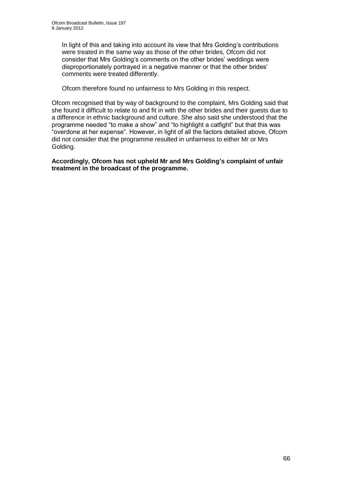In light of this and taking into account its view that Mrs Golding"s contributions were treated in the same way as those of the other brides, Ofcom did not consider that Mrs Golding"s comments on the other brides" weddings were disproportionately portrayed in a negative manner or that the other brides' comments were treated differently.

Ofcom therefore found no unfairness to Mrs Golding in this respect.

Ofcom recognised that by way of background to the complaint, Mrs Golding said that she found it difficult to relate to and fit in with the other brides and their guests due to a difference in ethnic background and culture. She also said she understood that the programme needed "to make a show" and "to highlight a catfight" but that this was "overdone at her expense". However, in light of all the factors detailed above, Ofcom did not consider that the programme resulted in unfairness to either Mr or Mrs Golding.

**Accordingly, Ofcom has not upheld Mr and Mrs Golding's complaint of unfair treatment in the broadcast of the programme.**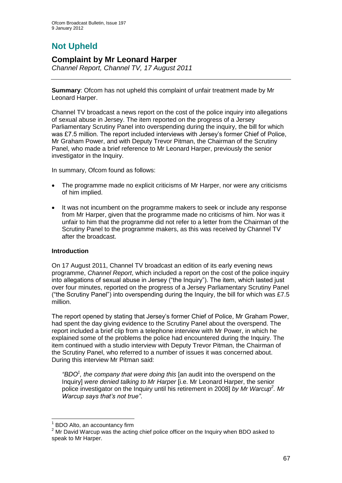# **Not Upheld**

### **Complaint by Mr Leonard Harper**

*Channel Report, Channel TV, 17 August 2011*

**Summary**: Ofcom has not upheld this complaint of unfair treatment made by Mr Leonard Harper.

Channel TV broadcast a news report on the cost of the police inquiry into allegations of sexual abuse in Jersey. The item reported on the progress of a Jersey Parliamentary Scrutiny Panel into overspending during the inquiry, the bill for which was £7.5 million. The report included interviews with Jersey's former Chief of Police, Mr Graham Power, and with Deputy Trevor Pitman, the Chairman of the Scrutiny Panel, who made a brief reference to Mr Leonard Harper, previously the senior investigator in the Inquiry.

In summary, Ofcom found as follows:

- The programme made no explicit criticisms of Mr Harper, nor were any criticisms of him implied.
- It was not incumbent on the programme makers to seek or include any response from Mr Harper, given that the programme made no criticisms of him. Nor was it unfair to him that the programme did not refer to a letter from the Chairman of the Scrutiny Panel to the programme makers, as this was received by Channel TV after the broadcast.

### **Introduction**

On 17 August 2011, Channel TV broadcast an edition of its early evening news programme, *Channel Report*, which included a report on the cost of the police inquiry into allegations of sexual abuse in Jersey ("the Inquiry"). The item, which lasted just over four minutes, reported on the progress of a Jersey Parliamentary Scrutiny Panel ("the Scrutiny Panel") into overspending during the Inquiry, the bill for which was £7.5 million.

The report opened by stating that Jersey"s former Chief of Police, Mr Graham Power, had spent the day giving evidence to the Scrutiny Panel about the overspend. The report included a brief clip from a telephone interview with Mr Power, in which he explained some of the problems the police had encountered during the Inquiry. The item continued with a studio interview with Deputy Trevor Pitman, the Chairman of the Scrutiny Panel, who referred to a number of issues it was concerned about. During this interview Mr Pitman said:

*"BDO<sup>1</sup> , the company that were doing this* [an audit into the overspend on the Inquiry] *were denied talking to Mr Harper* [i.e. Mr Leonard Harper, the senior police investigator on the Inquiry until his retirement in 2008] *by Mr Warcup<sup>2</sup> . Mr Warcup says that"s not true"*.

1

 $<sup>1</sup>$  BDO Alto, an accountancy firm</sup>

<sup>&</sup>lt;sup>2</sup> Mr David Warcup was the acting chief police officer on the Inquiry when BDO asked to speak to Mr Harper.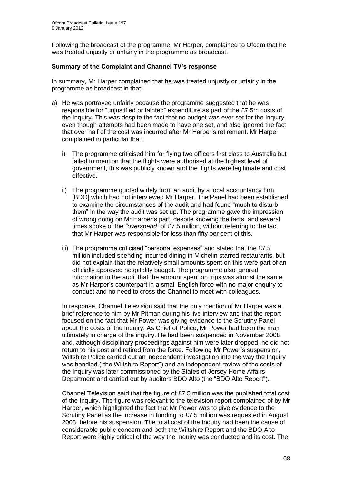Following the broadcast of the programme, Mr Harper, complained to Ofcom that he was treated unjustly or unfairly in the programme as broadcast.

### **Summary of the Complaint and Channel TV's response**

In summary, Mr Harper complained that he was treated unjustly or unfairly in the programme as broadcast in that:

- a) He was portrayed unfairly because the programme suggested that he was responsible for "unjustified or tainted" expenditure as part of the £7.5m costs of the Inquiry. This was despite the fact that no budget was ever set for the Inquiry, even though attempts had been made to have one set, and also ignored the fact that over half of the cost was incurred after Mr Harper"s retirement. Mr Harper complained in particular that:
	- i) The programme criticised him for flying two officers first class to Australia but failed to mention that the flights were authorised at the highest level of government, this was publicly known and the flights were legitimate and cost effective.
	- ii) The programme quoted widely from an audit by a local accountancy firm [BDO] which had not interviewed Mr Harper. The Panel had been established to examine the circumstances of the audit and had found "much to disturb them" in the way the audit was set up. The programme gave the impression of wrong doing on Mr Harper"s part, despite knowing the facts, and several times spoke of the *"overspend"* of £7.5 million, without referring to the fact that Mr Harper was responsible for less than fifty per cent of this.
	- iii) The programme criticised "personal expenses" and stated that the £7.5 million included spending incurred dining in Michelin starred restaurants, but did not explain that the relatively small amounts spent on this were part of an officially approved hospitality budget. The programme also ignored information in the audit that the amount spent on trips was almost the same as Mr Harper"s counterpart in a small English force with no major enquiry to conduct and no need to cross the Channel to meet with colleagues.

In response, Channel Television said that the only mention of Mr Harper was a brief reference to him by Mr Pitman during his live interview and that the report focused on the fact that Mr Power was giving evidence to the Scrutiny Panel about the costs of the Inquiry. As Chief of Police, Mr Power had been the man ultimately in charge of the inquiry. He had been suspended in November 2008 and, although disciplinary proceedings against him were later dropped, he did not return to his post and retired from the force. Following Mr Power"s suspension, Wiltshire Police carried out an independent investigation into the way the Inquiry was handled ("the Wiltshire Report") and an independent review of the costs of the Inquiry was later commissioned by the States of Jersey Home Affairs Department and carried out by auditors BDO Alto (the "BDO Alto Report").

Channel Television said that the figure of £7.5 million was the published total cost of the Inquiry. The figure was relevant to the television report complained of by Mr Harper, which highlighted the fact that Mr Power was to give evidence to the Scrutiny Panel as the increase in funding to £7.5 million was requested in August 2008, before his suspension. The total cost of the Inquiry had been the cause of considerable public concern and both the Wiltshire Report and the BDO Alto Report were highly critical of the way the Inquiry was conducted and its cost. The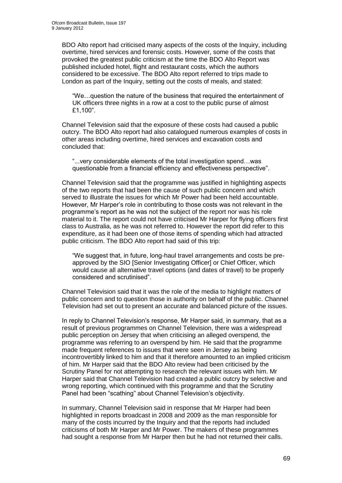BDO Alto report had criticised many aspects of the costs of the Inquiry, including overtime, hired services and forensic costs. However, some of the costs that provoked the greatest public criticism at the time the BDO Alto Report was published included hotel, flight and restaurant costs, which the authors considered to be excessive. The BDO Alto report referred to trips made to London as part of the Inquiry, setting out the costs of meals, and stated:

"We…question the nature of the business that required the entertainment of UK officers three nights in a row at a cost to the public purse of almost £1,100".

Channel Television said that the exposure of these costs had caused a public outcry. The BDO Alto report had also catalogued numerous examples of costs in other areas including overtime, hired services and excavation costs and concluded that:

"...very considerable elements of the total investigation spend…was questionable from a financial efficiency and effectiveness perspective".

Channel Television said that the programme was justified in highlighting aspects of the two reports that had been the cause of such public concern and which served to illustrate the issues for which Mr Power had been held accountable. However, Mr Harper"s role in contributing to those costs was not relevant in the programme"s report as he was not the subject of the report nor was his role material to it. The report could not have criticised Mr Harper for flying officers first class to Australia, as he was not referred to. However the report did refer to this expenditure, as it had been one of those items of spending which had attracted public criticism. The BDO Alto report had said of this trip:

"We suggest that, in future, long-haul travel arrangements and costs be preapproved by the SIO [Senior Investigating Officer] or Chief Officer, which would cause all alternative travel options (and dates of travel) to be properly considered and scrutinised".

Channel Television said that it was the role of the media to highlight matters of public concern and to question those in authority on behalf of the public. Channel Television had set out to present an accurate and balanced picture of the issues.

In reply to Channel Television's response, Mr Harper said, in summary, that as a result of previous programmes on Channel Television, there was a widespread public perception on Jersey that when criticising an alleged overspend, the programme was referring to an overspend by him. He said that the programme made frequent references to issues that were seen in Jersey as being incontrovertibly linked to him and that it therefore amounted to an implied criticism of him. Mr Harper said that the BDO Alto review had been criticised by the Scrutiny Panel for not attempting to research the relevant issues with him. Mr Harper said that Channel Television had created a public outcry by selective and wrong reporting, which continued with this programme and that the Scrutiny Panel had been "scathing" about Channel Television's objectivity.

In summary, Channel Television said in response that Mr Harper had been highlighted in reports broadcast in 2008 and 2009 as the man responsible for many of the costs incurred by the Inquiry and that the reports had included criticisms of both Mr Harper and Mr Power. The makers of these programmes had sought a response from Mr Harper then but he had not returned their calls.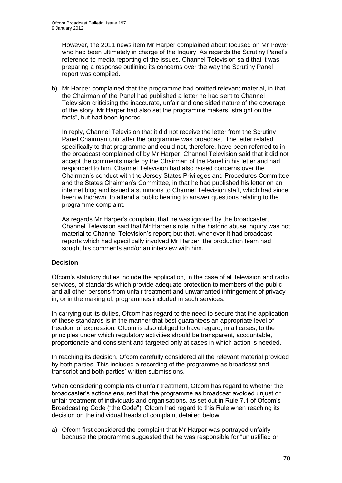However, the 2011 news item Mr Harper complained about focused on Mr Power, who had been ultimately in charge of the Inquiry. As regards the Scrutiny Panel's reference to media reporting of the issues, Channel Television said that it was preparing a response outlining its concerns over the way the Scrutiny Panel report was compiled.

b) Mr Harper complained that the programme had omitted relevant material, in that the Chairman of the Panel had published a letter he had sent to Channel Television criticising the inaccurate, unfair and one sided nature of the coverage of the story. Mr Harper had also set the programme makers "straight on the facts", but had been janored.

In reply, Channel Television that it did not receive the letter from the Scrutiny Panel Chairman until after the programme was broadcast. The letter related specifically to that programme and could not, therefore, have been referred to in the broadcast complained of by Mr Harper. Channel Television said that it did not accept the comments made by the Chairman of the Panel in his letter and had responded to him. Channel Television had also raised concerns over the Chairman"s conduct with the Jersey States Privileges and Procedures Committee and the States Chairman"s Committee, in that he had published his letter on an internet blog and issued a summons to Channel Television staff, which had since been withdrawn, to attend a public hearing to answer questions relating to the programme complaint.

As regards Mr Harper"s complaint that he was ignored by the broadcaster, Channel Television said that Mr Harper"s role in the historic abuse inquiry was not material to Channel Television"s report; but that, whenever it had broadcast reports which had specifically involved Mr Harper, the production team had sought his comments and/or an interview with him.

### **Decision**

Ofcom"s statutory duties include the application, in the case of all television and radio services, of standards which provide adequate protection to members of the public and all other persons from unfair treatment and unwarranted infringement of privacy in, or in the making of, programmes included in such services.

In carrying out its duties, Ofcom has regard to the need to secure that the application of these standards is in the manner that best guarantees an appropriate level of freedom of expression. Ofcom is also obliged to have regard, in all cases, to the principles under which regulatory activities should be transparent, accountable, proportionate and consistent and targeted only at cases in which action is needed.

In reaching its decision, Ofcom carefully considered all the relevant material provided by both parties. This included a recording of the programme as broadcast and transcript and both parties" written submissions.

When considering complaints of unfair treatment, Ofcom has regard to whether the broadcaster"s actions ensured that the programme as broadcast avoided unjust or unfair treatment of individuals and organisations, as set out in Rule 7.1 of Ofcom"s Broadcasting Code ("the Code"). Ofcom had regard to this Rule when reaching its decision on the individual heads of complaint detailed below.

a) Ofcom first considered the complaint that Mr Harper was portrayed unfairly because the programme suggested that he was responsible for "unjustified or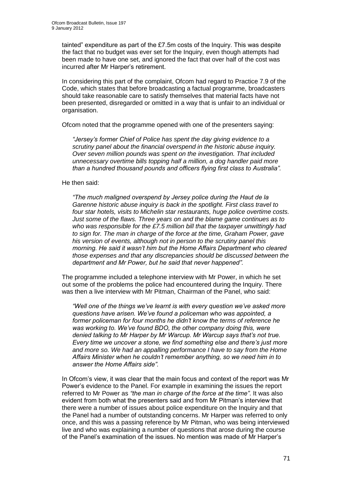tainted" expenditure as part of the £7.5m costs of the Inquiry. This was despite the fact that no budget was ever set for the Inquiry, even though attempts had been made to have one set, and ignored the fact that over half of the cost was incurred after Mr Harper"s retirement.

In considering this part of the complaint, Ofcom had regard to Practice 7.9 of the Code, which states that before broadcasting a factual programme, broadcasters should take reasonable care to satisfy themselves that material facts have not been presented, disregarded or omitted in a way that is unfair to an individual or organisation.

Ofcom noted that the programme opened with one of the presenters saying:

*"Jersey"s former Chief of Police has spent the day giving evidence to a scrutiny panel about the financial overspend in the historic abuse inquiry. Over seven million pounds was spent on the investigation. That included unnecessary overtime bills topping half a million, a dog handler paid more than a hundred thousand pounds and officers flying first class to Australia".*

He then said:

*"The much maligned overspend by Jersey police during the Haut de la Garenne historic abuse inquiry is back in the spotlight. First class travel to four star hotels, visits to Michelin star restaurants, huge police overtime costs. Just some of the flaws. Three years on and the blame game continues as to who was responsible for the £7.5 million bill that the taxpayer unwittingly had to sign for. The man in charge of the force at the time, Graham Power, gave his version of events, although not in person to the scrutiny panel this morning. He said it wasn"t him but the Home Affairs Department who cleared those expenses and that any discrepancies should be discussed between the department and Mr Power, but he said that never happened".* 

The programme included a telephone interview with Mr Power, in which he set out some of the problems the police had encountered during the Inquiry. There was then a live interview with Mr Pitman, Chairman of the Panel, who said:

*"Well one of the things we"ve learnt is with every question we"ve asked more questions have arisen. We"ve found a policeman who was appointed, a former policeman for four months he didn"t know the terms of reference he was working to. We"ve found BDO, the other company doing this, were denied talking to Mr Harper by Mr Warcup. Mr Warcup says that"s not true. Every time we uncover a stone, we find something else and there"s just more and more so. We had an appalling performance I have to say from the Home Affairs Minister when he couldn"t remember anything, so we need him in to answer the Home Affairs side".*

In Ofcom"s view, it was clear that the main focus and context of the report was Mr Power"s evidence to the Panel. For example in examining the issues the report referred to Mr Power as *"the man in charge of the force at the time"*. It was also evident from both what the presenters said and from Mr Pitman"s interview that there were a number of issues about police expenditure on the Inquiry and that the Panel had a number of outstanding concerns. Mr Harper was referred to only once, and this was a passing reference by Mr Pitman, who was being interviewed live and who was explaining a number of questions that arose during the course of the Panel"s examination of the issues. No mention was made of Mr Harper"s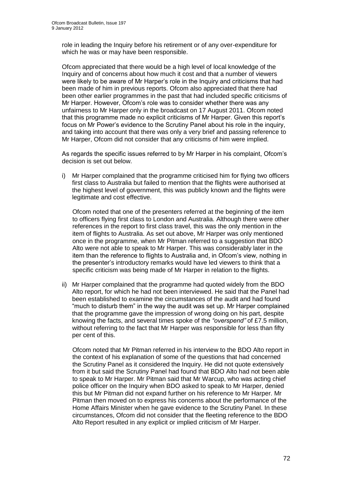role in leading the Inquiry before his retirement or of any over-expenditure for which he was or may have been responsible.

Ofcom appreciated that there would be a high level of local knowledge of the Inquiry and of concerns about how much it cost and that a number of viewers were likely to be aware of Mr Harper"s role in the Inquiry and criticisms that had been made of him in previous reports. Ofcom also appreciated that there had been other earlier programmes in the past that had included specific criticisms of Mr Harper. However, Ofcom"s role was to consider whether there was any unfairness to Mr Harper only in the broadcast on 17 August 2011. Ofcom noted that this programme made no explicit criticisms of Mr Harper. Given this report"s focus on Mr Power"s evidence to the Scrutiny Panel about his role in the inquiry, and taking into account that there was only a very brief and passing reference to Mr Harper, Ofcom did not consider that any criticisms of him were implied.

As regards the specific issues referred to by Mr Harper in his complaint, Ofcom"s decision is set out below.

i) Mr Harper complained that the programme criticised him for flying two officers first class to Australia but failed to mention that the flights were authorised at the highest level of government, this was publicly known and the flights were legitimate and cost effective.

Ofcom noted that one of the presenters referred at the beginning of the item to officers flying first class to London and Australia. Although there were other references in the report to first class travel, this was the only mention in the item of flights to Australia. As set out above, Mr Harper was only mentioned once in the programme, when Mr Pitman referred to a suggestion that BDO Alto were not able to speak to Mr Harper. This was considerably later in the item than the reference to flights to Australia and, in Ofcom"s view, nothing in the presenter"s introductory remarks would have led viewers to think that a specific criticism was being made of Mr Harper in relation to the flights.

ii) Mr Harper complained that the programme had quoted widely from the BDO Alto report, for which he had not been interviewed. He said that the Panel had been established to examine the circumstances of the audit and had found "much to disturb them" in the way the audit was set up. Mr Harper complained that the programme gave the impression of wrong doing on his part, despite knowing the facts, and several times spoke of the *"overspend"* of £7.5 million, without referring to the fact that Mr Harper was responsible for less than fifty per cent of this.

Ofcom noted that Mr Pitman referred in his interview to the BDO Alto report in the context of his explanation of some of the questions that had concerned the Scrutiny Panel as it considered the Inquiry. He did not quote extensively from it but said the Scrutiny Panel had found that BDO Alto had not been able to speak to Mr Harper. Mr Pitman said that Mr Warcup, who was acting chief police officer on the Inquiry when BDO asked to speak to Mr Harper, denied this but Mr Pitman did not expand further on his reference to Mr Harper. Mr Pitman then moved on to express his concerns about the performance of the Home Affairs Minister when he gave evidence to the Scrutiny Panel. In these circumstances, Ofcom did not consider that the fleeting reference to the BDO Alto Report resulted in any explicit or implied criticism of Mr Harper.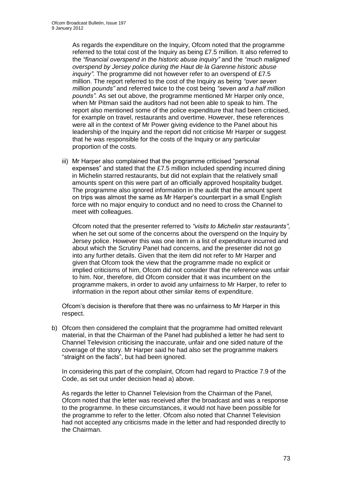As regards the expenditure on the Inquiry, Ofcom noted that the programme referred to the total cost of the Inquiry as being £7.5 million. It also referred to the *"financial overspend in the historic abuse inquiry"* and the *"much maligned overspend by Jersey police during the Haut de la Garenne historic abuse inquiry"*. The programme did not however refer to an overspend of £7.5 million. The report referred to the cost of the Inquiry as being *"over seven million pounds"* and referred twice to the cost being *"seven and a half million pounds"*. As set out above, the programme mentioned Mr Harper only once, when Mr Pitman said the auditors had not been able to speak to him. The report also mentioned some of the police expenditure that had been criticised, for example on travel, restaurants and overtime. However, these references were all in the context of Mr Power giving evidence to the Panel about his leadership of the Inquiry and the report did not criticise Mr Harper or suggest that he was responsible for the costs of the Inquiry or any particular proportion of the costs.

iii) Mr Harper also complained that the programme criticised "personal expenses" and stated that the £7.5 million included spending incurred dining in Michelin starred restaurants, but did not explain that the relatively small amounts spent on this were part of an officially approved hospitality budget. The programme also ignored information in the audit that the amount spent on trips was almost the same as Mr Harper"s counterpart in a small English force with no major enquiry to conduct and no need to cross the Channel to meet with colleagues.

Ofcom noted that the presenter referred to *"visits to Michelin star restaurants"*, when he set out some of the concerns about the overspend on the Inquiry by Jersey police. However this was one item in a list of expenditure incurred and about which the Scrutiny Panel had concerns, and the presenter did not go into any further details. Given that the item did not refer to Mr Harper and given that Ofcom took the view that the programme made no explicit or implied criticisms of him, Ofcom did not consider that the reference was unfair to him. Nor, therefore, did Ofcom consider that it was incumbent on the programme makers, in order to avoid any unfairness to Mr Harper, to refer to information in the report about other similar items of expenditure.

Ofcom"s decision is therefore that there was no unfairness to Mr Harper in this respect.

b) Ofcom then considered the complaint that the programme had omitted relevant material, in that the Chairman of the Panel had published a letter he had sent to Channel Television criticising the inaccurate, unfair and one sided nature of the coverage of the story. Mr Harper said he had also set the programme makers "straight on the facts", but had been ignored.

In considering this part of the complaint, Ofcom had regard to Practice 7.9 of the Code, as set out under decision head a) above.

As regards the letter to Channel Television from the Chairman of the Panel, Ofcom noted that the letter was received after the broadcast and was a response to the programme. In these circumstances, it would not have been possible for the programme to refer to the letter. Ofcom also noted that Channel Television had not accepted any criticisms made in the letter and had responded directly to the Chairman.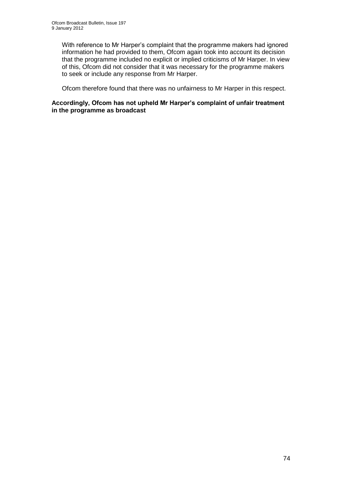With reference to Mr Harper's complaint that the programme makers had ignored information he had provided to them, Ofcom again took into account its decision that the programme included no explicit or implied criticisms of Mr Harper. In view of this, Ofcom did not consider that it was necessary for the programme makers to seek or include any response from Mr Harper.

Ofcom therefore found that there was no unfairness to Mr Harper in this respect.

#### **Accordingly, Ofcom has not upheld Mr Harper's complaint of unfair treatment in the programme as broadcast**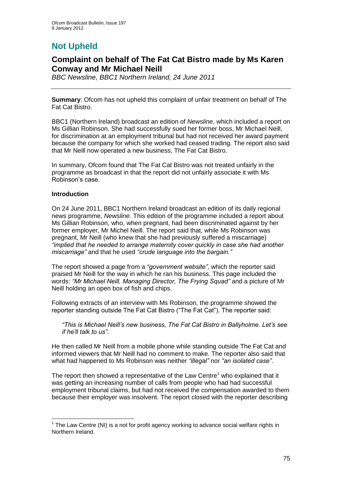# **Not Upheld**

### **Complaint on behalf of The Fat Cat Bistro made by Ms Karen Conway and Mr Michael Neill**

*BBC Newsline, BBC1 Northern Ireland, 24 June 2011*

**Summary**: Ofcom has not upheld this complaint of unfair treatment on behalf of The Fat Cat Bistro.

BBC1 (Northern Ireland) broadcast an edition of *Newsline*, which included a report on Ms Gillian Robinson. She had successfully sued her former boss, Mr Michael Neill, for discrimination at an employment tribunal but had not received her award payment because the company for which she worked had ceased trading. The report also said that Mr Neill now operated a new business, The Fat Cat Bistro.

In summary, Ofcom found that The Fat Cat Bistro was not treated unfairly in the programme as broadcast in that the report did not unfairly associate it with Ms Robinson"s case.

#### **Introduction**

1

On 24 June 2011, BBC1 Northern Ireland broadcast an edition of its daily regional news programme, *Newsline*. This edition of the programme included a report about Ms Gillian Robinson, who, when pregnant, had been discriminated against by her former employer, Mr Michel Neill. The report said that, while Ms Robinson was pregnant, Mr Neill (who knew that she had previously suffered a miscarriage) *"implied that he needed to arrange maternity cover quickly in case she had another miscarriage"* and that he used *"crude language into the bargain."*

The report showed a page from a *"government website"*, which the reporter said praised Mr Neill for the way in which he ran his business. This page included the words: *"Mr Michael Neill, Managing Director, The Frying Squad"* and a picture of Mr Neill holding an open box of fish and chips.

Following extracts of an interview with Ms Robinson, the programme showed the reporter standing outside The Fat Cat Bistro ("The Fat Cat"). The reporter said:

*"This is Michael Neill"s new business, The Fat Cat Bistro in Ballyholme. Let"s see if he"ll talk to us"*.

He then called Mr Neill from a mobile phone while standing outside The Fat Cat and informed viewers that Mr Neill had no comment to make. The reporter also said that what had happened to Ms Robinson was neither *"illegal"* nor *"an isolated case"*.

The report then showed a representative of the Law Centre<sup>1</sup> who explained that it was getting an increasing number of calls from people who had had successful employment tribunal claims, but had not received the compensation awarded to them because their employer was insolvent. The report closed with the reporter describing

 $1$  The Law Centre (NI) is a not for profit agency working to advance social welfare rights in Northern Ireland.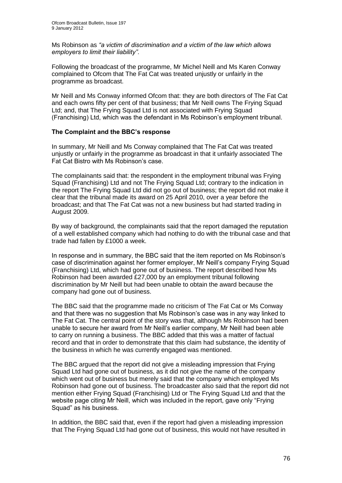Ms Robinson as *"a victim of discrimination and a victim of the law which allows employers to limit their liability"*.

Following the broadcast of the programme, Mr Michel Neill and Ms Karen Conway complained to Ofcom that The Fat Cat was treated unjustly or unfairly in the programme as broadcast.

Mr Neill and Ms Conway informed Ofcom that: they are both directors of The Fat Cat and each owns fifty per cent of that business; that Mr Neill owns The Frying Squad Ltd; and, that The Frying Squad Ltd is not associated with Frying Squad (Franchising) Ltd, which was the defendant in Ms Robinson"s employment tribunal.

#### **The Complaint and the BBC's response**

In summary, Mr Neill and Ms Conway complained that The Fat Cat was treated unjustly or unfairly in the programme as broadcast in that it unfairly associated The Fat Cat Bistro with Ms Robinson"s case.

The complainants said that: the respondent in the employment tribunal was Frying Squad (Franchising) Ltd and not The Frying Squad Ltd; contrary to the indication in the report The Frying Squad Ltd did not go out of business; the report did not make it clear that the tribunal made its award on 25 April 2010, over a year before the broadcast; and that The Fat Cat was not a new business but had started trading in August 2009.

By way of background, the complainants said that the report damaged the reputation of a well established company which had nothing to do with the tribunal case and that trade had fallen by £1000 a week.

In response and in summary, the BBC said that the item reported on Ms Robinson"s case of discrimination against her former employer, Mr Neill"s company Frying Squad (Franchising) Ltd, which had gone out of business. The report described how Ms Robinson had been awarded £27,000 by an employment tribunal following discrimination by Mr Neill but had been unable to obtain the award because the company had gone out of business.

The BBC said that the programme made no criticism of The Fat Cat or Ms Conway and that there was no suggestion that Ms Robinson"s case was in any way linked to The Fat Cat. The central point of the story was that, although Ms Robinson had been unable to secure her award from Mr Neill"s earlier company, Mr Neill had been able to carry on running a business. The BBC added that this was a matter of factual record and that in order to demonstrate that this claim had substance, the identity of the business in which he was currently engaged was mentioned.

The BBC argued that the report did not give a misleading impression that Frying Squad Ltd had gone out of business, as it did not give the name of the company which went out of business but merely said that the company which employed Ms Robinson had gone out of business. The broadcaster also said that the report did not mention either Frying Squad (Franchising) Ltd or The Frying Squad Ltd and that the website page citing Mr Neill, which was included in the report, gave only "Frying Squad" as his business.

In addition, the BBC said that, even if the report had given a misleading impression that The Frying Squad Ltd had gone out of business, this would not have resulted in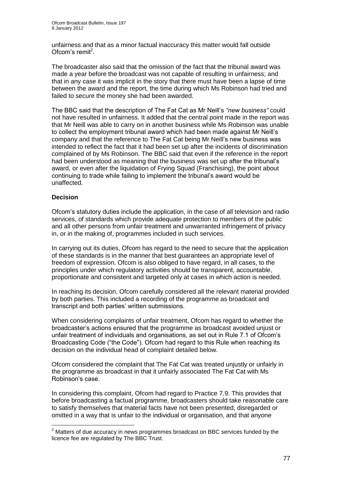unfairness and that as a minor factual inaccuracy this matter would fall outside Ofcom's remit<sup>2</sup>.

The broadcaster also said that the omission of the fact that the tribunal award was made a year before the broadcast was not capable of resulting in unfairness; and that in any case it was implicit in the story that there must have been a lapse of time between the award and the report, the time during which Ms Robinson had tried and failed to secure the money she had been awarded.

The BBC said that the description of The Fat Cat as Mr Neill"s *"new business"* could not have resulted in unfairness. It added that the central point made in the report was that Mr Neill was able to carry on in another business while Ms Robinson was unable to collect the employment tribunal award which had been made against Mr Neill"s company and that the reference to The Fat Cat being Mr Neill"s new business was intended to reflect the fact that it had been set up after the incidents of discrimination complained of by Ms Robinson. The BBC said that even if the reference in the report had been understood as meaning that the business was set up after the tribunal"s award, or even after the liquidation of Frying Squad (Franchising), the point about continuing to trade while failing to implement the tribunal"s award would be unaffected.

#### **Decision**

1

Ofcom"s statutory duties include the application, in the case of all television and radio services, of standards which provide adequate protection to members of the public and all other persons from unfair treatment and unwarranted infringement of privacy in, or in the making of, programmes included in such services.

In carrying out its duties, Ofcom has regard to the need to secure that the application of these standards is in the manner that best guarantees an appropriate level of freedom of expression. Ofcom is also obliged to have regard, in all cases, to the principles under which regulatory activities should be transparent, accountable, proportionate and consistent and targeted only at cases in which action is needed.

In reaching its decision, Ofcom carefully considered all the relevant material provided by both parties. This included a recording of the programme as broadcast and transcript and both parties" written submissions.

When considering complaints of unfair treatment, Ofcom has regard to whether the broadcaster"s actions ensured that the programme as broadcast avoided unjust or unfair treatment of individuals and organisations, as set out in Rule 7.1 of Ofcom"s Broadcasting Code ("the Code"). Ofcom had regard to this Rule when reaching its decision on the individual head of complaint detailed below.

Ofcom considered the complaint that The Fat Cat was treated unjustly or unfairly in the programme as broadcast in that it unfairly associated The Fat Cat with Ms Robinson"s case.

In considering this complaint, Ofcom had regard to Practice 7.9. This provides that before broadcasting a factual programme, broadcasters should take reasonable care to satisfy themselves that material facts have not been presented, disregarded or omitted in a way that is unfair to the individual or organisation, and that anyone

 $2$  Matters of due accuracy in news programmes broadcast on BBC services funded by the licence fee are regulated by The BBC Trust.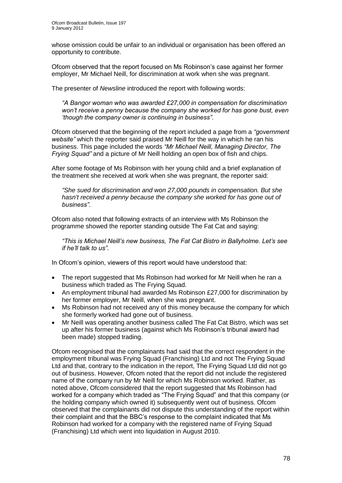whose omission could be unfair to an individual or organisation has been offered an opportunity to contribute.

Ofcom observed that the report focused on Ms Robinson"s case against her former employer, Mr Michael Neill, for discrimination at work when she was pregnant.

The presenter of *Newsline* introduced the report with following words:

*"A Bangor woman who was awarded £27,000 in compensation for discrimination won"t receive a penny because the company she worked for has gone bust, even "though the company owner is continuing in business"*.

Ofcom observed that the beginning of the report included a page from a *"government website"* which the reporter said praised Mr Neill for the way in which he ran his business. This page included the words *"Mr Michael Neill, Managing Director, The Frying Squad"* and a picture of Mr Neill holding an open box of fish and chips.

After some footage of Ms Robinson with her young child and a brief explanation of the treatment she received at work when she was pregnant, the reporter said:

*"She sued for discrimination and won 27,000 pounds in compensation. But she hasn't received a penny because the company she worked for has gone out of business".*

Ofcom also noted that following extracts of an interview with Ms Robinson the programme showed the reporter standing outside The Fat Cat and saying:

*"This is Michael Neill"s new business, The Fat Cat Bistro in Ballyholme. Let"s see if he"ll talk to us"*.

In Ofcom's opinion, viewers of this report would have understood that:

- The report suggested that Ms Robinson had worked for Mr Neill when he ran a business which traded as The Frying Squad.
- An employment tribunal had awarded Ms Robinson £27,000 for discrimination by her former employer, Mr Neill, when she was pregnant.
- Ms Robinson had not received any of this money because the company for which she formerly worked had gone out of business.
- Mr Neill was operating another business called The Fat Cat Bistro, which was set up after his former business (against which Ms Robinson"s tribunal award had been made) stopped trading.

Ofcom recognised that the complainants had said that the correct respondent in the employment tribunal was Frying Squad (Franchising) Ltd and not The Frying Squad Ltd and that, contrary to the indication in the report, The Frying Squad Ltd did not go out of business. However, Ofcom noted that the report did not include the registered name of the company run by Mr Neill for which Ms Robinson worked. Rather, as noted above, Ofcom considered that the report suggested that Ms Robinson had worked for a company which traded as "The Frying Squad" and that this company (or the holding company which owned it) subsequently went out of business. Ofcom observed that the complainants did not dispute this understanding of the report within their complaint and that the BBC"s response to the complaint indicated that Ms Robinson had worked for a company with the registered name of Frying Squad (Franchising) Ltd which went into liquidation in August 2010.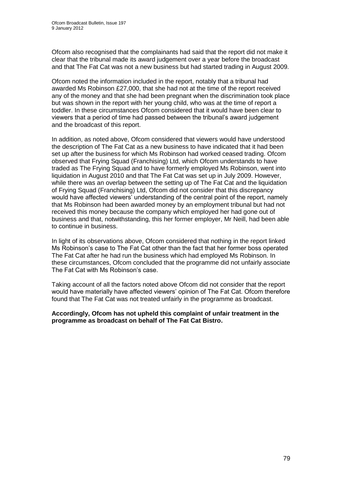Ofcom also recognised that the complainants had said that the report did not make it clear that the tribunal made its award judgement over a year before the broadcast and that The Fat Cat was not a new business but had started trading in August 2009.

Ofcom noted the information included in the report, notably that a tribunal had awarded Ms Robinson £27,000, that she had not at the time of the report received any of the money and that she had been pregnant when the discrimination took place but was shown in the report with her young child, who was at the time of report a toddler. In these circumstances Ofcom considered that it would have been clear to viewers that a period of time had passed between the tribunal"s award judgement and the broadcast of this report.

In addition, as noted above, Ofcom considered that viewers would have understood the description of The Fat Cat as a new business to have indicated that it had been set up after the business for which Ms Robinson had worked ceased trading. Ofcom observed that Frying Squad (Franchising) Ltd, which Ofcom understands to have traded as The Frying Squad and to have formerly employed Ms Robinson, went into liquidation in August 2010 and that The Fat Cat was set up in July 2009. However, while there was an overlap between the setting up of The Fat Cat and the liquidation of Frying Squad (Franchising) Ltd, Ofcom did not consider that this discrepancy would have affected viewers' understanding of the central point of the report, namely that Ms Robinson had been awarded money by an employment tribunal but had not received this money because the company which employed her had gone out of business and that, notwithstanding, this her former employer, Mr Neill, had been able to continue in business.

In light of its observations above, Ofcom considered that nothing in the report linked Ms Robinson"s case to The Fat Cat other than the fact that her former boss operated The Fat Cat after he had run the business which had employed Ms Robinson. In these circumstances, Ofcom concluded that the programme did not unfairly associate The Fat Cat with Ms Robinson's case.

Taking account of all the factors noted above Ofcom did not consider that the report would have materially have affected viewers" opinion of The Fat Cat. Ofcom therefore found that The Fat Cat was not treated unfairly in the programme as broadcast.

#### **Accordingly, Ofcom has not upheld this complaint of unfair treatment in the programme as broadcast on behalf of The Fat Cat Bistro.**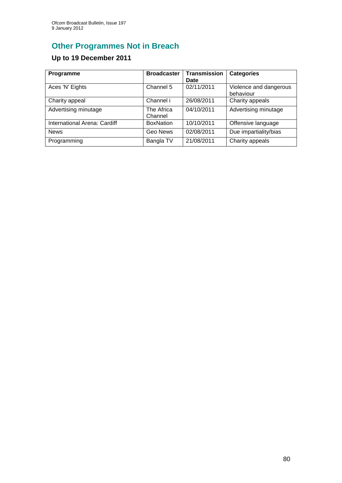# **Other Programmes Not in Breach**

## **Up to 19 December 2011**

| Programme                    | <b>Broadcaster</b>    | <b>Transmission</b><br>Date | <b>Categories</b>                   |
|------------------------------|-----------------------|-----------------------------|-------------------------------------|
| Aces 'N' Eights              | Channel 5             | 02/11/2011                  | Violence and dangerous<br>behaviour |
| Charity appeal               | Channel i             | 26/08/2011                  | Charity appeals                     |
| Advertising minutage         | The Africa<br>Channel | 04/10/2011                  | Advertising minutage                |
| International Arena: Cardiff | <b>BoxNation</b>      | 10/10/2011                  | Offensive language                  |
| <b>News</b>                  | Geo News              | 02/08/2011                  | Due impartiality/bias               |
| Programming                  | Bangla TV             | 21/08/2011                  | Charity appeals                     |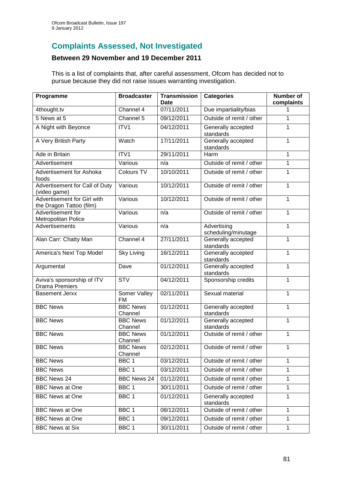## **Complaints Assessed, Not Investigated**

### **Between 29 November and 19 December 2011**

This is a list of complaints that, after careful assessment, Ofcom has decided not to pursue because they did not raise issues warranting investigation.

| Programme                                               | <b>Broadcaster</b>         | <b>Transmission</b><br>Date | <b>Categories</b>                  | <b>Number of</b><br>complaints |
|---------------------------------------------------------|----------------------------|-----------------------------|------------------------------------|--------------------------------|
| 4thought.tv                                             | Channel 4                  | 07/11/2011                  | Due impartiality/bias              | 1                              |
| 5 News at 5                                             | Channel 5                  | 09/12/2011                  | Outside of remit / other           | 1                              |
| A Night with Beyonce                                    | ITV1                       | 04/12/2011                  | Generally accepted<br>standards    | 1                              |
| A Very British Party                                    | Watch                      | 17/11/2011                  | Generally accepted<br>standards    | 1                              |
| Ade in Britain                                          | ITV1                       | 29/11/2011                  | Harm                               | 1                              |
| Advertisement                                           | Various                    | n/a                         | Outside of remit / other           | 1                              |
| Advertisement for Ashoka<br>foods                       | Colours TV                 | 10/10/2011                  | Outside of remit / other           | 1                              |
| Advertisement for Call of Duty<br>(video game)          | Various                    | 10/12/2011                  | Outside of remit / other           | 1                              |
| Advertisement for Girl with<br>the Dragon Tattoo (film) | Various                    | 10/12/2011                  | Outside of remit / other           | 1                              |
| Advertisement for<br>Metropolitan Police                | Various                    | n/a                         | Outside of remit / other           |                                |
| Advertisements                                          | Various                    | n/a                         | Advertising<br>scheduling/minutage | 1                              |
| Alan Carr: Chatty Man                                   | Channel 4                  | 27/11/2011                  | Generally accepted<br>standards    | 1                              |
| America's Next Top Model                                | <b>Sky Living</b>          | 16/12/2011                  | Generally accepted<br>standards    | 1                              |
| Argumental                                              | Dave                       | 01/12/2011                  | Generally accepted<br>standards    | 1                              |
| Aviva's sponsorship of ITV<br><b>Drama Premiers</b>     | <b>STV</b>                 | 04/12/2011                  | Sponsorship credits                | 1                              |
| <b>Basement Jerxx</b>                                   | Somer Valley<br><b>FM</b>  | 02/11/2011                  | Sexual material                    | 1                              |
| <b>BBC News</b>                                         | <b>BBC News</b><br>Channel | 01/12/2011                  | Generally accepted<br>standards    | 1                              |
| <b>BBC News</b>                                         | <b>BBC News</b><br>Channel | 01/12/2011                  | Generally accepted<br>standards    | 1                              |
| <b>BBC News</b>                                         | <b>BBC News</b><br>Channel | 01/12/2011                  | Outside of remit / other           | 1                              |
| <b>BBC News</b>                                         | <b>BBC News</b><br>Channel | 02/12/2011                  | Outside of remit / other           | 1                              |
| <b>BBC News</b>                                         | BBC <sub>1</sub>           | 03/12/2011                  | Outside of remit / other           | 1                              |
| <b>BBC News</b>                                         | BBC1                       | 03/12/2011                  | Outside of remit / other           | 1                              |
| <b>BBC News 24</b>                                      | <b>BBC News 24</b>         | 01/12/2011                  | Outside of remit / other           | 1                              |
| <b>BBC News at One</b>                                  | BBC <sub>1</sub>           | 30/11/2011                  | Outside of remit / other           | 1                              |
| <b>BBC News at One</b>                                  | BBC <sub>1</sub>           | 01/12/2011                  | Generally accepted<br>standards    | 1                              |
| <b>BBC News at One</b>                                  | BBC1                       | 08/12/2011                  | Outside of remit / other           | 1                              |
| <b>BBC News at One</b>                                  | BBC 1                      | 09/12/2011                  | Outside of remit / other           | 1                              |
| <b>BBC News at Six</b>                                  | BBC <sub>1</sub>           | 30/11/2011                  | Outside of remit / other           | 1                              |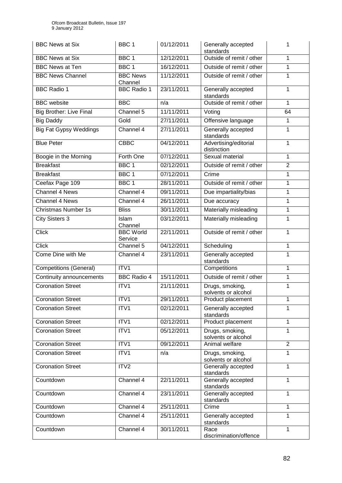| <b>BBC News at Six</b>         | BBC <sub>1</sub>            | 01/12/2011 | Generally accepted<br>standards        | 1              |
|--------------------------------|-----------------------------|------------|----------------------------------------|----------------|
| <b>BBC News at Six</b>         | BBC 1                       | 12/12/2011 | Outside of remit / other               | 1              |
| <b>BBC News at Ten</b>         | BBC <sub>1</sub>            | 16/12/2011 | Outside of remit / other               | 1              |
| <b>BBC News Channel</b>        | <b>BBC News</b><br>Channel  | 11/12/2011 | Outside of remit / other               | 1              |
| <b>BBC Radio 1</b>             | <b>BBC Radio 1</b>          | 23/11/2011 | Generally accepted<br>standards        | 1              |
| <b>BBC</b> website             | <b>BBC</b>                  | n/a        | Outside of remit / other               | 1              |
| <b>Big Brother: Live Final</b> | Channel 5                   | 11/11/2011 | Voting                                 | 64             |
| <b>Big Daddy</b>               | Gold                        | 27/11/2011 | Offensive language                     | $\mathbf{1}$   |
| <b>Big Fat Gypsy Weddings</b>  | Channel 4                   | 27/11/2011 | Generally accepted<br>standards        | 1              |
| <b>Blue Peter</b>              | $C\overline{B}C$            | 04/12/2011 | Advertising/editorial<br>distinction   | 1              |
| Boogie in the Morning          | Forth One                   | 07/12/2011 | Sexual material                        | 1              |
| <b>Breakfast</b>               | BBC <sub>1</sub>            | 02/12/2011 | Outside of remit / other               | $\overline{2}$ |
| <b>Breakfast</b>               | BBC <sub>1</sub>            | 07/12/2011 | Crime                                  | 1              |
| Ceefax Page 109                | BBC <sub>1</sub>            | 28/11/2011 | Outside of remit / other               | 1              |
| Channel 4 News                 | Channel 4                   | 09/11/2011 | Due impartiality/bias                  | 1              |
| Channel 4 News                 | Channel 4                   | 26/11/2011 | Due accuracy                           | 1              |
| <b>Christmas Number 1s</b>     | <b>Bliss</b>                | 30/11/2011 | Materially misleading                  | 1              |
| <b>City Sisters 3</b>          | Islam<br>Channel            | 03/12/2011 | Materially misleading                  | 1              |
| <b>Click</b>                   | <b>BBC World</b><br>Service | 22/11/2011 | Outside of remit / other               | 1              |
| <b>Click</b>                   | Channel 5                   | 04/12/2011 | Scheduling                             | 1              |
| Come Dine with Me              | Channel 4                   | 23/11/2011 | Generally accepted<br>standards        | 1              |
| <b>Competitions (General)</b>  | ITV1                        |            | Competitions                           | 1              |
| Continuity announcements       | <b>BBC Radio 4</b>          | 15/11/2011 | Outside of remit / other               | 1              |
| <b>Coronation Street</b>       | ITV1                        | 21/11/2011 | Drugs, smoking,<br>solvents or alcohol | 1              |
| <b>Coronation Street</b>       | ITV1                        | 29/11/2011 | Product placement                      | 1              |
| <b>Coronation Street</b>       | ITV1                        | 02/12/2011 | Generally accepted<br>standards        | 1              |
| <b>Coronation Street</b>       | ITV1                        | 02/12/2011 | Product placement                      | 1              |
| <b>Coronation Street</b>       | ITV1                        | 05/12/2011 | Drugs, smoking,<br>solvents or alcohol | 1              |
| <b>Coronation Street</b>       | ITV1                        | 09/12/2011 | Animal welfare                         | $\overline{2}$ |
| <b>Coronation Street</b>       | ITV1                        | n/a        | Drugs, smoking,<br>solvents or alcohol | 1              |
| Coronation Street              | ITV <sub>2</sub>            |            | Generally accepted<br>standards        | 1              |
| Countdown                      | Channel 4                   | 22/11/2011 | Generally accepted<br>standards        | 1              |
| Countdown                      | Channel 4                   | 23/11/2011 | Generally accepted<br>standards        | 1              |
| Countdown                      | Channel 4                   | 25/11/2011 | Crime                                  | 1              |
| Countdown                      | Channel 4                   | 25/11/2011 | Generally accepted<br>standards        | 1              |
| Countdown                      | Channel 4                   | 30/11/2011 | Race<br>discrimination/offence         | 1              |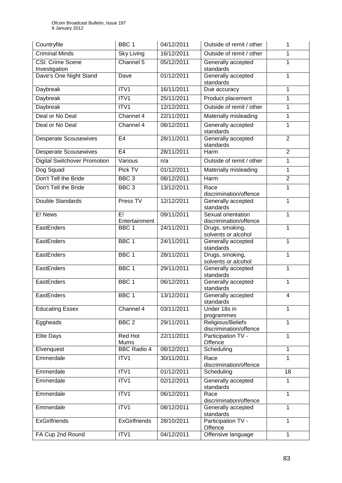| Countryfile                         | BBC <sub>1</sub>       | 04/12/2011 | Outside of remit / other                     | 1              |
|-------------------------------------|------------------------|------------|----------------------------------------------|----------------|
| <b>Criminal Minds</b>               | <b>Sky Living</b>      | 16/12/2011 | Outside of remit / other                     | 1              |
| CSI: Crime Scene<br>Investigation   | Channel 5              | 05/12/2011 | Generally accepted<br>standards              | 1              |
| Dave's One Night Stand              | Dave                   | 01/12/2011 | Generally accepted<br>standards              | $\mathbf{1}$   |
| Daybreak                            | ITV1                   | 16/11/2011 | Due accuracy                                 | 1              |
| <b>Daybreak</b>                     | ITV1                   | 25/11/2011 | Product placement                            | 1              |
| Daybreak                            | ITV1                   | 12/12/2011 | Outside of remit / other                     | 1              |
| Deal or No Deal                     | Channel 4              | 22/11/2011 | Materially misleading                        | 1              |
| Deal or No Deal                     | Channel 4              | 08/12/2011 | Generally accepted<br>standards              | $\mathbf{1}$   |
| <b>Desperate Scousewives</b>        | E <sub>4</sub>         | 28/11/2011 | Generally accepted<br>standards              | $\overline{2}$ |
| <b>Desperate Scousewives</b>        | E <sub>4</sub>         | 28/11/2011 | Harm                                         | $\overline{2}$ |
| <b>Digital Switchover Promotion</b> | Various                | n/a        | Outside of remit / other                     | 1              |
| Dog Squad                           | Pick TV                | 01/12/2011 | Materially misleading                        | $\mathbf{1}$   |
| Don't Tell the Bride                | BBC <sub>3</sub>       | 08/12/2011 | Harm                                         | $\overline{2}$ |
| Don't Tell the Bride                | BBC <sub>3</sub>       | 13/12/2011 | Race<br>discrimination/offence               | 1              |
| Double Standards                    | Press TV               | 12/12/2011 | Generally accepted<br>standards              | $\mathbf{1}$   |
| E! News                             | E!<br>Entertainment    | 09/11/2011 | Sexual orientation<br>discrimination/offence | 1              |
| <b>EastEnders</b>                   | BBC <sub>1</sub>       | 24/11/2011 | Drugs, smoking,<br>solvents or alcohol       | 1              |
| EastEnders                          | BBC <sub>1</sub>       | 24/11/2011 | Generally accepted<br>standards              | $\mathbf{1}$   |
| EastEnders                          | BBC <sub>1</sub>       | 28/11/2011 | Drugs, smoking,<br>solvents or alcohol       | 1              |
| EastEnders                          | BBC <sub>1</sub>       | 29/11/2011 | Generally accepted<br>standards              | 1              |
| EastEnders                          | BBC <sub>1</sub>       | 06/12/2011 | Generally accepted<br>standards              | 1              |
| EastEnders                          | BBC 1                  | 13/12/2011 | Generally accepted<br>standards              | 4              |
| <b>Educating Essex</b>              | Channel 4              | 03/11/2011 | Under 18s in<br>programmes                   | 1              |
| Eggheads                            | BBC <sub>2</sub>       | 29/11/2011 | Religious/Beliefs<br>discrimination/offence  | 1              |
| Elite Days                          | <b>Red Hot</b><br>Mums | 22/11/2011 | Participation TV -<br>Offence                | 1              |
| Elvenquest                          | <b>BBC Radio 4</b>     | 08/12/2011 | Scheduling                                   | $\mathbf{1}$   |
| Emmerdale                           | ITV1                   | 30/11/2011 | Race<br>discrimination/offence               | 1              |
| Emmerdale                           | ITV1                   | 01/12/2011 | Scheduling                                   | 18             |
| Emmerdale                           | ITV1                   | 02/12/2011 | Generally accepted<br>standards              | 1              |
| Emmerdale                           | ITV1                   | 06/12/2011 | Race<br>discrimination/offence               | $\mathbf{1}$   |
| Emmerdale                           | ITV1                   | 08/12/2011 | Generally accepted<br>standards              | $\mathbf{1}$   |
| <b>ExGirlfriends</b>                | <b>ExGirlfriends</b>   | 28/10/2011 | Participation TV -<br>Offence                | $\mathbf{1}$   |
| FA Cup 2nd Round                    | ITV1                   | 04/12/2011 | Offensive language                           | $\mathbf{1}$   |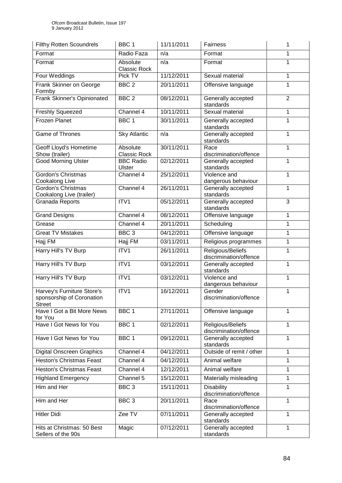| <b>Filthy Rotten Scoundrels</b>                                          | BBC <sub>1</sub>                | 11/11/2011 | Fairness                                    | 1              |
|--------------------------------------------------------------------------|---------------------------------|------------|---------------------------------------------|----------------|
| Format                                                                   | Radio Faza                      | n/a        | Format                                      | 1              |
| Format                                                                   | Absolute<br><b>Classic Rock</b> | n/a        | Format                                      | 1              |
| Four Weddings                                                            | Pick TV                         | 11/12/2011 | Sexual material                             | 1              |
| Frank Skinner on George<br>Formby                                        | BBC <sub>2</sub>                | 20/11/2011 | Offensive language                          | 1              |
| Frank Skinner's Opinionated                                              | BBC <sub>2</sub>                | 08/12/2011 | Generally accepted<br>standards             | $\overline{2}$ |
| <b>Freshly Squeezed</b>                                                  | Channel 4                       | 10/11/2011 | Sexual material                             | 1              |
| <b>Frozen Planet</b>                                                     | BBC <sub>1</sub>                | 30/11/2011 | Generally accepted<br>standards             | 1              |
| Game of Thrones                                                          | <b>Sky Atlantic</b>             | n/a        | Generally accepted<br>standards             | 1              |
| Geoff Lloyd's Hometime<br>Show (trailer)                                 | Absolute<br><b>Classic Rock</b> | 30/11/2011 | Race<br>discrimination/offence              | 1              |
| <b>Good Morning Ulster</b>                                               | <b>BBC Radio</b><br>Ulster      | 02/12/2011 | Generally accepted<br>standards             | 1              |
| <b>Gordon's Christmas</b><br><b>Cookalong Live</b>                       | Channel 4                       | 25/12/2011 | Violence and<br>dangerous behaviour         | 1              |
| Gordon's Christmas<br>Cookalong Live (trailer)                           | Channel 4                       | 26/11/2011 | Generally accepted<br>standards             | 1              |
| Granada Reports                                                          | ITV1                            | 05/12/2011 | Generally accepted<br>standards             | 3              |
| <b>Grand Designs</b>                                                     | Channel 4                       | 08/12/2011 | Offensive language                          | 1              |
| Grease                                                                   | Channel 4                       | 20/11/2011 | Scheduling                                  | 1              |
| <b>Great TV Mistakes</b>                                                 | BBC <sub>3</sub>                | 04/12/2011 | Offensive language                          | 1              |
| Hajj FM                                                                  | Hajj FM                         | 03/11/2011 | Religious programmes                        | 1              |
| Harry Hill's TV Burp                                                     | ITV1                            | 26/11/2011 | Religious/Beliefs<br>discrimination/offence | 1              |
| Harry Hill's TV Burp                                                     | ITV1                            | 03/12/2011 | Generally accepted<br>standards             | 1              |
| Harry Hill's TV Burp                                                     | ITV1                            | 03/12/2011 | Violence and<br>dangerous behaviour         |                |
| Harvey's Furniture Store's<br>sponsorship of Coronation<br><b>Street</b> | ITV1                            | 16/12/2011 | Gender<br>discrimination/offence            | 1              |
| Have I Got a Bit More News<br>for You                                    | BBC <sub>1</sub>                | 27/11/2011 | Offensive language                          | 1              |
| Have I Got News for You                                                  | BBC 1                           | 02/12/2011 | Religious/Beliefs<br>discrimination/offence | 1              |
| Have I Got News for You                                                  | BBC <sub>1</sub>                | 09/12/2011 | Generally accepted<br>standards             | 1              |
| <b>Digital Onscreen Graphics</b>                                         | Channel 4                       | 04/12/2011 | Outside of remit / other                    | 1              |
| <b>Heston's Christmas Feast</b>                                          | Channel 4                       | 04/12/2011 | Animal welfare                              | 1              |
| <b>Heston's Christmas Feast</b>                                          | Channel 4                       | 12/12/2011 | Animal welfare                              | 1              |
| <b>Highland Emergency</b>                                                | Channel 5                       | 15/12/2011 | Materially misleading                       | 1              |
| Him and Her                                                              | BBC <sub>3</sub>                | 15/11/2011 | Disability<br>discrimination/offence        | 1              |
| Him and Her                                                              | BBC <sub>3</sub>                | 20/11/2011 | Race<br>discrimination/offence              | 1              |
| <b>Hitler Didi</b>                                                       | Zee TV                          | 07/11/2011 | Generally accepted<br>standards             | 1              |
| Hits at Christmas: 50 Best<br>Sellers of the 90s                         | Magic                           | 07/12/2011 | Generally accepted<br>standards             | $\mathbf{1}$   |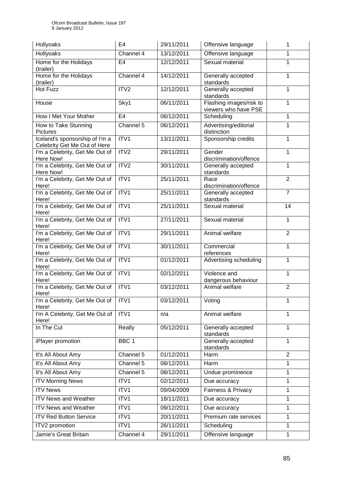| Hollyoaks                                                      | E <sub>4</sub>   | 29/11/2011 | Offensive language                              | 1              |
|----------------------------------------------------------------|------------------|------------|-------------------------------------------------|----------------|
| Hollyoaks                                                      | Channel 4        | 13/12/2011 | Offensive language                              | 1              |
| Home for the Holidays<br>(trailer)                             | E <sub>4</sub>   | 12/12/2011 | Sexual material                                 | 1              |
| Home for the Holidays<br>(trailer)                             | Channel 4        | 14/12/2011 | Generally accepted<br>standards                 | 1              |
| <b>Hot Fuzz</b>                                                | ITV2             | 12/12/2011 | Generally accepted<br>standards                 | 1              |
| House                                                          | Sky1             | 06/11/2011 | Flashing images/risk to<br>viewers who have PSE | 1              |
| How I Met Your Mother                                          | E <sub>4</sub>   | 06/12/2011 | Scheduling                                      | 1              |
| How to Take Stunning<br><b>Pictures</b>                        | Channel 5        | 06/12/2011 | Advertising/editorial<br>distinction            | 1              |
| Iceland's sponsorship of I'm a<br>Celebrity Get Me Out of Here | ITV1             | 13/11/2011 | Sponsorship credits                             | 1              |
| I'm a Celebrity, Get Me Out of<br>Here Now!                    | ITV2             | 29/11/2011 | Gender<br>discrimination/offence                | 1              |
| I'm a Celebrity, Get Me Out of<br>Here Now!                    | ITV <sub>2</sub> | 30/11/2011 | Generally accepted<br>standards                 | 1              |
| I'm a Celebrity, Get Me Out of<br>Here!                        | ITV1             | 25/11/2011 | Race<br>discrimination/offence                  | $\overline{2}$ |
| I'm a Celebrity, Get Me Out of<br>Here!                        | ITV1             | 25/11/2011 | Generally accepted<br>standards                 | $\overline{7}$ |
| I'm a Celebrity, Get Me Out of<br>Here!                        | ITV1             | 25/11/2011 | Sexual material                                 | 14             |
| I'm a Celebrity, Get Me Out of<br>Here!                        | ITV1             | 27/11/2011 | Sexual material                                 | 1              |
| I'm a Celebrity, Get Me Out of<br>Here!                        | ITVI             | 29/11/2011 | Animal welfare                                  | $\overline{2}$ |
| I'm a Celebrity, Get Me Out of<br>Here!                        | ITV1             | 30/11/2011 | Commercial<br>references                        | 1              |
| I'm a Celebrity, Get Me Out of<br>Here!                        | ITV1             | 01/12/2011 | Advertising scheduling                          | 1              |
| I'm a Celebrity, Get Me Out of<br>Here!                        | ITV1             | 02/12/2011 | Violence and<br>dangerous behaviour             | 1              |
| I'm a Celebrity, Get Me Out of<br>Here!                        | ITV1             | 03/12/2011 | Animal welfare                                  | $\overline{2}$ |
| I'm a Celebrity, Get Me Out of<br>Here!                        | ITV <sub>1</sub> | 03/12/2011 | Voting                                          | 1              |
| I'm A Celebrity, Get Me Out of<br>Here!                        | ITV1             | n/a        | Animal welfare                                  | 1              |
| In The Cut                                                     | Really           | 05/12/2011 | Generally accepted<br>standards                 | 1              |
| iPlayer promotion                                              | BBC 1            |            | Generally accepted<br>standards                 | 1              |
| It's All About Amy                                             | Channel 5        | 01/12/2011 | Harm                                            | $\overline{2}$ |
| It's All About Amy                                             | Channel 5        | 08/12/2011 | Harm                                            | 1              |
| It's All About Amy                                             | Channel 5        | 08/12/2011 | Undue prominence                                | 1              |
| <b>ITV Morning News</b>                                        | ITV1             | 02/12/2011 | Due accuracy                                    | 1              |
| <b>ITV News</b>                                                | ITV1             | 09/04/2009 | Fairness & Privacy                              | 1              |
| <b>ITV News and Weather</b>                                    | ITV1             | 18/11/2011 | Due accuracy                                    | 1              |
| <b>ITV News and Weather</b>                                    | ITV1             | 09/12/2011 | Due accuracy                                    | 1              |
| <b>ITV Red Button Service</b>                                  | ITV1             | 20/11/2011 | Premium rate services                           | 1              |
| ITV2 promotion                                                 | ITV1             | 26/11/2011 | Scheduling                                      | 1              |
| Jamie's Great Britain                                          | Channel 4        | 29/11/2011 | Offensive language                              | 1              |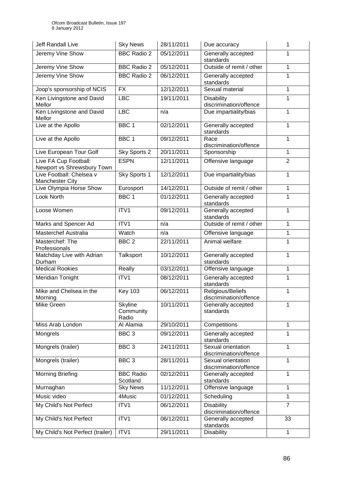| Jeff Randall Live                                   | <b>Sky News</b>               | 28/11/2011 | Due accuracy                                 | 1              |
|-----------------------------------------------------|-------------------------------|------------|----------------------------------------------|----------------|
| Jeremy Vine Show                                    | <b>BBC Radio 2</b>            | 05/12/2011 | Generally accepted<br>standards              |                |
| Jeremy Vine Show                                    | <b>BBC Radio 2</b>            | 05/12/2011 | Outside of remit / other                     | 1              |
| Jeremy Vine Show                                    | <b>BBC Radio 2</b>            | 06/12/2011 | Generally accepted<br>standards              | 1              |
| Joop's sponsorship of NCIS                          | <b>FX</b>                     | 12/12/2011 | Sexual material                              | 1              |
| Ken Livingstone and David<br>Mellor                 | LBC                           | 19/11/2011 | <b>Disability</b><br>discrimination/offence  | 1              |
| Ken Livingstone and David<br>Mellor                 | <b>LBC</b>                    | n/a        | Due impartiality/bias                        | 1              |
| Live at the Apollo                                  | BBC <sub>1</sub>              | 02/12/2011 | Generally accepted<br>standards              | 1              |
| Live at the Apollo                                  | BBC <sub>1</sub>              | 09/12/2011 | Race<br>discrimination/offence               | 1              |
| Live European Tour Golf                             | Sky Sports 2                  | 20/11/2011 | Sponsorship                                  | $\mathbf{1}$   |
| Live FA Cup Football:<br>Newport vs Shrewsbury Town | <b>ESPN</b>                   | 12/11/2011 | Offensive language                           | $\overline{2}$ |
| Live Football: Chelsea v<br><b>Manchester City</b>  | Sky Sports 1                  | 12/12/2011 | Due impartiality/bias                        | 1              |
| Live Olympia Horse Show                             | Eurosport                     | 14/12/2011 | Outside of remit / other                     | 1              |
| Look North                                          | BBC <sub>1</sub>              | 01/12/2011 | Generally accepted<br>standards              | 1              |
| Loose Women                                         | ITV1                          | 09/12/2011 | Generally accepted<br>standards              | 1              |
| Marks and Spencer Ad                                | ITV1                          | n/a        | Outside of remit / other                     | 1              |
| <b>Masterchef Australia</b>                         | Watch                         | n/a        | Offensive language                           | 1              |
| Masterchef: The<br>Professionals                    | BBC <sub>2</sub>              | 22/11/2011 | Animal welfare                               | 1              |
| Matchday Live with Adrian<br>Durham                 | Talksport                     | 10/12/2011 | Generally accepted<br>standards              | 1              |
| <b>Medical Rookies</b>                              | Really                        | 03/12/2011 | Offensive language                           | 1              |
| Meridian Tonight                                    | ITV1                          | 08/12/2011 | Generally accepted<br>standards              | 1              |
| Mike and Chelsea in the<br>Morning                  | <b>Key 103</b>                | 06/12/2011 | Religious/Beliefs<br>discrimination/offence  | 1              |
| Mike Green                                          | Skyline<br>Community<br>Radio | 10/11/2011 | Generally accepted<br>standards              | 1              |
| Miss Arab London                                    | Al Alamia                     | 29/10/2011 | Competitions                                 | 1              |
| Mongrels                                            | BBC <sub>3</sub>              | 09/12/2011 | Generally accepted<br>standards              | 1              |
| Mongrels (trailer)                                  | BBC <sub>3</sub>              | 24/11/2011 | Sexual orientation<br>discrimination/offence | 1              |
| Mongrels (trailer)                                  | BBC <sub>3</sub>              | 28/11/2011 | Sexual orientation<br>discrimination/offence | 1              |
| <b>Morning Briefing</b>                             | <b>BBC Radio</b><br>Scotland  | 02/12/2011 | Generally accepted<br>standards              | 1              |
| Murnaghan                                           | <b>Sky News</b>               | 11/12/2011 | Offensive language                           | 1              |
| Music video                                         | 4Music                        | 01/12/2011 | Scheduling                                   | 1              |
| My Child's Not Perfect                              | ITV1                          | 06/12/2011 | <b>Disability</b><br>discrimination/offence  | $\overline{7}$ |
| My Child's Not Perfect                              | ITV1                          | 06/12/2011 | Generally accepted<br>standards              | 33             |
| My Child's Not Perfect (trailer)                    | ITV1                          | 29/11/2011 | <b>Disability</b>                            | 1              |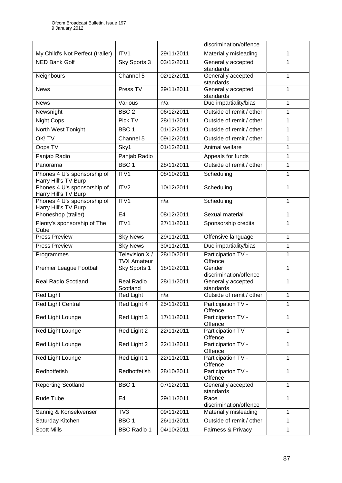|                                                     |                                     |            | discrimination/offence           |   |
|-----------------------------------------------------|-------------------------------------|------------|----------------------------------|---|
| My Child's Not Perfect (trailer)                    | ITV1                                | 29/11/2011 | Materially misleading            | 1 |
| <b>NED Bank Golf</b>                                | Sky Sports 3                        | 03/12/2011 | Generally accepted<br>standards  | 1 |
| Neighbours                                          | Channel 5                           | 02/12/2011 | Generally accepted<br>standards  | 1 |
| <b>News</b>                                         | Press TV                            | 29/11/2011 | Generally accepted<br>standards  | 1 |
| <b>News</b>                                         | Various                             | n/a        | Due impartiality/bias            | 1 |
| Newsnight                                           | BBC <sub>2</sub>                    | 06/12/2011 | Outside of remit / other         | 1 |
| <b>Night Cops</b>                                   | Pick TV                             | 28/11/2011 | Outside of remit / other         | 1 |
| North West Tonight                                  | BBC <sub>1</sub>                    | 01/12/2011 | Outside of remit / other         | 1 |
| OK! TV                                              | Channel 5                           | 09/12/2011 | Outside of remit / other         | 1 |
| Oops TV                                             | Sky1                                | 01/12/2011 | Animal welfare                   | 1 |
| Panjab Radio                                        | Panjab Radio                        |            | Appeals for funds                | 1 |
| Panorama                                            | BBC <sub>1</sub>                    | 28/11/2011 | Outside of remit / other         | 1 |
| Phones 4 U's sponsorship of<br>Harry Hill's TV Burp | ITV1                                | 08/10/2011 | Scheduling                       | 1 |
| Phones 4 U's sponsorship of<br>Harry Hill's TV Burp | ITV2                                | 10/12/2011 | Scheduling                       | 1 |
| Phones 4 U's sponsorship of<br>Harry Hill's TV Burp | ITV1                                | n/a        | Scheduling                       | 1 |
| Phoneshop (trailer)                                 | E <sub>4</sub>                      | 08/12/2011 | Sexual material                  | 1 |
| Plenty's sponsorship of The<br>Cube                 | ITV1                                | 27/11/2011 | Sponsorship credits              | 1 |
| <b>Press Preview</b>                                | <b>Sky News</b>                     | 29/11/2011 | Offensive language               | 1 |
| <b>Press Preview</b>                                | <b>Sky News</b>                     | 30/11/2011 | Due impartiality/bias            | 1 |
| Programmes                                          | Television X/<br><b>TVX Amateur</b> | 28/10/2011 | Participation TV -<br>Offence    | 1 |
| Premier League Football                             | Sky Sports 1                        | 18/12/2011 | Gender<br>discrimination/offence | 1 |
| Real Radio Scotland                                 | <b>Real Radio</b><br>Scotland       | 28/11/2011 | Generally accepted<br>standards  | 1 |
| <b>Red Light</b>                                    | Red Light                           | n/a        | Outside of remit / other         | 1 |
| Red Light Central                                   | Red Light 4                         | 25/11/2011 | Participation TV -<br>Offence    | 1 |
| Red Light Lounge                                    | Red Light 3                         | 17/11/2011 | Participation TV -<br>Offence    | 1 |
| Red Light Lounge                                    | Red Light 2                         | 22/11/2011 | Participation TV -<br>Offence    | 1 |
| Red Light Lounge                                    | Red Light 2                         | 22/11/2011 | Participation TV -<br>Offence    | 1 |
| Red Light Lounge                                    | Red Light 1                         | 22/11/2011 | Participation TV -<br>Offence    | 1 |
| Redhotfetish                                        | Redhotfetish                        | 28/10/2011 | Participation TV -<br>Offence    | 1 |
| <b>Reporting Scotland</b>                           | BBC <sub>1</sub>                    | 07/12/2011 | Generally accepted<br>standards  | 1 |
| Rude Tube                                           | E <sub>4</sub>                      | 29/11/2011 | Race<br>discrimination/offence   | 1 |
| Sannig & Konsekvenser                               | TV3                                 | 09/11/2011 | Materially misleading            | 1 |
| Saturday Kitchen                                    | BBC 1                               | 26/11/2011 | Outside of remit / other         | 1 |
| <b>Scott Mills</b>                                  | <b>BBC Radio 1</b>                  | 04/10/2011 | Fairness & Privacy               | 1 |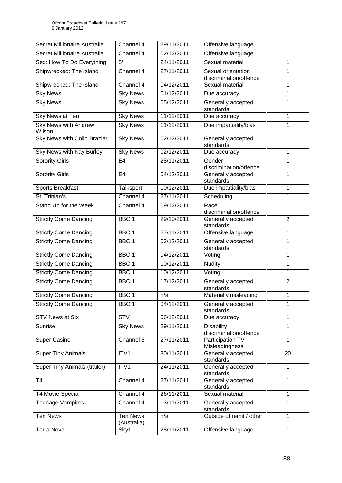| Secret Millionaire Australia          | Channel 4                      | 29/11/2011 | Offensive language                           | 1              |
|---------------------------------------|--------------------------------|------------|----------------------------------------------|----------------|
| Secret Millionaire Australia          | Channel 4                      | 02/12/2011 | Offensive language                           | 1              |
| Sex: How To Do Everything             | $\overline{5^*}$               | 24/11/2011 | Sexual material                              | 1              |
| Shipwrecked: The Island               | Channel 4                      | 27/11/2011 | Sexual orientation<br>discrimination/offence | 1              |
| Shipwrecked: The Island               | Channel 4                      | 04/12/2011 | Sexual material                              | 1              |
| <b>Sky News</b>                       | <b>Sky News</b>                | 01/12/2011 | Due accuracy                                 | 1              |
| <b>Sky News</b>                       | <b>Sky News</b>                | 05/12/2011 | Generally accepted<br>standards              | 1              |
| Sky News at Ten                       | <b>Sky News</b>                | 11/12/2011 | Due accuracy                                 | 1              |
| <b>Sky News with Andrew</b><br>Wilson | <b>Sky News</b>                | 11/12/2011 | Due impartiality/bias                        | 1              |
| Sky News with Colin Brazier           | <b>Sky News</b>                | 02/12/2011 | Generally accepted<br>standards              | 1              |
| Sky News with Kay Burley              | <b>Sky News</b>                | 02/12/2011 | Due accuracy                                 | 1              |
| <b>Sorority Girls</b>                 | E <sub>4</sub>                 | 28/11/2011 | Gender<br>discrimination/offence             | 1              |
| <b>Sorority Girls</b>                 | E <sub>4</sub>                 | 04/12/2011 | Generally accepted<br>standards              | 1              |
| <b>Sports Breakfast</b>               | Talksport                      | 10/12/2011 | Due impartiality/bias                        | 1              |
| St. Trinian's                         | Channel 4                      | 27/11/2011 | Scheduling                                   | 1              |
| Stand Up for the Week                 | Channel 4                      | 09/12/2011 | Race<br>discrimination/offence               | 1              |
| <b>Strictly Come Dancing</b>          | BBC <sub>1</sub>               | 29/10/2011 | Generally accepted<br>standards              | $\overline{2}$ |
| <b>Strictly Come Dancing</b>          | BBC 1                          | 27/11/2011 | Offensive language                           | 1              |
| <b>Strictly Come Dancing</b>          | BBC <sub>1</sub>               | 03/12/2011 | Generally accepted<br>standards              | 1              |
| <b>Strictly Come Dancing</b>          | BBC 1                          | 04/12/2011 | Voting                                       | 1              |
| <b>Strictly Come Dancing</b>          | BBC <sub>1</sub>               | 10/12/2011 | <b>Nudity</b>                                | 1              |
| <b>Strictly Come Dancing</b>          | BBC <sub>1</sub>               | 10/12/2011 | Voting                                       | 1              |
| <b>Strictly Come Dancing</b>          | BBC <sub>1</sub>               | 17/12/2011 | Generally accepted<br>standards              | $\overline{2}$ |
| <b>Strictly Come Dancing</b>          | BBC <sub>1</sub>               | n/a        | Materially misleading                        | 1              |
| <b>Strictly Come Dancing</b>          | BBC 1                          | 04/12/2011 | Generally accepted<br>standards              |                |
| <b>STV News at Six</b>                | <b>STV</b>                     | 06/12/2011 | Due accuracy                                 | 1              |
| Sunrise                               | <b>Sky News</b>                | 29/11/2011 | <b>Disability</b><br>discrimination/offence  | 1              |
| Super Casino                          | Channel 5                      | 27/11/2011 | Participation TV -<br>Misleadingness         | 1              |
| <b>Super Tiny Animals</b>             | ITV1                           | 30/11/2011 | Generally accepted<br>standards              | 20             |
| <b>Super Tiny Animals (trailer)</b>   | ITV1                           | 24/11/2011 | Generally accepted<br>standards              | 1              |
| T <sub>4</sub>                        | Channel 4                      | 27/11/2011 | Generally accepted<br>standards              | 1              |
| <b>T4 Movie Special</b>               | Channel 4                      | 26/11/2011 | Sexual material                              | 1              |
| <b>Teenage Vampires</b>               | Channel 4                      | 13/11/2011 | Generally accepted<br>standards              | 1              |
| <b>Ten News</b>                       | <b>Ten News</b><br>(Australia) | n/a        | Outside of remit / other                     | 1              |
| Terra Nova                            | Sky1                           | 28/11/2011 | Offensive language                           | 1              |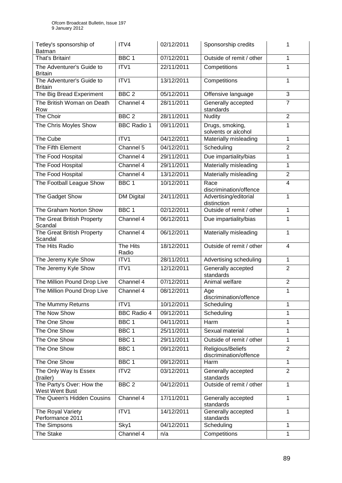| Tetley's sponsorship of<br>Batman           | ITV4               | 02/12/2011 | Sponsorship credits                         | 1              |
|---------------------------------------------|--------------------|------------|---------------------------------------------|----------------|
| That's Britain!                             | BBC <sub>1</sub>   | 07/12/2011 | Outside of remit / other                    | 1              |
| The Adventurer's Guide to<br><b>Britain</b> | ITV1               | 22/11/2011 | Competitions                                | 1              |
| The Adventurer's Guide to<br><b>Britain</b> | ITV1               | 13/12/2011 | Competitions                                | 1              |
| The Big Bread Experiment                    | BBC <sub>2</sub>   | 05/12/2011 | Offensive language                          | $\overline{3}$ |
| The British Woman on Death<br>Row           | Channel 4          | 28/11/2011 | Generally accepted<br>standards             | $\overline{7}$ |
| The Choir                                   | BBC <sub>2</sub>   | 28/11/2011 | <b>Nudity</b>                               | $\overline{2}$ |
| The Chris Moyles Show                       | <b>BBC Radio 1</b> | 09/11/2011 | Drugs, smoking,<br>solvents or alcohol      | 1              |
| The Cube                                    | ITV1               | 04/12/2011 | Materially misleading                       | 1              |
| The Fifth Element                           | Channel 5          | 04/12/2011 | Scheduling                                  | $\overline{2}$ |
| The Food Hospital                           | Channel 4          | 29/11/2011 | Due impartiality/bias                       | 1              |
| The Food Hospital                           | Channel 4          | 29/11/2011 | Materially misleading                       | 1              |
| The Food Hospital                           | Channel 4          | 13/12/2011 | Materially misleading                       | $\overline{2}$ |
| The Football League Show                    | BBC <sub>1</sub>   | 10/12/2011 | Race<br>discrimination/offence              | 4              |
| The Gadget Show                             | <b>DM Digital</b>  | 24/11/2011 | Advertising/editorial<br>distinction        | 1              |
| The Graham Norton Show                      | BBC <sub>1</sub>   | 02/12/2011 | Outside of remit / other                    | 1              |
| The Great British Property<br>Scandal       | Channel 4          | 06/12/2011 | Due impartiality/bias                       | 1              |
| The Great British Property<br>Scandal       | Channel 4          | 06/12/2011 | Materially misleading                       | 1              |
| The Hits Radio                              | The Hits<br>Radio  | 18/12/2011 | Outside of remit / other                    | $\overline{4}$ |
| The Jeremy Kyle Show                        | ITV1               | 28/11/2011 | Advertising scheduling                      | $\mathbf{1}$   |
| The Jeremy Kyle Show                        | ITV1               | 12/12/2011 | Generally accepted<br>standards             | $\overline{2}$ |
| The Million Pound Drop Live                 | Channel 4          | 07/12/2011 | Animal welfare                              | $\sqrt{2}$     |
| The Million Pound Drop Live                 | Channel 4          | 08/12/2011 | Age<br>discrimination/offence               | 1              |
| The Mummy Returns                           | ITV1               | 10/12/2011 | Scheduling                                  | 1              |
| The Now Show                                | <b>BBC Radio 4</b> | 09/12/2011 | Scheduling                                  | 1              |
| The One Show                                | BBC <sub>1</sub>   | 04/11/2011 | Harm                                        | 1              |
| The One Show                                | BBC <sub>1</sub>   | 25/11/2011 | Sexual material                             | 1              |
| The One Show                                | BBC <sub>1</sub>   | 29/11/2011 | Outside of remit / other                    | 1              |
| The One Show                                | BBC <sub>1</sub>   | 09/12/2011 | Religious/Beliefs<br>discrimination/offence | $\overline{2}$ |
| The One Show                                | BBC <sub>1</sub>   | 09/12/2011 | <b>Harm</b>                                 | 1              |
| The Only Way Is Essex<br>(trailer)          | ITV2               | 03/12/2011 | Generally accepted<br>standards             | $\overline{2}$ |
| The Party's Over: How the<br>West Went Bust | BBC <sub>2</sub>   | 04/12/2011 | Outside of remit / other                    | 1              |
| The Queen's Hidden Cousins                  | Channel 4          | 17/11/2011 | Generally accepted<br>standards             | 1              |
| The Royal Variety<br>Performance 2011       | ITV1               | 14/12/2011 | Generally accepted<br>standards             | 1              |
| The Simpsons                                | Sky1               | 04/12/2011 | Scheduling                                  | 1              |
| The Stake                                   | Channel 4          | n/a        | Competitions                                | 1              |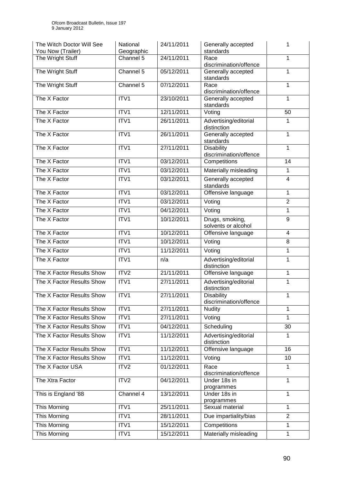| The Witch Doctor Will See<br>You Now (Trailer) | National<br>Geographic | 24/11/2011 | Generally accepted<br>standards             | 1              |
|------------------------------------------------|------------------------|------------|---------------------------------------------|----------------|
| The Wright Stuff                               | Channel 5              | 24/11/2011 | Race<br>discrimination/offence              | 1              |
| The Wright Stuff                               | Channel 5              | 05/12/2011 | Generally accepted<br>standards             | 1              |
| The Wright Stuff                               | Channel 5              | 07/12/2011 | Race<br>discrimination/offence              | 1              |
| The X Factor                                   | $\overline{IV1}$       | 23/10/2011 | Generally accepted<br>standards             | 1              |
| The X Factor                                   | ITV1                   | 12/11/2011 | Voting                                      | 50             |
| The X Factor                                   | ITV1                   | 26/11/2011 | Advertising/editorial<br>distinction        | 1              |
| The X Factor                                   | ITV1                   | 26/11/2011 | Generally accepted<br>standards             | 1              |
| The X Factor                                   | ITV1                   | 27/11/2011 | <b>Disability</b><br>discrimination/offence | 1              |
| The X Factor                                   | ITV1                   | 03/12/2011 | Competitions                                | 14             |
| The X Factor                                   | ITVI                   | 03/12/2011 | Materially misleading                       | 1              |
| The X Factor                                   | ITV1                   | 03/12/2011 | Generally accepted<br>standards             | 4              |
| The X Factor                                   | ITV1                   | 03/12/2011 | Offensive language                          | 1              |
| The X Factor                                   | ITV1                   | 03/12/2011 | Voting                                      | $\overline{2}$ |
| The X Factor                                   | ITV1                   | 04/12/2011 | Voting                                      | 1              |
| The X Factor                                   | ITV1                   | 10/12/2011 | Drugs, smoking,<br>solvents or alcohol      | 9              |
| The X Factor                                   | ITV1                   | 10/12/2011 | Offensive language                          | $\overline{4}$ |
| The X Factor                                   | ITV1                   | 10/12/2011 | Voting                                      | 8              |
| The X Factor                                   | ITV1                   | 11/12/2011 | Voting                                      | 1              |
| The X Factor                                   | ITV1                   | n/a        | Advertising/editorial<br>distinction        | 1              |
| The X Factor Results Show                      | ITV2                   | 21/11/2011 | Offensive language                          | 1              |
| The X Factor Results Show                      | ITV1                   | 27/11/2011 | Advertising/editorial<br>distinction        | 1              |
| The X Factor Results Show                      | ITV1                   | 27/11/2011 | <b>Disability</b><br>discrimination/offence | 1              |
| The X Factor Results Show                      | ITV1                   | 27/11/2011 | <b>Nudity</b>                               | 1              |
| The X Factor Results Show                      | ITV1                   | 27/11/2011 | Voting                                      | 1              |
| The X Factor Results Show                      | ITV1                   | 04/12/2011 | Scheduling                                  | 30             |
| The X Factor Results Show                      | ITV1                   | 11/12/2011 | Advertising/editorial<br>distinction        | 1              |
| The X Factor Results Show                      | ITV1                   | 11/12/2011 | Offensive language                          | 16             |
| The X Factor Results Show                      | ITV1                   | 11/12/2011 | Voting                                      | 10             |
| The X Factor USA                               | ITV <sub>2</sub>       | 01/12/2011 | Race<br>discrimination/offence              | 1              |
| The Xtra Factor                                | ITV2                   | 04/12/2011 | Under 18s in<br>programmes                  | 1              |
| This is England '88                            | Channel 4              | 13/12/2011 | Under 18s in<br>programmes                  | 1              |
| This Morning                                   | ITV1                   | 25/11/2011 | Sexual material                             | 1              |
| This Morning                                   | ITV1                   | 28/11/2011 | Due impartiality/bias                       | $\overline{2}$ |
| This Morning                                   | ITV1                   | 15/12/2011 | Competitions                                | 1              |
| This Morning                                   | ITV1                   | 15/12/2011 | Materially misleading                       | 1              |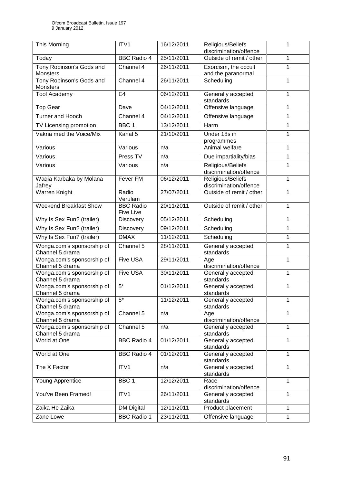| This Morning                                  | ITV1                          | 16/12/2011 | Religious/Beliefs<br>discrimination/offence |   |
|-----------------------------------------------|-------------------------------|------------|---------------------------------------------|---|
| Today                                         | <b>BBC Radio 4</b>            | 25/11/2011 | Outside of remit / other                    | 1 |
| Tony Robinson's Gods and<br>Monsters          | Channel 4                     | 26/11/2011 | Exorcism, the occult<br>and the paranormal  |   |
| Tony Robinson's Gods and<br>Monsters          | Channel 4                     | 26/11/2011 | Scheduling                                  | 1 |
| <b>Tool Academy</b>                           | E4                            | 06/12/2011 | Generally accepted<br>standards             | 1 |
| <b>Top Gear</b>                               | Dave                          | 04/12/2011 | Offensive language                          | 1 |
| Turner and Hooch                              | Channel 4                     | 04/12/2011 | Offensive language                          | 1 |
| TV Licensing promotion                        | BBC <sub>1</sub>              | 13/12/2011 | Harm                                        | 1 |
| Vakna med the Voice/Mix                       | Kanal 5                       | 21/10/2011 | Under 18s in<br>programmes                  | 1 |
| Various                                       | Various                       | n/a        | Animal welfare                              | 1 |
| Various                                       | Press TV                      | n/a        | Due impartiality/bias                       | 1 |
| Various                                       | Various                       | n/a        | Religious/Beliefs<br>discrimination/offence | 1 |
| Waqia Karbaka by Molana<br>Jafrey             | <b>Fever FM</b>               | 06/12/2011 | Religious/Beliefs<br>discrimination/offence | 1 |
| Warren Knight                                 | Radio<br>Verulam              | 27/07/2011 | Outside of remit / other                    | 1 |
| <b>Weekend Breakfast Show</b>                 | <b>BBC Radio</b><br>Five Live | 20/11/2011 | Outside of remit / other                    | 1 |
| Why Is Sex Fun? (trailer)                     | <b>Discovery</b>              | 05/12/2011 | Scheduling                                  | 1 |
| Why Is Sex Fun? (trailer)                     | <b>Discovery</b>              | 09/12/2011 | Scheduling                                  | 1 |
| Why Is Sex Fun? (trailer)                     | <b>DMAX</b>                   | 11/12/2011 | Scheduling                                  | 1 |
| Wonga.com's sponsorship of<br>Channel 5 drama | Channel 5                     | 28/11/2011 | Generally accepted<br>standards             |   |
| Wonga.com's sponsorship of<br>Channel 5 drama | <b>Five USA</b>               | 29/11/2011 | Age<br>discrimination/offence               | 1 |
| Wonga.com's sponsorship of<br>Channel 5 drama | <b>Five USA</b>               | 30/11/2011 | Generally accepted<br>standards             | 1 |
| Wonga.com's sponsorship of<br>Channel 5 drama | $5*$                          | 01/12/2011 | Generally accepted<br>standards             | 1 |
| Wonga.com's sponsorship of<br>Channel 5 drama | $5^*$                         | 11/12/2011 | Generally accepted<br>standards             | 1 |
| Wonga.com's sponsorship of<br>Channel 5 drama | Channel 5                     | n/a        | Age<br>discrimination/offence               | 1 |
| Wonga.com's sponsorship of<br>Channel 5 drama | Channel 5                     | n/a        | Generally accepted<br>standards             | 1 |
| World at One                                  | <b>BBC Radio 4</b>            | 01/12/2011 | Generally accepted<br>standards             | 1 |
| World at One                                  | <b>BBC Radio 4</b>            | 01/12/2011 | Generally accepted<br>standards             | 1 |
| The X Factor                                  | ITV1                          | n/a        | Generally accepted<br>standards             | 1 |
| Young Apprentice                              | BBC <sub>1</sub>              | 12/12/2011 | Race<br>discrimination/offence              | 1 |
| You've Been Framed!                           | ITV1                          | 26/11/2011 | Generally accepted<br>standards             | 1 |
| Zaika He Zaika                                | <b>DM Digital</b>             | 12/11/2011 | Product placement                           | 1 |
| Zane Lowe                                     | <b>BBC Radio 1</b>            | 23/11/2011 | Offensive language                          | 1 |